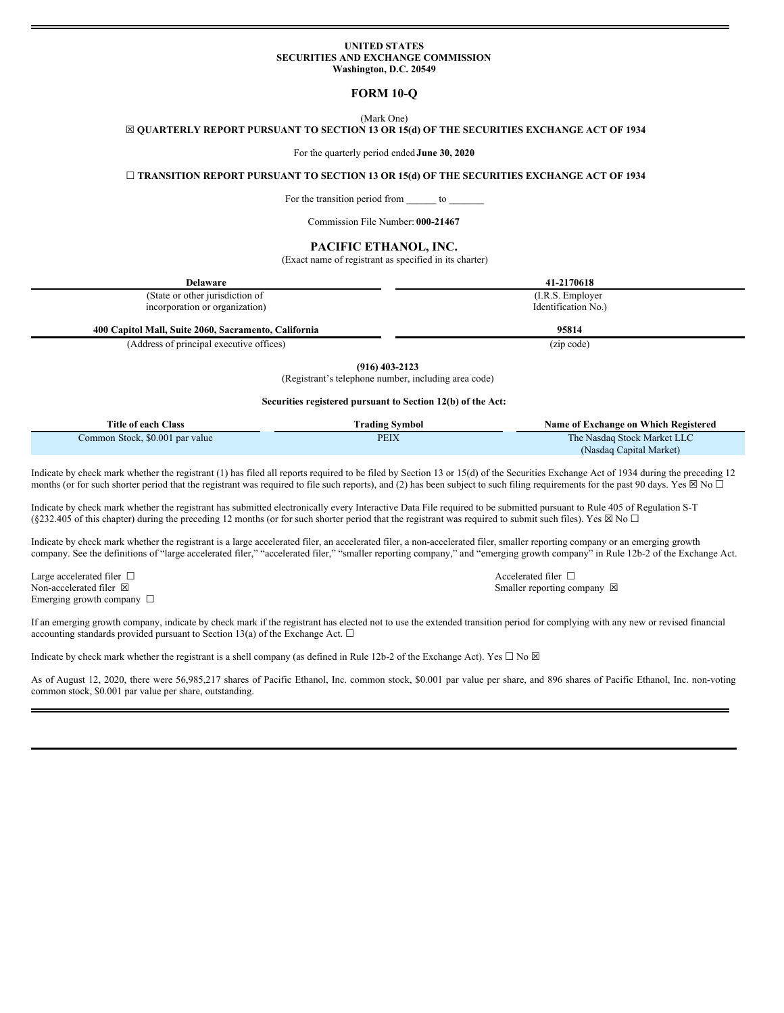## **UNITED STATES SECURITIES AND EXCHANGE COMMISSION Washington, D.C. 20549**

## **FORM 10-Q**

# (Mark One)

## ☒ **QUARTERLY REPORT PURSUANT TO SECTION 13 OR 15(d) OF THE SECURITIES EXCHANGE ACT OF 1934**

For the quarterly period ended **June 30, 2020**

## ☐ **TRANSITION REPORT PURSUANT TO SECTION 13 OR 15(d) OF THE SECURITIES EXCHANGE ACT OF 1934**

For the transition period from to

Commission File Number: **000-21467**

## **PACIFIC ETHANOL, INC.**

(Exact name of registrant as specified in its charter)

| <b>Delaware</b>                                      | 41-2170618          |
|------------------------------------------------------|---------------------|
| (State or other jurisdiction of                      | (I.R.S. Employer)   |
| incorporation or organization)                       | Identification No.) |
| 400 Capitol Mall, Suite 2060, Sacramento, California | 95814               |
| (Address of principal executive offices)             | (zip code)          |

**(916) 403-2123**

(Registrant's telephone number, including area code)

## **Securities registered pursuant to Section 12(b) of the Act:**

| Title of each Class             | <b>Trading Svmbol</b> | Name of Exchange on Which Registered |
|---------------------------------|-----------------------|--------------------------------------|
| Common Stock, \$0.001 par value | <b>PEIX</b>           | The Nasdaq Stock Market LLC          |
|                                 |                       | (Nasdaq Capital Market)              |

Indicate by check mark whether the registrant (1) has filed all reports required to be filed by Section 13 or 15(d) of the Securities Exchange Act of 1934 during the preceding 12 months (or for such shorter period that the registrant was required to file such reports), and (2) has been subject to such filing requirements for the past 90 days. Yes  $\boxtimes$  No  $\Box$ 

Indicate by check mark whether the registrant has submitted electronically every Interactive Data File required to be submitted pursuant to Rule 405 of Regulation S-T (§232.405 of this chapter) during the preceding 12 months (or for such shorter period that the registrant was required to submit such files). Yes  $\boxtimes$  No  $\Box$ 

Indicate by check mark whether the registrant is a large accelerated filer, an accelerated filer, a non-accelerated filer, smaller reporting company or an emerging growth company. See the definitions of "large accelerated filer," "accelerated filer," "smaller reporting company," and "emerging growth company" in Rule 12b-2 of the Exchange Act.

Large accelerated filer □<br>
Non-accelerated filer □<br>
Smaller reporting co Emerging growth company  $\Box$ 

Smaller reporting company  $\boxtimes$ 

If an emerging growth company, indicate by check mark if the registrant has elected not to use the extended transition period for complying with any new or revised financial accounting standards provided pursuant to Section 13(a) of the Exchange Act.  $\Box$ 

Indicate by check mark whether the registrant is a shell company (as defined in Rule 12b-2 of the Exchange Act). Yes  $\Box$  No  $\boxtimes$ 

As of August 12, 2020, there were 56,985,217 shares of Pacific Ethanol, Inc. common stock, \$0.001 par value per share, and 896 shares of Pacific Ethanol, Inc. non-voting common stock, \$0.001 par value per share, outstanding.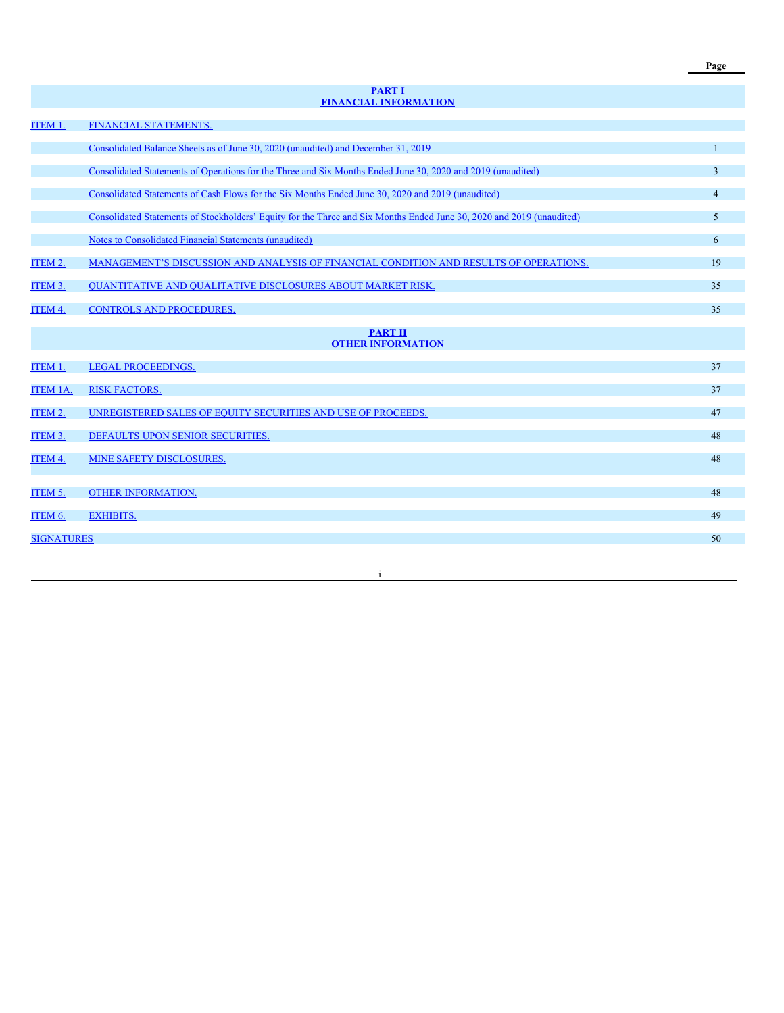|                   | <b>PART I</b><br><b>FINANCIAL INFORMATION</b>                                                                         |                |  |  |
|-------------------|-----------------------------------------------------------------------------------------------------------------------|----------------|--|--|
| ITEM 1.           | FINANCIAL STATEMENTS.                                                                                                 |                |  |  |
|                   | Consolidated Balance Sheets as of June 30, 2020 (unaudited) and December 31, 2019                                     | -1             |  |  |
|                   | Consolidated Statements of Operations for the Three and Six Months Ended June 30, 2020 and 2019 (unaudited)           | 3              |  |  |
|                   | Consolidated Statements of Cash Flows for the Six Months Ended June 30, 2020 and 2019 (unaudited)                     | $\overline{4}$ |  |  |
|                   | Consolidated Statements of Stockholders' Equity for the Three and Six Months Ended June 30, 2020 and 2019 (unaudited) | 5              |  |  |
|                   | Notes to Consolidated Financial Statements (unaudited)                                                                | 6              |  |  |
| ITEM 2.           | MANAGEMENT'S DISCUSSION AND ANALYSIS OF FINANCIAL CONDITION AND RESULTS OF OPERATIONS.                                | 19             |  |  |
| ITEM 3.           | <b>OUANTITATIVE AND OUALITATIVE DISCLOSURES ABOUT MARKET RISK.</b>                                                    | 35             |  |  |
| ITEM 4.           | <b>CONTROLS AND PROCEDURES.</b>                                                                                       | 35             |  |  |
|                   | <b>PART II</b><br><b>OTHER INFORMATION</b>                                                                            |                |  |  |
| ITEM 1.           | <b>LEGAL PROCEEDINGS.</b>                                                                                             | 37             |  |  |
| <b>ITEM 1A.</b>   | <b>RISK FACTORS.</b>                                                                                                  | 37             |  |  |
| ITEM 2.           | UNREGISTERED SALES OF EQUITY SECURITIES AND USE OF PROCEEDS.                                                          | 47             |  |  |
| ITEM 3.           | DEFAULTS UPON SENIOR SECURITIES.                                                                                      | 48             |  |  |
| ITEM 4.           | MINE SAFETY DISCLOSURES.                                                                                              | 48             |  |  |
| ITEM 5.           | <b>OTHER INFORMATION.</b>                                                                                             | 48             |  |  |
| ITEM 6.           | <b>EXHIBITS.</b>                                                                                                      | 49             |  |  |
| <b>SIGNATURES</b> |                                                                                                                       | 50             |  |  |

i

**Page**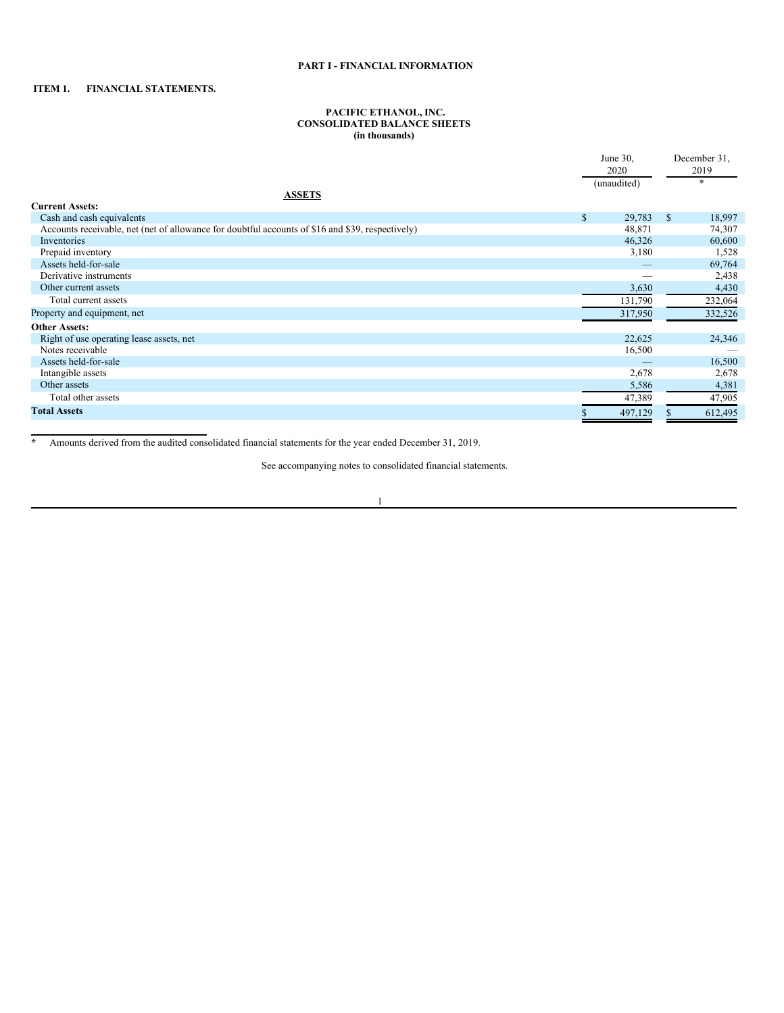# <span id="page-2-0"></span>**PART I - FINANCIAL INFORMATION**

## <span id="page-2-1"></span>**ITEM 1. FINANCIAL STATEMENTS.**

#### <span id="page-2-2"></span>**PACIFIC ETHANOL, INC. CONSOLIDATED BALANCE SHEETS (in thousands)**

|                                                                                                  |             | June 30,<br>2020 |             | December 31,<br>2019 |
|--------------------------------------------------------------------------------------------------|-------------|------------------|-------------|----------------------|
|                                                                                                  | (unaudited) |                  |             | $\ast$               |
| <b>ASSETS</b>                                                                                    |             |                  |             |                      |
| <b>Current Assets:</b>                                                                           |             |                  |             |                      |
| Cash and cash equivalents                                                                        | \$          | 29,783           | $\mathbf S$ | 18,997               |
| Accounts receivable, net (net of allowance for doubtful accounts of \$16 and \$39, respectively) |             | 48,871           |             | 74,307               |
| Inventories                                                                                      |             | 46,326           |             | 60,600               |
| Prepaid inventory                                                                                |             | 3,180            |             | 1,528                |
| Assets held-for-sale                                                                             |             |                  |             | 69,764               |
| Derivative instruments                                                                           |             |                  |             | 2,438                |
| Other current assets                                                                             |             | 3,630            |             | 4,430                |
| Total current assets                                                                             |             | 131,790          |             | 232,064              |
| Property and equipment, net                                                                      |             | 317,950          |             | 332,526              |
| <b>Other Assets:</b>                                                                             |             |                  |             |                      |
| Right of use operating lease assets, net                                                         |             | 22,625           |             | 24,346               |
| Notes receivable                                                                                 |             | 16,500           |             |                      |
| Assets held-for-sale                                                                             |             |                  |             | 16,500               |
| Intangible assets                                                                                |             | 2,678            |             | 2,678                |
| Other assets                                                                                     |             | 5,586            |             | 4,381                |
| Total other assets                                                                               |             | 47,389           |             | 47,905               |
| <b>Total Assets</b>                                                                              |             | 497,129          |             | 612,495              |

**\*** Amounts derived from the audited consolidated financial statements for the year ended December 31, 2019.

See accompanying notes to consolidated financial statements.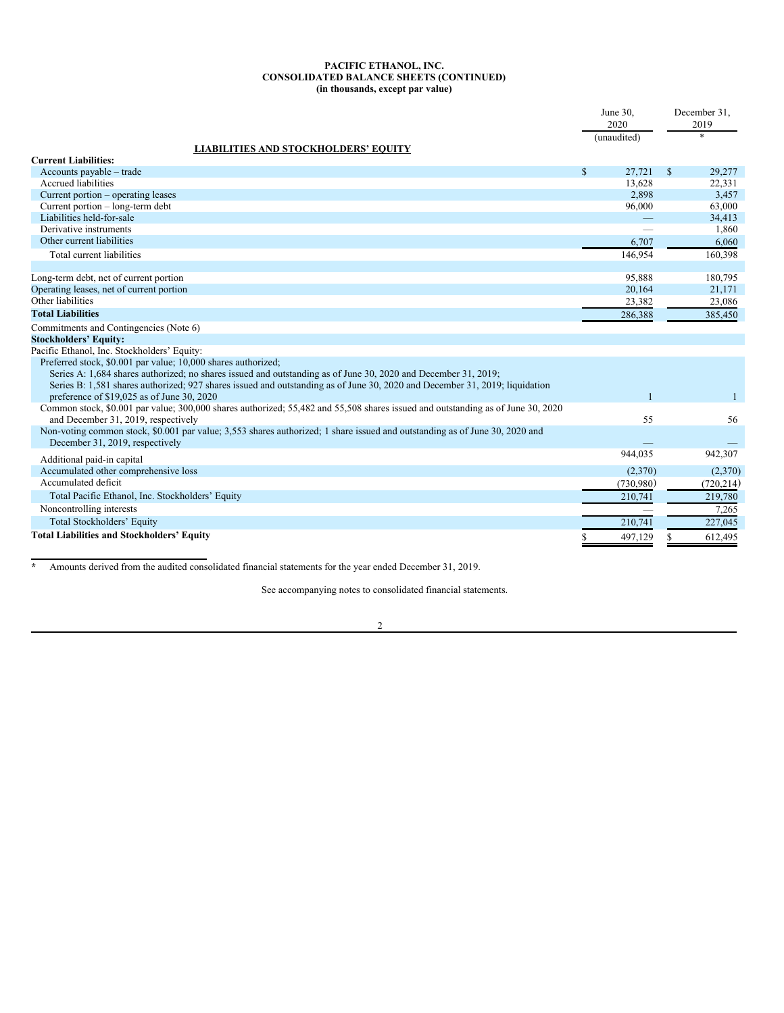## **PACIFIC ETHANOL, INC. CONSOLIDATED BALANCE SHEETS (CONTINUED) (in thousands, except par value)**

|                                                                                                                                                                        | June 30,<br>2020<br>(unaudited) | December 31,<br>2019<br>$\ast$ |
|------------------------------------------------------------------------------------------------------------------------------------------------------------------------|---------------------------------|--------------------------------|
| <b>LIABILITIES AND STOCKHOLDERS' EQUITY</b><br><b>Current Liabilities:</b>                                                                                             |                                 |                                |
| Accounts payable – trade                                                                                                                                               | $\mathbb{S}$<br>27.721          | <sup>S</sup><br>29,277         |
| <b>Accrued liabilities</b>                                                                                                                                             | 13.628                          | 22,331                         |
| Current portion – operating leases                                                                                                                                     | 2,898                           | 3,457                          |
| Current portion – long-term debt                                                                                                                                       | 96,000                          | 63,000                         |
| Liabilities held-for-sale                                                                                                                                              |                                 | 34,413                         |
| Derivative instruments                                                                                                                                                 |                                 | 1,860                          |
| Other current liabilities                                                                                                                                              | 6,707                           | 6,060                          |
| Total current liabilities                                                                                                                                              | 146,954                         | 160,398                        |
|                                                                                                                                                                        |                                 |                                |
| Long-term debt, net of current portion                                                                                                                                 | 95,888                          | 180,795                        |
| Operating leases, net of current portion                                                                                                                               | 20,164                          | 21,171                         |
| Other liabilities                                                                                                                                                      | 23,382                          | 23,086                         |
| <b>Total Liabilities</b>                                                                                                                                               | 286,388                         | 385,450                        |
| Commitments and Contingencies (Note 6)                                                                                                                                 |                                 |                                |
| <b>Stockholders' Equity:</b>                                                                                                                                           |                                 |                                |
| Pacific Ethanol, Inc. Stockholders' Equity:                                                                                                                            |                                 |                                |
| Preferred stock, \$0.001 par value; 10,000 shares authorized;                                                                                                          |                                 |                                |
| Series A: 1,684 shares authorized; no shares issued and outstanding as of June 30, 2020 and December 31, 2019;                                                         |                                 |                                |
| Series B: 1,581 shares authorized; 927 shares issued and outstanding as of June 30, 2020 and December 31, 2019; liquidation                                            |                                 |                                |
| preference of \$19,025 as of June 30, 2020                                                                                                                             |                                 |                                |
| Common stock, \$0.001 par value; 300,000 shares authorized; 55,482 and 55,508 shares issued and outstanding as of June 30, 2020<br>and December 31, 2019, respectively | 55                              | 56                             |
| Non-voting common stock, \$0.001 par value; 3,553 shares authorized; 1 share issued and outstanding as of June 30, 2020 and<br>December 31, 2019, respectively         |                                 |                                |
| Additional paid-in capital                                                                                                                                             | 944,035                         | 942,307                        |
| Accumulated other comprehensive loss                                                                                                                                   | (2,370)                         | (2,370)                        |
| Accumulated deficit                                                                                                                                                    | (730,980)                       | (720, 214)                     |
| Total Pacific Ethanol, Inc. Stockholders' Equity                                                                                                                       | 210,741                         | 219,780                        |
| Noncontrolling interests                                                                                                                                               |                                 | 7,265                          |
| <b>Total Stockholders' Equity</b>                                                                                                                                      | 210,741                         | 227,045                        |
| <b>Total Liabilities and Stockholders' Equity</b>                                                                                                                      | S<br>497,129                    | \$<br>612,495                  |

**\*** Amounts derived from the audited consolidated financial statements for the year ended December 31, 2019.

See accompanying notes to consolidated financial statements.

| ł       |  |
|---------|--|
| ×,<br>I |  |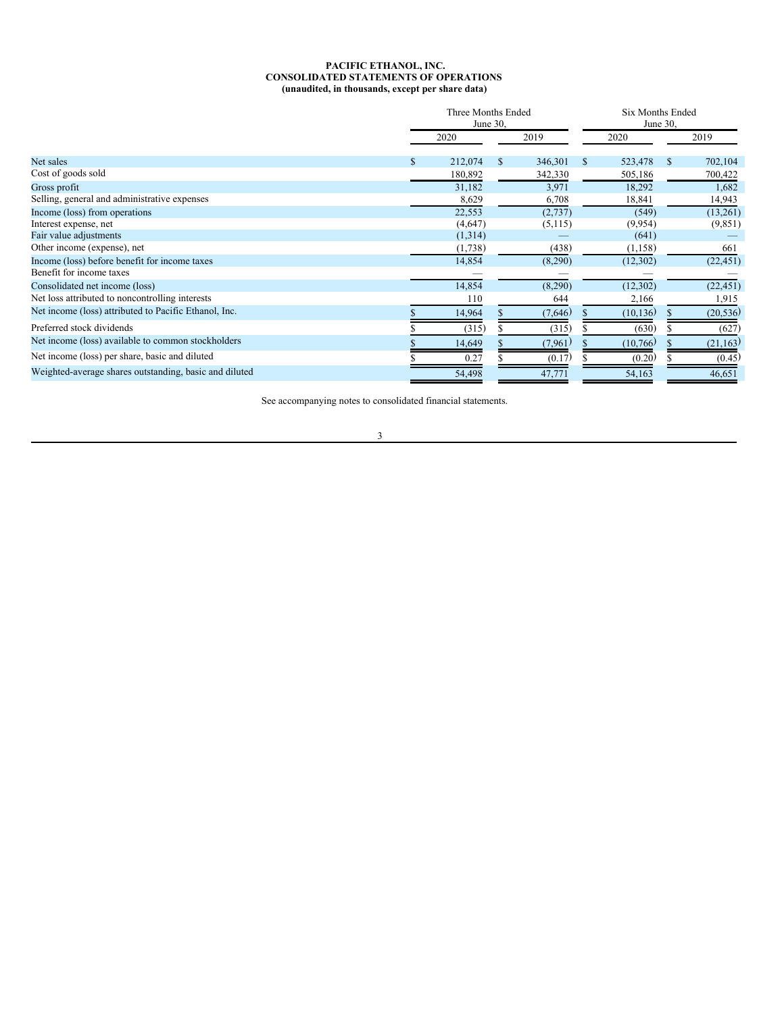### <span id="page-4-0"></span>**PACIFIC ETHANOL, INC. CONSOLIDATED STATEMENTS OF OPERATIONS (unaudited, in thousands, except per share data)**

|                                                        |    | Three Months Ended<br>June $30$ . |               |          |     | <b>Six Months Ended</b><br>June 30, |               |           |  |
|--------------------------------------------------------|----|-----------------------------------|---------------|----------|-----|-------------------------------------|---------------|-----------|--|
|                                                        |    | 2020                              |               | 2019     |     | 2020                                |               | 2019      |  |
| Net sales                                              | S. | 212,074                           | <sup>\$</sup> | 346,301  | \$. | 523,478                             | <sup>\$</sup> | 702,104   |  |
| Cost of goods sold                                     |    | 180,892                           |               | 342,330  |     | 505,186                             |               | 700,422   |  |
| Gross profit                                           |    | 31,182                            |               | 3,971    |     | 18,292                              |               | 1,682     |  |
| Selling, general and administrative expenses           |    | 8,629                             |               | 6,708    |     | 18,841                              |               | 14,943    |  |
| Income (loss) from operations                          |    | 22,553                            |               | (2,737)  |     | (549)                               |               | (13,261)  |  |
| Interest expense, net                                  |    | (4,647)                           |               | (5,115)  |     | (9,954)                             |               | (9,851)   |  |
| Fair value adjustments                                 |    | (1,314)                           |               |          |     | (641)                               |               |           |  |
| Other income (expense), net                            |    | (1,738)                           |               | (438)    |     | (1, 158)                            |               | 661       |  |
| Income (loss) before benefit for income taxes          |    | 14,854                            |               | (8,290)  |     | (12, 302)                           |               | (22, 451) |  |
| Benefit for income taxes                               |    |                                   |               |          |     |                                     |               |           |  |
| Consolidated net income (loss)                         |    | 14,854                            |               | (8,290)  |     | (12, 302)                           |               | (22, 451) |  |
| Net loss attributed to noncontrolling interests        |    | 110                               |               | 644      |     | 2,166                               |               | 1,915     |  |
| Net income (loss) attributed to Pacific Ethanol, Inc.  |    | 14,964                            |               | (7,646)  |     | (10, 136)                           |               | (20, 536) |  |
| Preferred stock dividends                              |    | (315)                             |               | (315)    |     | (630)                               |               | (627)     |  |
| Net income (loss) available to common stockholders     |    | 14,649                            |               | (7, 961) |     | (10,766)                            |               | (21, 163) |  |
| Net income (loss) per share, basic and diluted         |    | 0.27                              |               | (0.17)   |     | (0.20)                              |               | (0.45)    |  |
| Weighted-average shares outstanding, basic and diluted |    | 54,498                            |               | 47,771   |     | 54,163                              |               | 46,651    |  |

See accompanying notes to consolidated financial statements.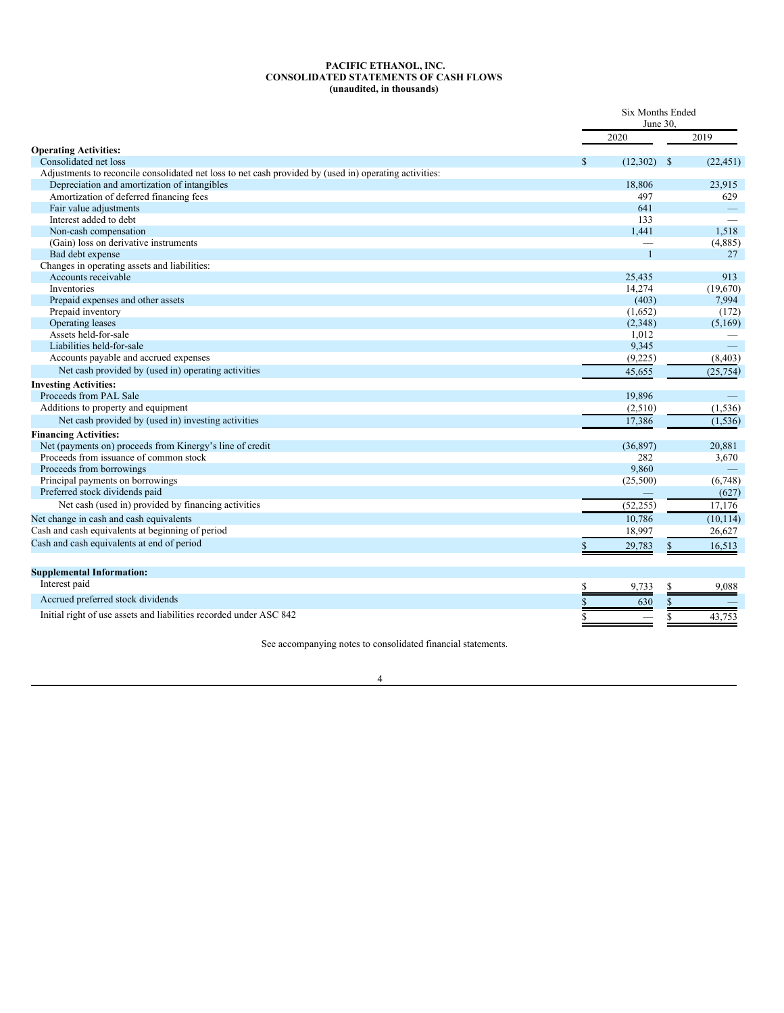### <span id="page-5-0"></span>**PACIFIC ETHANOL, INC. CONSOLIDATED STATEMENTS OF CASH FLOWS (unaudited, in thousands)**

|                                                                                                        | <b>Six Months Ended</b><br>June 30, |                          |               |                   |
|--------------------------------------------------------------------------------------------------------|-------------------------------------|--------------------------|---------------|-------------------|
|                                                                                                        |                                     | 2020                     |               | 2019              |
| <b>Operating Activities:</b>                                                                           |                                     |                          |               |                   |
| Consolidated net loss                                                                                  | \$                                  | (12,302)                 | $\mathcal{S}$ | (22, 451)         |
| Adjustments to reconcile consolidated net loss to net cash provided by (used in) operating activities: |                                     |                          |               |                   |
| Depreciation and amortization of intangibles                                                           |                                     | 18,806                   |               | 23,915            |
| Amortization of deferred financing fees                                                                |                                     | 497                      |               | 629               |
| Fair value adjustments                                                                                 |                                     | 641                      |               | $\qquad \qquad -$ |
| Interest added to debt                                                                                 |                                     | 133                      |               |                   |
| Non-cash compensation                                                                                  |                                     | 1,441                    |               | 1,518             |
| (Gain) loss on derivative instruments                                                                  |                                     |                          |               | (4,885)           |
| Bad debt expense                                                                                       |                                     | $\mathbf{1}$             |               | 27                |
| Changes in operating assets and liabilities:                                                           |                                     |                          |               |                   |
| Accounts receivable                                                                                    |                                     | 25,435                   |               | 913               |
| Inventories                                                                                            |                                     | 14,274                   |               | (19,670)          |
| Prepaid expenses and other assets                                                                      |                                     | (403)                    |               | 7,994             |
| Prepaid inventory<br>Operating leases                                                                  |                                     | (1,652)<br>(2,348)       |               | (172)             |
| Assets held-for-sale                                                                                   |                                     | 1,012                    |               | (5,169)           |
| Liabilities held-for-sale                                                                              |                                     | 9.345                    |               |                   |
| Accounts payable and accrued expenses                                                                  |                                     | (9,225)                  |               | (8, 403)          |
| Net cash provided by (used in) operating activities                                                    |                                     |                          |               |                   |
|                                                                                                        |                                     | 45,655                   |               | (25, 754)         |
| <b>Investing Activities:</b>                                                                           |                                     |                          |               |                   |
| Proceeds from PAL Sale                                                                                 |                                     | 19,896                   |               |                   |
| Additions to property and equipment                                                                    |                                     | (2,510)                  |               | (1, 536)          |
| Net cash provided by (used in) investing activities                                                    |                                     | 17,386                   |               | (1, 536)          |
| <b>Financing Activities:</b>                                                                           |                                     |                          |               |                   |
| Net (payments on) proceeds from Kinergy's line of credit                                               |                                     | (36, 897)                |               | 20.881            |
| Proceeds from issuance of common stock                                                                 |                                     | 282                      |               | 3,670             |
| Proceeds from borrowings                                                                               |                                     | 9,860                    |               |                   |
| Principal payments on borrowings                                                                       |                                     | (25,500)                 |               | (6,748)           |
| Preferred stock dividends paid                                                                         |                                     |                          |               | (627)             |
| Net cash (used in) provided by financing activities                                                    |                                     | (52.255)                 |               | 17.176            |
| Net change in cash and cash equivalents                                                                |                                     | 10,786                   |               | (10, 114)         |
| Cash and cash equivalents at beginning of period                                                       |                                     | 18,997                   |               | 26,627            |
| Cash and cash equivalents at end of period                                                             |                                     | 29,783                   | \$            | 16,513            |
|                                                                                                        |                                     |                          |               |                   |
| <b>Supplemental Information:</b>                                                                       |                                     |                          |               |                   |
| Interest paid                                                                                          | S                                   | 9,733                    | \$            | 9,088             |
| Accrued preferred stock dividends                                                                      |                                     | 630                      |               |                   |
| Initial right of use assets and liabilities recorded under ASC 842                                     |                                     | $\overline{\phantom{a}}$ |               | 43,753            |

See accompanying notes to consolidated financial statements.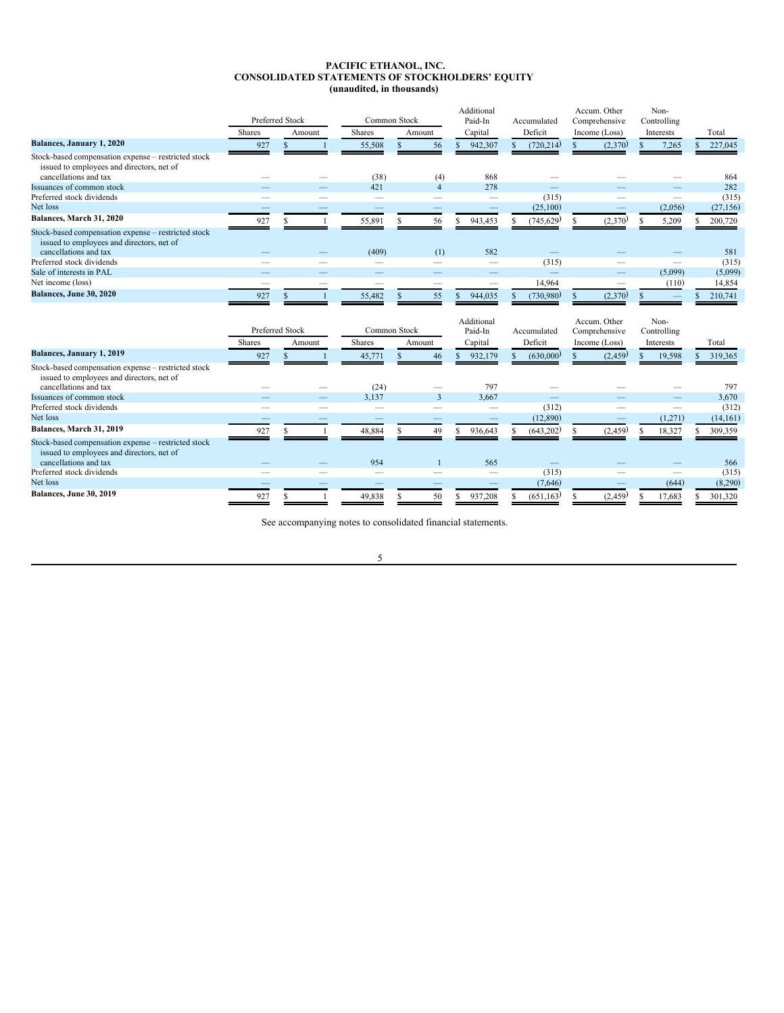## <span id="page-6-0"></span>**PACIFIC ETHANOL, INC. CONSOLIDATED STATEMENTS OF STOCKHOLDERS' EQUITY (unaudited, in thousands)**

|                                                                                                                           | <b>Preferred Stock</b> |                 |        | Common Stock   |                          | Accumulated     | Accum. Other<br>Comprehensive | Non-<br>Controlling |           |
|---------------------------------------------------------------------------------------------------------------------------|------------------------|-----------------|--------|----------------|--------------------------|-----------------|-------------------------------|---------------------|-----------|
|                                                                                                                           | <b>Shares</b>          | Amount          | Shares | Amount         | Capital                  | Deficit         | Income (Loss)                 | Interests           | Total     |
| Balances, January 1, 2020                                                                                                 | 927                    |                 | 55,508 | 56             | 942,307                  | (720, 214)      | (2,370)                       | 7,265               | 227,045   |
| Stock-based compensation expense - restricted stock<br>issued to employees and directors, net of<br>cancellations and tax |                        |                 | (38)   | (4)            | 868                      |                 |                               |                     | 864       |
| Issuances of common stock                                                                                                 |                        |                 | 421    | $\overline{4}$ | 278                      |                 |                               |                     | 282       |
| Preferred stock dividends                                                                                                 |                        |                 |        |                |                          | (315)           |                               |                     | (315)     |
| Net loss                                                                                                                  |                        |                 |        |                | -                        |                 |                               |                     |           |
|                                                                                                                           |                        |                 |        |                |                          | (25,100)        |                               | (2,056)             | (27, 156) |
| Balances, March 31, 2020                                                                                                  | 927                    |                 | 55,891 | 56             | 943,453                  | (745, 629)      | (2,370)                       | 5,209               | 200,720   |
| Stock-based compensation expense – restricted stock<br>issued to employees and directors, net of                          |                        |                 |        |                |                          |                 |                               |                     |           |
| cancellations and tax                                                                                                     |                        |                 | (409)  | (1)            | 582                      |                 |                               |                     | 581       |
| Preferred stock dividends                                                                                                 |                        |                 |        |                |                          | (315)           |                               |                     | (315)     |
| Sale of interests in PAL                                                                                                  |                        |                 |        |                |                          | $\qquad \qquad$ | $\qquad \qquad -$             | (5,099)             | (5,099)   |
| Net income (loss)                                                                                                         |                        |                 |        |                |                          | 14,964          |                               | (110)               | 14,854    |
| Balances, June 30, 2020                                                                                                   | 927                    |                 | 55,482 | 55             | 944.035<br>£.            | (730,980)       | (2,370)<br>S                  |                     | 210,741   |
|                                                                                                                           |                        |                 |        |                | Additional               |                 | Accum. Other                  | Non-                |           |
|                                                                                                                           |                        | Preferred Stock |        | Common Stock   | Paid-In                  | Accumulated     | Comprehensive                 | Controlling         |           |
|                                                                                                                           | Shares                 |                 | Shares |                | Capital                  | Deficit         | Income (Loss)                 |                     | Total     |
|                                                                                                                           |                        | Amount          |        | Amount         |                          |                 |                               | Interests           |           |
| Balances, January 1, 2019                                                                                                 | 927                    |                 | 45,771 | 46             | 932,179                  | (630,000)       | (2, 459)                      | 19,598              | 319,365   |
| Stock-based compensation expense - restricted stock<br>issued to employees and directors, net of                          |                        |                 |        |                |                          |                 |                               |                     |           |
| cancellations and tax                                                                                                     |                        |                 | (24)   |                | 797                      |                 |                               |                     | 797       |
| Issuances of common stock                                                                                                 |                        |                 | 3,137  | 3              | 3,667                    |                 |                               |                     | 3,670     |
| Preferred stock dividends                                                                                                 |                        |                 |        |                |                          | (312)           |                               |                     | (312)     |
| Net loss                                                                                                                  |                        |                 |        |                |                          | (12,890)        |                               | (1,271)             | (14, 161) |
| Balances, March 31, 2019                                                                                                  | 927                    |                 | 48,884 | 49             | 936,643                  | (643,202)       | (2, 459)                      | 18,327              | 309,359   |
| Stock-based compensation expense – restricted stock<br>issued to employees and directors, net of                          |                        |                 |        |                |                          |                 |                               |                     |           |
| cancellations and tax                                                                                                     |                        |                 | 954    |                | 565                      |                 |                               |                     | 566       |
| Preferred stock dividends                                                                                                 |                        |                 | $\sim$ |                | $\overline{\phantom{a}}$ | (315)           |                               |                     | (315)     |

See accompanying notes to consolidated financial statements.

**Balances, June 30, 2019** 927 \$ 1 49,838 \$ 50 \$ 937,208 \$ (651,163)

Net loss  $(7,646)$   $(644)$   $(8,290)$ 

 $\sqrt{(2,459)}$ 

 $\overline{\text{S}}$  17,683  $\overline{\text{S}}$  301,320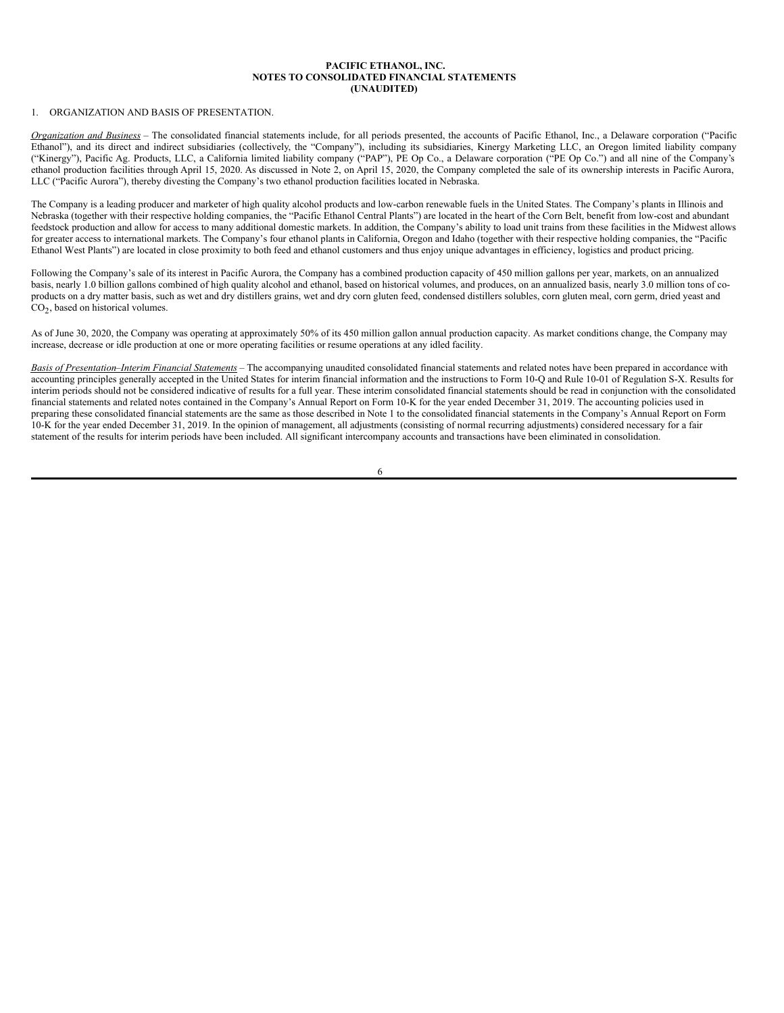### <span id="page-7-0"></span>**PACIFIC ETHANOL, INC. NOTES TO CONSOLIDATED FINANCIAL STATEMENTS (UNAUDITED)**

## 1. ORGANIZATION AND BASIS OF PRESENTATION.

*Organization and Business* – The consolidated financial statements include, for all periods presented, the accounts of Pacific Ethanol, Inc., a Delaware corporation ("Pacific Ethanol"), and its direct and indirect subsidiaries (collectively, the "Company"), including its subsidiaries, Kinergy Marketing LLC, an Oregon limited liability company ("Kinergy"), Pacific Ag. Products, LLC, a California limited liability company ("PAP"), PE Op Co., a Delaware corporation ("PE Op Co.") and all nine of the Company's ethanol production facilities through April 15, 2020. As discussed in Note 2, on April 15, 2020, the Company completed the sale of its ownership interests in Pacific Aurora, LLC ("Pacific Aurora"), thereby divesting the Company's two ethanol production facilities located in Nebraska.

The Company is a leading producer and marketer of high quality alcohol products and low-carbon renewable fuels in the United States. The Company's plants in Illinois and Nebraska (together with their respective holding companies, the "Pacific Ethanol Central Plants") are located in the heart of the Corn Belt, benefit from low-cost and abundant feedstock production and allow for access to many additional domestic markets. In addition, the Company's ability to load unit trains from these facilities in the Midwest allows for greater access to international markets. The Company's four ethanol plants in California, Oregon and Idaho (together with their respective holding companies, the "Pacific Ethanol West Plants") are located in close proximity to both feed and ethanol customers and thus enjoy unique advantages in efficiency, logistics and product pricing.

Following the Company's sale of its interest in Pacific Aurora, the Company has a combined production capacity of 450 million gallons per year, markets, on an annualized basis, nearly 1.0 billion gallons combined of high quality alcohol and ethanol, based on historical volumes, and produces, on an annualized basis, nearly 3.0 million tons of coproducts on a dry matter basis, such as wet and dry distillers grains, wet and dry corn gluten feed, condensed distillers solubles, corn gluten meal, corn germ, dried yeast and CO2 , based on historical volumes.

As of June 30, 2020, the Company was operating at approximately 50% of its 450 million gallon annual production capacity. As market conditions change, the Company may increase, decrease or idle production at one or more operating facilities or resume operations at any idled facility.

*Basis of Presentation*–*Interim Financial Statements* – The accompanying unaudited consolidated financial statements and related notes have been prepared in accordance with accounting principles generally accepted in the United States for interim financial information and the instructions to Form 10-Q and Rule 10-01 of Regulation S-X. Results for interim periods should not be considered indicative of results for a full year. These interim consolidated financial statements should be read in conjunction with the consolidated financial statements and related notes contained in the Company's Annual Report on Form 10-K for the year ended December 31, 2019. The accounting policies used in preparing these consolidated financial statements are the same as those described in Note 1 to the consolidated financial statements in the Company's Annual Report on Form 10-K for the year ended December 31, 2019. In the opinion of management, all adjustments (consisting of normal recurring adjustments) considered necessary for a fair statement of the results for interim periods have been included. All significant intercompany accounts and transactions have been eliminated in consolidation.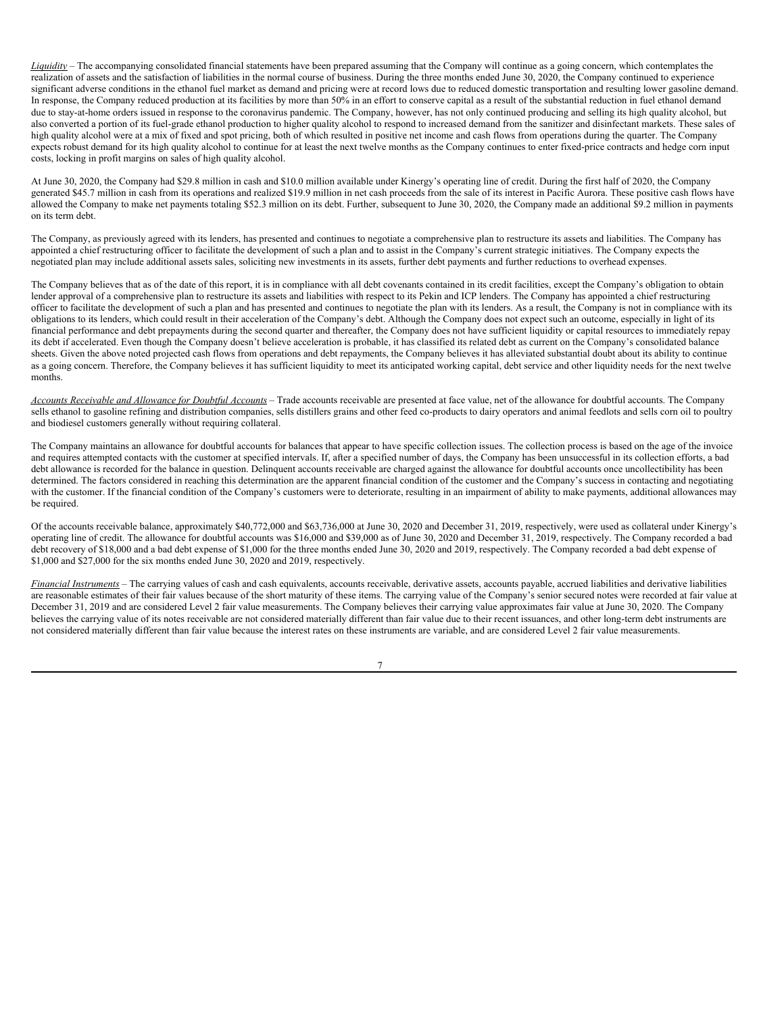*Liquidity* – The accompanying consolidated financial statements have been prepared assuming that the Company will continue as a going concern, which contemplates the realization of assets and the satisfaction of liabilities in the normal course of business. During the three months ended June 30, 2020, the Company continued to experience significant adverse conditions in the ethanol fuel market as demand and pricing were at record lows due to reduced domestic transportation and resulting lower gasoline demand. In response, the Company reduced production at its facilities by more than 50% in an effort to conserve capital as a result of the substantial reduction in fuel ethanol demand due to stay-at-home orders issued in response to the coronavirus pandemic. The Company, however, has not only continued producing and selling its high quality alcohol, but also converted a portion of its fuel-grade ethanol production to higher quality alcohol to respond to increased demand from the sanitizer and disinfectant markets. These sales of high quality alcohol were at a mix of fixed and spot pricing, both of which resulted in positive net income and cash flows from operations during the quarter. The Company expects robust demand for its high quality alcohol to continue for at least the next twelve months as the Company continues to enter fixed-price contracts and hedge corn input costs, locking in profit margins on sales of high quality alcohol.

At June 30, 2020, the Company had \$29.8 million in cash and \$10.0 million available under Kinergy's operating line of credit. During the first half of 2020, the Company generated \$45.7 million in cash from its operations and realized \$19.9 million in net cash proceeds from the sale of its interest in Pacific Aurora. These positive cash flows have allowed the Company to make net payments totaling \$52.3 million on its debt. Further, subsequent to June 30, 2020, the Company made an additional \$9.2 million in payments on its term debt.

The Company, as previously agreed with its lenders, has presented and continues to negotiate a comprehensive plan to restructure its assets and liabilities. The Company has appointed a chief restructuring officer to facilitate the development of such a plan and to assist in the Company's current strategic initiatives. The Company expects the negotiated plan may include additional assets sales, soliciting new investments in its assets, further debt payments and further reductions to overhead expenses.

The Company believes that as of the date of this report, it is in compliance with all debt covenants contained in its credit facilities, except the Company's obligation to obtain lender approval of a comprehensive plan to restructure its assets and liabilities with respect to its Pekin and ICP lenders. The Company has appointed a chief restructuring officer to facilitate the development of such a plan and has presented and continues to negotiate the plan with its lenders. As a result, the Company is not in compliance with its obligations to its lenders, which could result in their acceleration of the Company's debt. Although the Company does not expect such an outcome, especially in light of its financial performance and debt prepayments during the second quarter and thereafter, the Company does not have sufficient liquidity or capital resources to immediately repay its debt if accelerated. Even though the Company doesn't believe acceleration is probable, it has classified its related debt as current on the Company's consolidated balance sheets. Given the above noted projected cash flows from operations and debt repayments, the Company believes it has alleviated substantial doubt about its ability to continue as a going concern. Therefore, the Company believes it has sufficient liquidity to meet its anticipated working capital, debt service and other liquidity needs for the next twelve months.

*Accounts Receivable and Allowance for Doubtful Accounts* – Trade accounts receivable are presented at face value, net of the allowance for doubtful accounts. The Company sells ethanol to gasoline refining and distribution companies, sells distillers grains and other feed co-products to dairy operators and animal feedlots and sells corn oil to poultry and biodiesel customers generally without requiring collateral.

The Company maintains an allowance for doubtful accounts for balances that appear to have specific collection issues. The collection process is based on the age of the invoice and requires attempted contacts with the customer at specified intervals. If, after a specified number of days, the Company has been unsuccessful in its collection efforts, a bad debt allowance is recorded for the balance in question. Delinquent accounts receivable are charged against the allowance for doubtful accounts once uncollectibility has been determined. The factors considered in reaching this determination are the apparent financial condition of the customer and the Company's success in contacting and negotiating with the customer. If the financial condition of the Company's customers were to deteriorate, resulting in an impairment of ability to make payments, additional allowances may be required.

Of the accounts receivable balance, approximately \$40,772,000 and \$63,736,000 at June 30, 2020 and December 31, 2019, respectively, were used as collateral under Kinergy's operating line of credit. The allowance for doubtful accounts was \$16,000 and \$39,000 as of June 30, 2020 and December 31, 2019, respectively. The Company recorded a bad debt recovery of \$18,000 and a bad debt expense of \$1,000 for the three months ended June 30, 2020 and 2019, respectively. The Company recorded a bad debt expense of \$1,000 and \$27,000 for the six months ended June 30, 2020 and 2019, respectively.

*Financial Instruments* – The carrying values of cash and cash equivalents, accounts receivable, derivative assets, accounts payable, accrued liabilities and derivative liabilities are reasonable estimates of their fair values because of the short maturity of these items. The carrying value of the Company's senior secured notes were recorded at fair value at December 31, 2019 and are considered Level 2 fair value measurements. The Company believes their carrying value approximates fair value at June 30, 2020. The Company believes the carrying value of its notes receivable are not considered materially different than fair value due to their recent issuances, and other long-term debt instruments are not considered materially different than fair value because the interest rates on these instruments are variable, and are considered Level 2 fair value measurements.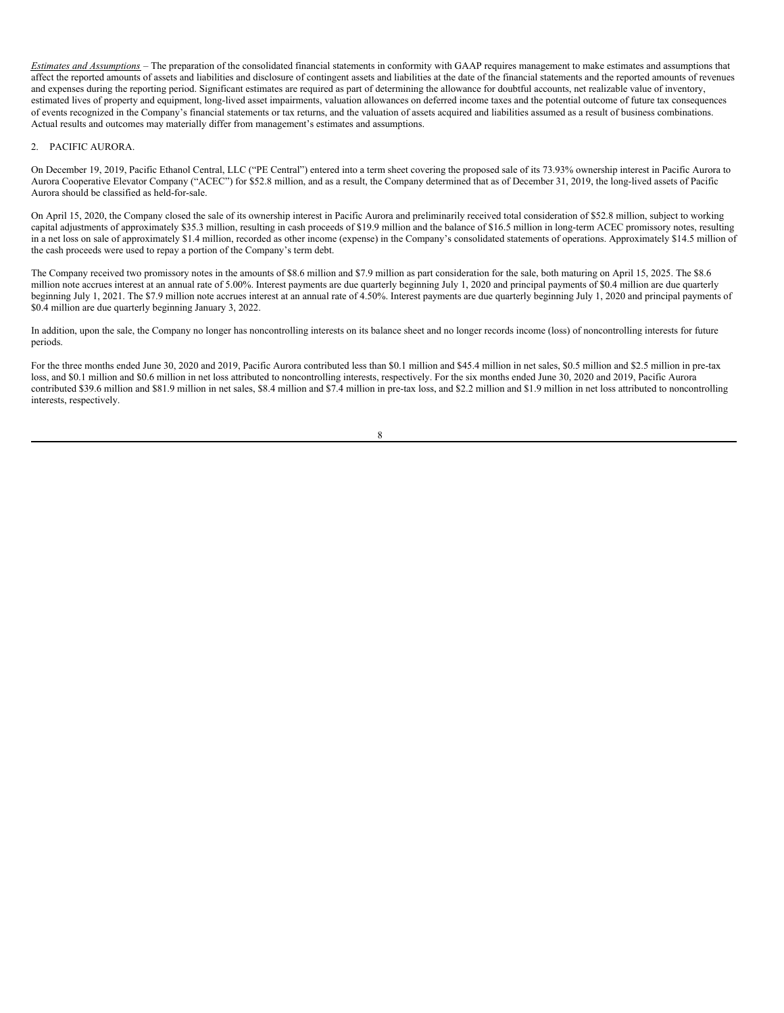*Estimates and Assumptions* – The preparation of the consolidated financial statements in conformity with GAAP requires management to make estimates and assumptions that affect the reported amounts of assets and liabilities and disclosure of contingent assets and liabilities at the date of the financial statements and the reported amounts of revenues and expenses during the reporting period. Significant estimates are required as part of determining the allowance for doubtful accounts, net realizable value of inventory, estimated lives of property and equipment, long-lived asset impairments, valuation allowances on deferred income taxes and the potential outcome of future tax consequences of events recognized in the Company's financial statements or tax returns, and the valuation of assets acquired and liabilities assumed as a result of business combinations. Actual results and outcomes may materially differ from management's estimates and assumptions.

## 2. PACIFIC AURORA.

On December 19, 2019, Pacific Ethanol Central, LLC ("PE Central") entered into a term sheet covering the proposed sale of its 73.93% ownership interest in Pacific Aurora to Aurora Cooperative Elevator Company ("ACEC") for \$52.8 million, and as a result, the Company determined that as of December 31, 2019, the long-lived assets of Pacific Aurora should be classified as held-for-sale.

On April 15, 2020, the Company closed the sale of its ownership interest in Pacific Aurora and preliminarily received total consideration of \$52.8 million, subject to working capital adjustments of approximately \$35.3 million, resulting in cash proceeds of \$19.9 million and the balance of \$16.5 million in long-term ACEC promissory notes, resulting in a net loss on sale of approximately \$1.4 million, recorded as other income (expense) in the Company's consolidated statements of operations. Approximately \$14.5 million of the cash proceeds were used to repay a portion of the Company's term debt.

The Company received two promissory notes in the amounts of \$8.6 million and \$7.9 million as part consideration for the sale, both maturing on April 15, 2025. The \$8.6 million note accrues interest at an annual rate of 5.00%. Interest payments are due quarterly beginning July 1, 2020 and principal payments of \$0.4 million are due quarterly beginning July 1, 2021. The \$7.9 million note accrues interest at an annual rate of 4.50%. Interest payments are due quarterly beginning July 1, 2020 and principal payments of \$0.4 million are due quarterly beginning January 3, 2022.

In addition, upon the sale, the Company no longer has noncontrolling interests on its balance sheet and no longer records income (loss) of noncontrolling interests for future periods.

For the three months ended June 30, 2020 and 2019, Pacific Aurora contributed less than \$0.1 million and \$45.4 million in net sales, \$0.5 million and \$2.5 million in pre-tax loss, and \$0.1 million and \$0.6 million in net loss attributed to noncontrolling interests, respectively. For the six months ended June 30, 2020 and 2019, Pacific Aurora contributed \$39.6 million and \$81.9 million in net sales, \$8.4 million and \$7.4 million in pre-tax loss, and \$2.2 million and \$1.9 million in net loss attributed to noncontrolling interests, respectively.

![](_page_9_Picture_7.jpeg)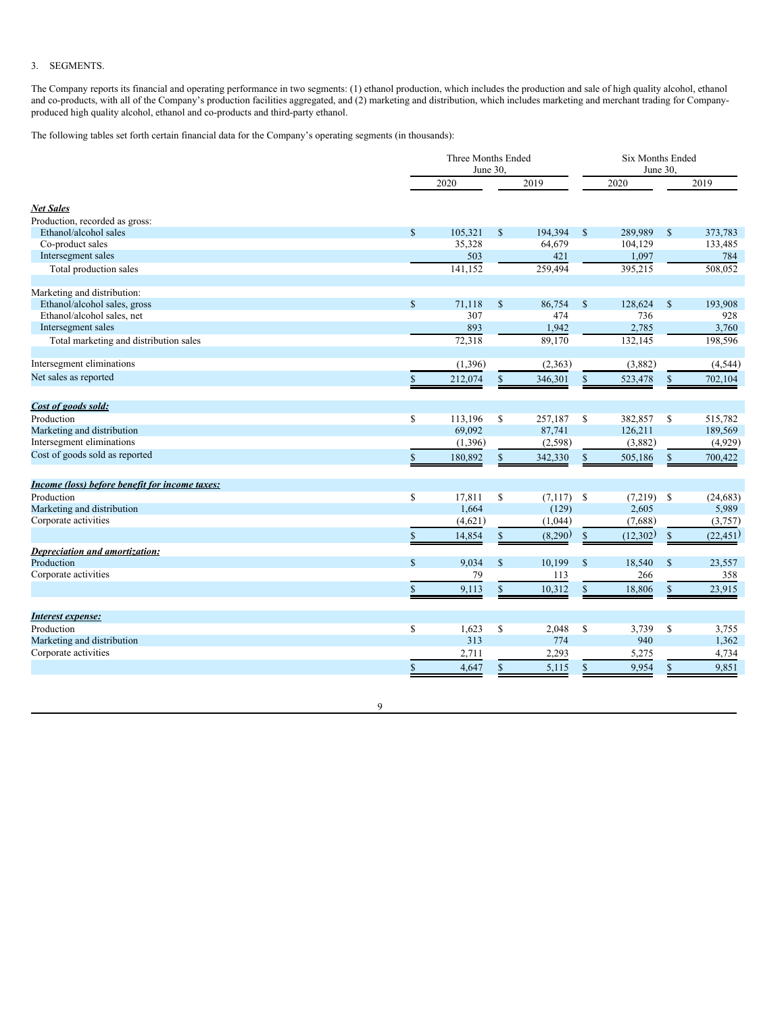## 3. SEGMENTS.

The Company reports its financial and operating performance in two segments: (1) ethanol production, which includes the production and sale of high quality alcohol, ethanol and co-products, with all of the Company's production facilities aggregated, and (2) marketing and distribution, which includes marketing and merchant trading for Companyproduced high quality alcohol, ethanol and co-products and third-party ethanol.

The following tables set forth certain financial data for the Company's operating segments (in thousands):

|                                                              | Three Months Ended<br>June 30. |                 |               |                   |               | <b>Six Months Ended</b><br>June 30, |               |                    |  |
|--------------------------------------------------------------|--------------------------------|-----------------|---------------|-------------------|---------------|-------------------------------------|---------------|--------------------|--|
|                                                              |                                | 2020            |               | 2019              |               | 2020                                |               | 2019               |  |
| <b>Net Sales</b>                                             |                                |                 |               |                   |               |                                     |               |                    |  |
| Production, recorded as gross:                               |                                |                 |               |                   |               |                                     |               |                    |  |
| Ethanol/alcohol sales                                        | $\mathbb{S}$                   | 105,321         | \$            | 194,394           | $\mathsf{\$}$ | 289.989                             | \$            | 373,783            |  |
| Co-product sales                                             |                                | 35,328          |               | 64,679            |               | 104,129                             |               | 133,485            |  |
| Intersegment sales                                           |                                | 503             |               | 421               |               | 1,097                               |               | 784                |  |
| Total production sales                                       |                                | 141,152         |               | 259,494           |               | 395,215                             |               | 508,052            |  |
| Marketing and distribution:                                  |                                |                 |               |                   |               |                                     |               |                    |  |
| Ethanol/alcohol sales, gross                                 | $\mathbb{S}$                   | 71,118          | $\mathsf{\$}$ | 86,754            | $\mathsf{\$}$ | 128,624                             | \$            | 193,908            |  |
| Ethanol/alcohol sales, net                                   |                                | 307             |               | 474               |               | 736                                 |               | 928                |  |
| Intersegment sales                                           |                                | 893             |               | 1,942             |               | 2,785                               |               | 3,760              |  |
| Total marketing and distribution sales                       |                                | 72,318          |               | 89,170            |               | 132,145                             |               | 198,596            |  |
| Intersegment eliminations                                    |                                | (1, 396)        |               | (2,363)           |               | (3,882)                             |               | (4, 544)           |  |
| Net sales as reported                                        | \$                             | 212,074         | \$            | 346,301           | \$            | 523,478                             | \$            | 702,104            |  |
| Cost of goods sold:                                          |                                |                 |               |                   |               |                                     |               |                    |  |
| Production                                                   | $\mathbb{S}$                   | 113,196         | \$            | 257,187           | \$            | 382,857                             | \$            | 515,782            |  |
| Marketing and distribution                                   |                                | 69,092          |               | 87,741            |               | 126,211                             |               | 189,569            |  |
| Intersegment eliminations                                    |                                | (1,396)         |               | (2,598)           |               | (3,882)                             |               | (4,929)            |  |
| Cost of goods sold as reported                               | \$                             | 180,892         | \$            | 342,330           | <sup>\$</sup> | 505,186                             | \$            | 700,422            |  |
|                                                              |                                |                 |               |                   |               |                                     |               |                    |  |
| Income (loss) before benefit for income taxes:<br>Production |                                |                 |               |                   |               |                                     |               |                    |  |
| Marketing and distribution                                   | $\mathbb S$                    | 17,811<br>1,664 | \$            | (7, 117)<br>(129) | \$            | (7,219)<br>2,605                    | $\mathbb{S}$  | (24, 683)<br>5,989 |  |
| Corporate activities                                         |                                | (4,621)         |               | (1,044)           |               | (7,688)                             |               | (3,757)            |  |
|                                                              |                                |                 |               |                   |               |                                     |               |                    |  |
| Depreciation and amortization:                               | \$                             | 14,854          | \$            | (8,290)           | $\mathsf{\$}$ | (12,302)                            | \$            | (22, 451)          |  |
| Production                                                   | $\mathbf S$                    | 9,034           | \$            | 10,199            | $\mathsf{\$}$ | 18,540                              | \$            | 23,557             |  |
| Corporate activities                                         |                                | 79              |               | 113               |               | 266                                 |               | 358                |  |
|                                                              | \$                             | 9,113           | $\mathbb S$   | 10,312            | $\$$          | 18,806                              | $\frac{1}{2}$ | 23,915             |  |
|                                                              |                                |                 |               |                   |               |                                     |               |                    |  |
| Interest expense:                                            |                                |                 |               |                   |               |                                     |               |                    |  |
| Production                                                   | \$                             | 1,623           | \$            | 2,048             | \$            | 3,739                               | \$            | 3,755              |  |
| Marketing and distribution                                   |                                | 313             |               | 774               |               | 940                                 |               | 1,362              |  |
| Corporate activities                                         |                                | 2,711           |               | 2,293             |               | 5,275                               |               | 4,734              |  |
|                                                              | \$                             | 4,647           | \$            | 5,115             | $\mathbb{S}$  | 9,954                               | \$            | 9,851              |  |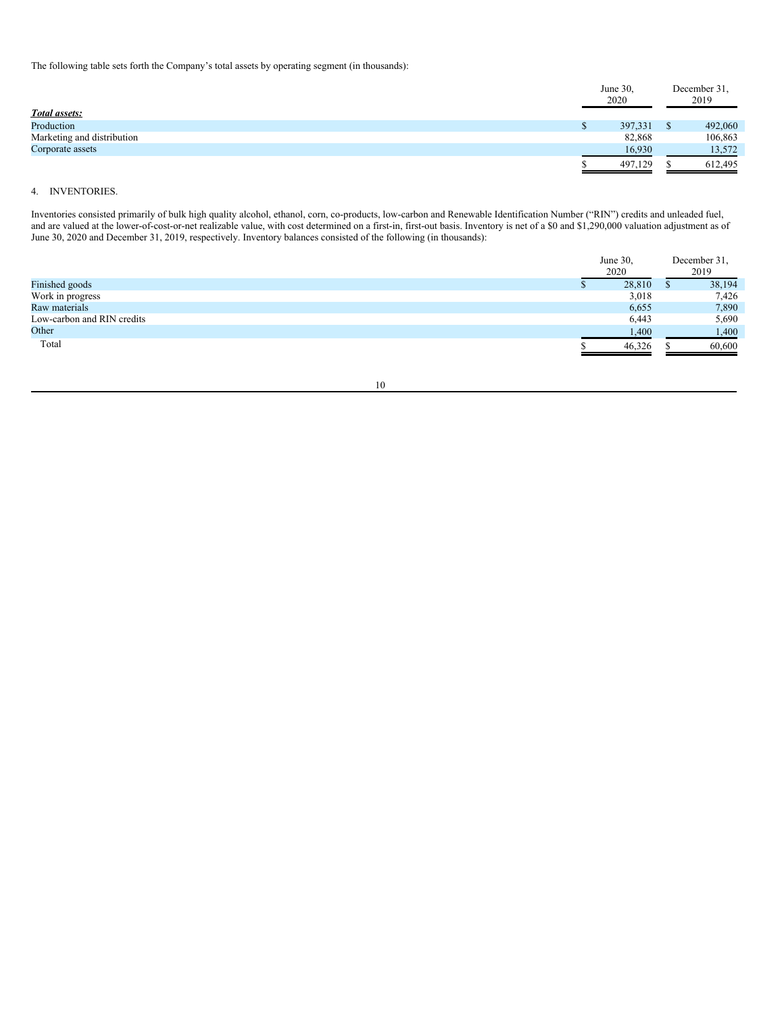The following table sets forth the Company's total assets by operating segment (in thousands):

| <b>Total assets:</b>       |   | June 30,<br>2020 |  | December 31,<br>2019 |  |
|----------------------------|---|------------------|--|----------------------|--|
| Production                 | ъ | 397,331          |  | 492,060              |  |
| Marketing and distribution |   | 82,868           |  | 106,863              |  |
| Corporate assets           |   | 16,930           |  | 13.572               |  |
|                            |   | 497,129          |  | 612,495              |  |

# 4. INVENTORIES.

Inventories consisted primarily of bulk high quality alcohol, ethanol, corn, co-products, low-carbon and Renewable Identification Number ("RIN") credits and unleaded fuel, and are valued at the lower-of-cost-or-net realizable value, with cost determined on a first-in, first-out basis. Inventory is net of a \$0 and \$1,290,000 valuation adjustment as of June 30, 2020 and December 31, 2019, respectively. Inventory balances consisted of the following (in thousands):

|                            | June 30,<br>2020 | December 31,<br>2019 |        |  |
|----------------------------|------------------|----------------------|--------|--|
| Finished goods             | 28,810           |                      | 38,194 |  |
| Work in progress           | 3,018            |                      | 7,426  |  |
| Raw materials              | 6,655            |                      | 7,890  |  |
| Low-carbon and RIN credits | 6,443            |                      | 5,690  |  |
| Other                      | 1,400            |                      | 1,400  |  |
| Total                      | 46,326           |                      | 60,600 |  |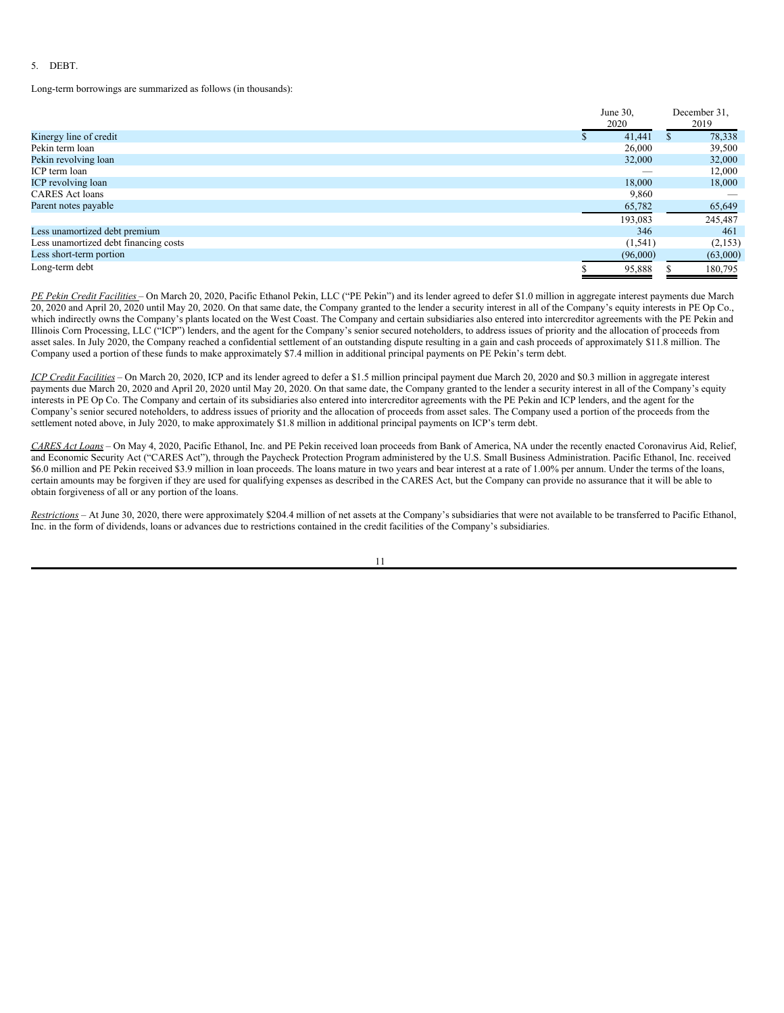## 5. DEBT.

Long-term borrowings are summarized as follows (in thousands):

| Kinergy line of credit<br>41,441<br>Pekin term loan<br>26,000<br>Pekin revolving loan<br>32,000 | 78,338<br>39,500<br>32,000 |
|-------------------------------------------------------------------------------------------------|----------------------------|
|                                                                                                 |                            |
|                                                                                                 |                            |
|                                                                                                 |                            |
| ICP term loan                                                                                   | 12,000                     |
| ICP revolving loan<br>18,000                                                                    | 18,000                     |
| <b>CARES</b> Act loans<br>9,860                                                                 |                            |
| Parent notes payable<br>65,782                                                                  | 65,649                     |
| 193,083                                                                                         | 245,487                    |
| Less unamortized debt premium<br>346                                                            | 461                        |
| Less unamortized debt financing costs<br>(1, 541)                                               | (2,153)                    |
| Less short-term portion<br>(96,000)                                                             | (63,000)                   |
| Long-term debt<br>95,888                                                                        | 180,795                    |

*PE Pekin Credit Facilities* – On March 20, 2020, Pacific Ethanol Pekin, LLC ("PE Pekin") and its lender agreed to defer \$1.0 million in aggregate interest payments due March 20, 2020 and April 20, 2020 until May 20, 2020. On that same date, the Company granted to the lender a security interest in all of the Company's equity interests in PE Op Co., which indirectly owns the Company's plants located on the West Coast. The Company and certain subsidiaries also entered into intercreditor agreements with the PE Pekin and Illinois Corn Processing, LLC ("ICP") lenders, and the agent for the Company's senior secured noteholders, to address issues of priority and the allocation of proceeds from asset sales. In July 2020, the Company reached a confidential settlement of an outstanding dispute resulting in a gain and cash proceeds of approximately \$11.8 million. The Company used a portion of these funds to make approximately \$7.4 million in additional principal payments on PE Pekin's term debt.

*ICP Credit Facilities* – On March 20, 2020, ICP and its lender agreed to defer a \$1.5 million principal payment due March 20, 2020 and \$0.3 million in aggregate interest payments due March 20, 2020 and April 20, 2020 until May 20, 2020. On that same date, the Company granted to the lender a security interest in all of the Company's equity interests in PE Op Co. The Company and certain of its subsidiaries also entered into intercreditor agreements with the PE Pekin and ICP lenders, and the agent for the Company's senior secured noteholders, to address issues of priority and the allocation of proceeds from asset sales. The Company used a portion of the proceeds from the settlement noted above, in July 2020, to make approximately \$1.8 million in additional principal payments on ICP's term debt.

*CARES Act Loans* – On May 4, 2020, Pacific Ethanol, Inc. and PE Pekin received loan proceeds from Bank of America, NA under the recently enacted Coronavirus Aid, Relief, and Economic Security Act ("CARES Act"), through the Paycheck Protection Program administered by the U.S. Small Business Administration. Pacific Ethanol, Inc. received \$6.0 million and PE Pekin received \$3.9 million in loan proceeds. The loans mature in two years and bear interest at a rate of 1.00% per annum. Under the terms of the loans, certain amounts may be forgiven if they are used for qualifying expenses as described in the CARES Act, but the Company can provide no assurance that it will be able to obtain forgiveness of all or any portion of the loans.

*Restrictions* – At June 30, 2020, there were approximately \$204.4 million of net assets at the Company's subsidiaries that were not available to be transferred to Pacific Ethanol, Inc. in the form of dividends, loans or advances due to restrictions contained in the credit facilities of the Company's subsidiaries.

![](_page_12_Picture_7.jpeg)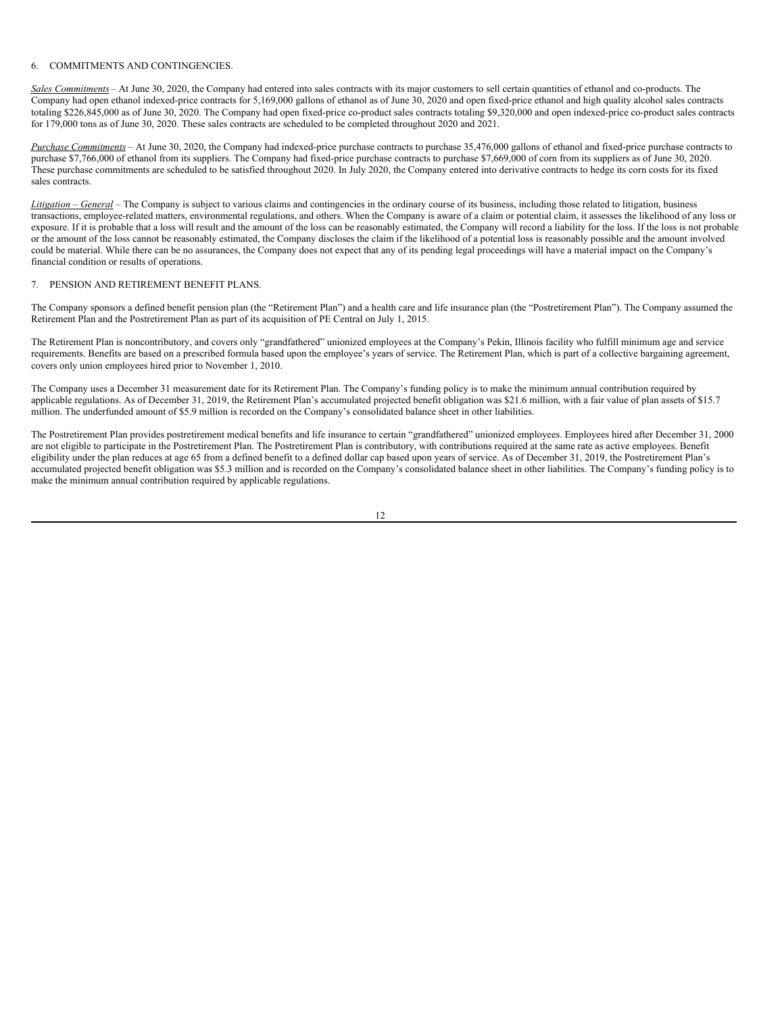## 6. COMMITMENTS AND CONTINGENCIES.

*Sales Commitments* – At June 30, 2020, the Company had entered into sales contracts with its major customers to sell certain quantities of ethanol and co-products. The Company had open ethanol indexed-price contracts for 5,169,000 gallons of ethanol as of June 30, 2020 and open fixed-price ethanol and high quality alcohol sales contracts totaling \$226,845,000 as of June 30, 2020. The Company had open fixed-price co-product sales contracts totaling \$9,320,000 and open indexed-price co-product sales contracts for 179,000 tons as of June 30, 2020. These sales contracts are scheduled to be completed throughout 2020 and 2021.

*Purchase Commitments* – At June 30, 2020, the Company had indexed-price purchase contracts to purchase 35,476,000 gallons of ethanol and fixed-price purchase contracts to purchase \$7,766,000 of ethanol from its suppliers. The Company had fixed-price purchase contracts to purchase \$7,669,000 of corn from its suppliers as of June 30, 2020. These purchase commitments are scheduled to be satisfied throughout 2020. In July 2020, the Company entered into derivative contracts to hedge its corn costs for its fixed sales contracts.

*Litigation* – *General* – The Company is subject to various claims and contingencies in the ordinary course of its business, including those related to litigation, business transactions, employee-related matters, environmental regulations, and others. When the Company is aware of a claim or potential claim, it assesses the likelihood of any loss or exposure. If it is probable that a loss will result and the amount of the loss can be reasonably estimated, the Company will record a liability for the loss. If the loss is not probable or the amount of the loss cannot be reasonably estimated, the Company discloses the claim if the likelihood of a potential loss is reasonably possible and the amount involved could be material. While there can be no assurances, the Company does not expect that any of its pending legal proceedings will have a material impact on the Company's financial condition or results of operations.

## 7. PENSION AND RETIREMENT BENEFIT PLANS.

The Company sponsors a defined benefit pension plan (the "Retirement Plan") and a health care and life insurance plan (the "Postretirement Plan"). The Company assumed the Retirement Plan and the Postretirement Plan as part of its acquisition of PE Central on July 1, 2015.

The Retirement Plan is noncontributory, and covers only "grandfathered" unionized employees at the Company's Pekin, Illinois facility who fulfill minimum age and service requirements. Benefits are based on a prescribed formula based upon the employee's years of service. The Retirement Plan, which is part of a collective bargaining agreement, covers only union employees hired prior to November 1, 2010.

The Company uses a December 31 measurement date for its Retirement Plan. The Company's funding policy is to make the minimum annual contribution required by applicable regulations. As of December 31, 2019, the Retirement Plan's accumulated projected benefit obligation was \$21.6 million, with a fair value of plan assets of \$15.7 million. The underfunded amount of \$5.9 million is recorded on the Company's consolidated balance sheet in other liabilities.

The Postretirement Plan provides postretirement medical benefits and life insurance to certain "grandfathered" unionized employees. Employees hired after December 31, 2000 are not eligible to participate in the Postretirement Plan. The Postretirement Plan is contributory, with contributions required at the same rate as active employees. Benefit eligibility under the plan reduces at age 65 from a defined benefit to a defined dollar cap based upon years of service. As of December 31, 2019, the Postretirement Plan's accumulated projected benefit obligation was \$5.3 million and is recorded on the Company's consolidated balance sheet in other liabilities. The Company's funding policy is to make the minimum annual contribution required by applicable regulations.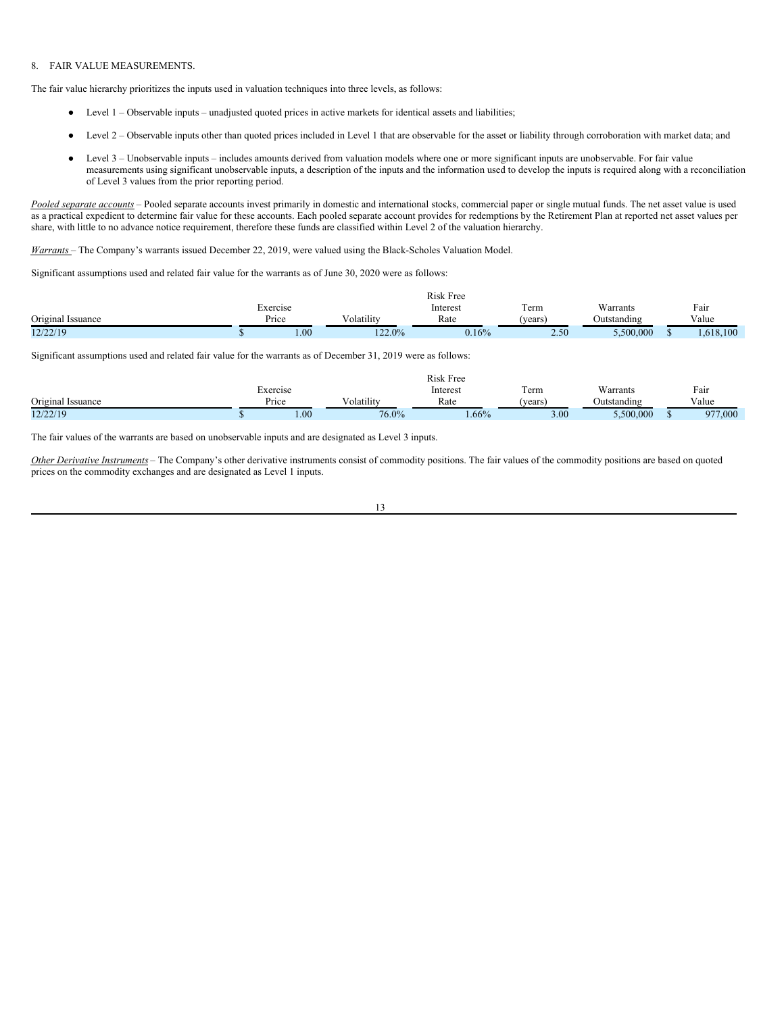## 8. FAIR VALUE MEASUREMENTS.

The fair value hierarchy prioritizes the inputs used in valuation techniques into three levels, as follows:

- Level 1 Observable inputs unadjusted quoted prices in active markets for identical assets and liabilities;
- Level 2 Observable inputs other than quoted prices included in Level 1 that are observable for the asset or liability through corroboration with market data; and
- Level 3 Unobservable inputs includes amounts derived from valuation models where one or more significant inputs are unobservable. For fair value measurements using significant unobservable inputs, a description of the inputs and the information used to develop the inputs is required along with a reconciliation of Level 3 values from the prior reporting period.

*Pooled separate accounts* – Pooled separate accounts invest primarily in domestic and international stocks, commercial paper or single mutual funds. The net asset value is used as a practical expedient to determine fair value for these accounts. Each pooled separate account provides for redemptions by the Retirement Plan at reported net asset values per share, with little to no advance notice requirement, therefore these funds are classified within Level 2 of the valuation hierarchy.

*Warrants* – The Company's warrants issued December 22, 2019, were valued using the Black-Scholes Valuation Model.

Significant assumptions used and related fair value for the warrants as of June 30, 2020 were as follows:

|                   |          |      |            | <b>Risk Free</b> |         |             |          |
|-------------------|----------|------|------------|------------------|---------|-------------|----------|
|                   | Exercise |      |            | Interest         | Term    | Warrants    | Fair     |
| Original Issuance | Price    |      | Volatility | Rate             | 'years, | Outstanding | Value    |
| 12/22/19          |          | 1.00 | 122.0%     | 0.16%            | 2.50    | 5,500,000   | .618,100 |

Significant assumptions used and related fair value for the warrants as of December 31, 2019 were as follows:

|                   |    | <b>Risk Free</b> |            |          |         |             |  |         |  |  |  |  |
|-------------------|----|------------------|------------|----------|---------|-------------|--|---------|--|--|--|--|
|                   | T. | Exercise         |            | Interest | l'erm   | Warrants    |  | Fair    |  |  |  |  |
| Original Issuance |    | Price            | Volatility | Rate     | 'years, | Jutstandıng |  | Value   |  |  |  |  |
| 12/22/19          |    | 1.00             | 76.0%      | 1.66%    | 3.00    | .500.000    |  | 977,000 |  |  |  |  |

The fair values of the warrants are based on unobservable inputs and are designated as Level 3 inputs.

*Other Derivative Instruments* – The Company's other derivative instruments consist of commodity positions. The fair values of the commodity positions are based on quoted prices on the commodity exchanges and are designated as Level 1 inputs.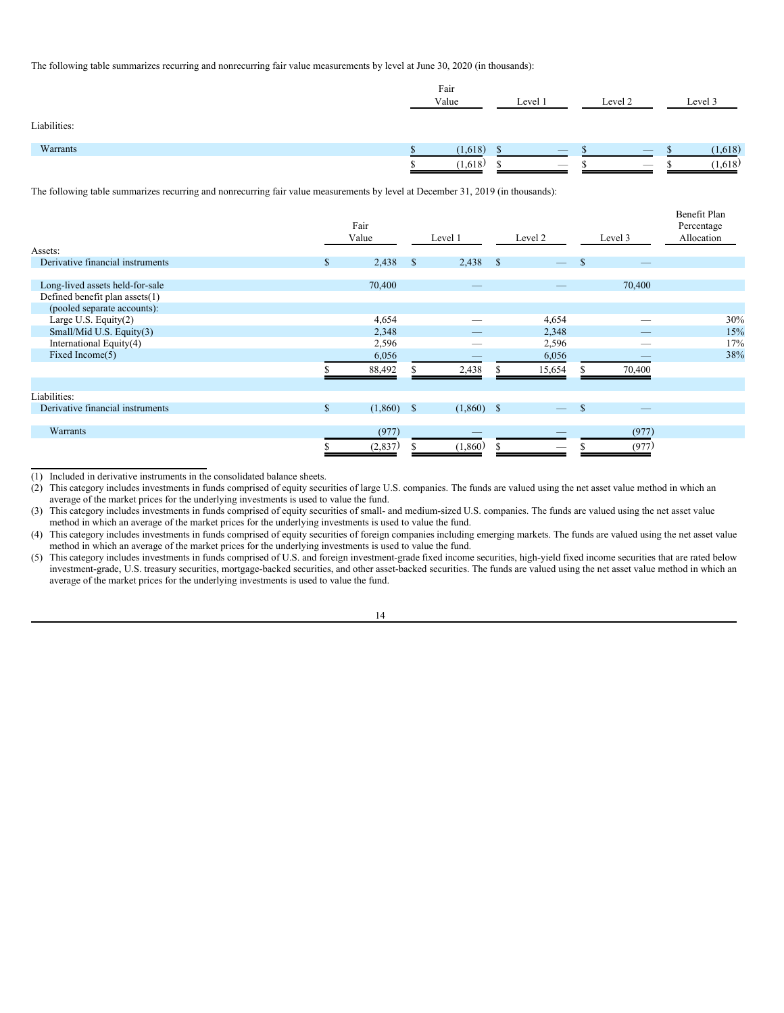The following table summarizes recurring and nonrecurring fair value measurements by level at June 30, 2020 (in thousands):

|              | Fair<br>Value<br>Level 1 |         |  | Level 2                         | Level 3                         |         |
|--------------|--------------------------|---------|--|---------------------------------|---------------------------------|---------|
| Liabilities: |                          |         |  |                                 |                                 |         |
| Warrants     |                          | (1,618) |  | $\hspace{0.1mm}-\hspace{0.1mm}$ | $\hspace{0.1mm}-\hspace{0.1mm}$ | (1,618) |
|              |                          | (1,618) |  | $\hspace{0.1mm}-\hspace{0.1mm}$ | $\hspace{0.1mm}-\hspace{0.1mm}$ | (1,618) |

The following table summarizes recurring and nonrecurring fair value measurements by level at December 31, 2019 (in thousands):

|                                  |              | Fair<br>Value |          | Level 1      | Level 2 |              | Level 3 | Benefit Plan<br>Percentage<br>Allocation |
|----------------------------------|--------------|---------------|----------|--------------|---------|--------------|---------|------------------------------------------|
| Assets:                          |              |               |          |              |         |              |         |                                          |
| Derivative financial instruments | S.           | 2,438         | <b>S</b> | $2,438$ \$   |         | $\mathbb{S}$ |         |                                          |
|                                  |              |               |          |              |         |              |         |                                          |
| Long-lived assets held-for-sale  |              | 70,400        |          |              |         |              | 70,400  |                                          |
| Defined benefit plan assets(1)   |              |               |          |              |         |              |         |                                          |
| (pooled separate accounts):      |              |               |          |              |         |              |         |                                          |
| Large U.S. Equity(2)             |              | 4,654         |          |              | 4,654   |              | --      | 30%                                      |
| Small/Mid U.S. Equity(3)         |              | 2,348         |          |              | 2,348   |              |         | 15%                                      |
| International Equity(4)          |              | 2,596         |          |              | 2,596   |              |         | 17%                                      |
| Fixed Income(5)                  |              | 6,056         |          |              | 6,056   |              |         | 38%                                      |
|                                  |              | 88,492        |          | 2,438        | 15,654  |              | 70,400  |                                          |
|                                  |              |               |          |              |         |              |         |                                          |
| Liabilities:                     |              |               |          |              |         |              |         |                                          |
| Derivative financial instruments | $\mathbb{S}$ | $(1,860)$ \$  |          | $(1,860)$ \$ |         | $\mathbb{S}$ |         |                                          |
|                                  |              |               |          |              |         |              |         |                                          |
| Warrants                         |              | (977)         |          |              |         |              | (977)   |                                          |
|                                  |              | (2,837)       |          | (1,860)      |         |              | (977)   |                                          |
|                                  |              |               |          |              |         |              |         |                                          |

(1) Included in derivative instruments in the consolidated balance sheets.

(2) This category includes investments in funds comprised of equity securities of large U.S. companies. The funds are valued using the net asset value method in which an average of the market prices for the underlying investments is used to value the fund.

(3) This category includes investments in funds comprised of equity securities of small- and medium-sized U.S. companies. The funds are valued using the net asset value method in which an average of the market prices for the underlying investments is used to value the fund.

(4) This category includes investments in funds comprised of equity securities of foreign companies including emerging markets. The funds are valued using the net asset value method in which an average of the market prices for the underlying investments is used to value the fund.

(5) This category includes investments in funds comprised of U.S. and foreign investment-grade fixed income securities, high-yield fixed income securities that are rated below investment-grade, U.S. treasury securities, mortgage-backed securities, and other asset-backed securities. The funds are valued using the net asset value method in which an average of the market prices for the underlying investments is used to value the fund.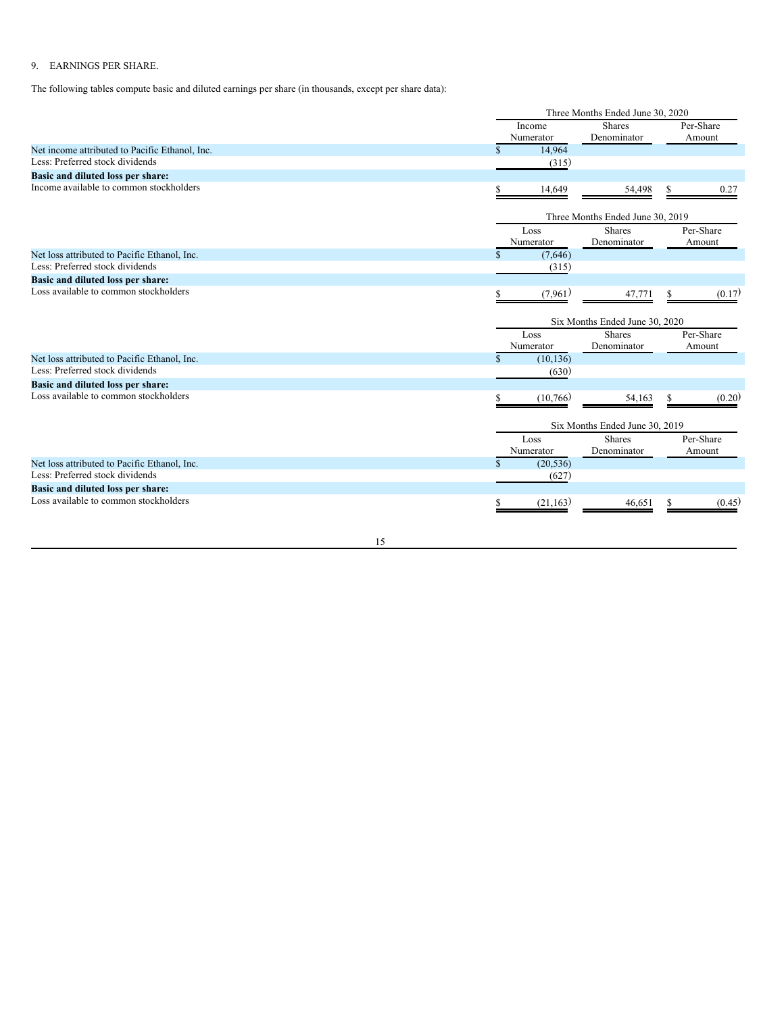# 9. EARNINGS PER SHARE.

The following tables compute basic and diluted earnings per share (in thousands, except per share data):

|                                                |                                |                     | Three Months Ended June 30, 2020 |     |                     |  |  |  |  |
|------------------------------------------------|--------------------------------|---------------------|----------------------------------|-----|---------------------|--|--|--|--|
|                                                |                                | Income<br>Numerator | <b>Shares</b><br>Denominator     |     | Per-Share<br>Amount |  |  |  |  |
| Net income attributed to Pacific Ethanol, Inc. | $\mathcal{S}$                  | 14.964              |                                  |     |                     |  |  |  |  |
| Less: Preferred stock dividends                |                                | (315)               |                                  |     |                     |  |  |  |  |
| Basic and diluted loss per share:              |                                |                     |                                  |     |                     |  |  |  |  |
| Income available to common stockholders        | S.                             | 14,649              | 54,498                           | S   | 0.27                |  |  |  |  |
|                                                |                                |                     | Three Months Ended June 30, 2019 |     |                     |  |  |  |  |
|                                                |                                | Loss                | <b>Shares</b>                    |     | Per-Share           |  |  |  |  |
|                                                |                                | Numerator           | Denominator                      |     | Amount              |  |  |  |  |
| Net loss attributed to Pacific Ethanol, Inc.   | $\overline{\mathbb{S}}$        | (7,646)             |                                  |     |                     |  |  |  |  |
| Less: Preferred stock dividends                |                                | (315)               |                                  |     |                     |  |  |  |  |
| Basic and diluted loss per share:              |                                |                     |                                  |     |                     |  |  |  |  |
| Loss available to common stockholders          |                                | (7,961)             | 47,771                           |     | (0.17)              |  |  |  |  |
|                                                |                                |                     | Six Months Ended June 30, 2020   |     |                     |  |  |  |  |
|                                                |                                | Loss<br>Numerator   | <b>Shares</b><br>Denominator     |     | Per-Share<br>Amount |  |  |  |  |
| Net loss attributed to Pacific Ethanol, Inc.   | $\mathbf{s}$                   | (10, 136)           |                                  |     |                     |  |  |  |  |
| Less: Preferred stock dividends                |                                | (630)               |                                  |     |                     |  |  |  |  |
| Basic and diluted loss per share:              |                                |                     |                                  |     |                     |  |  |  |  |
| Loss available to common stockholders          |                                | (10,766)            | 54,163                           |     | (0.20)              |  |  |  |  |
|                                                | Six Months Ended June 30, 2019 |                     |                                  |     |                     |  |  |  |  |
|                                                |                                | Loss                | <b>Shares</b>                    |     | Per-Share           |  |  |  |  |
|                                                |                                | Numerator           | Denominator                      |     | Amount              |  |  |  |  |
| Net loss attributed to Pacific Ethanol, Inc.   | \$                             | (20, 536)           |                                  |     |                     |  |  |  |  |
| Less: Preferred stock dividends                |                                | (627)               |                                  |     |                     |  |  |  |  |
| Basic and diluted loss per share:              |                                |                     |                                  |     |                     |  |  |  |  |
| Loss available to common stockholders          |                                | (21, 163)           | 46,651                           | \$. | (0.45)              |  |  |  |  |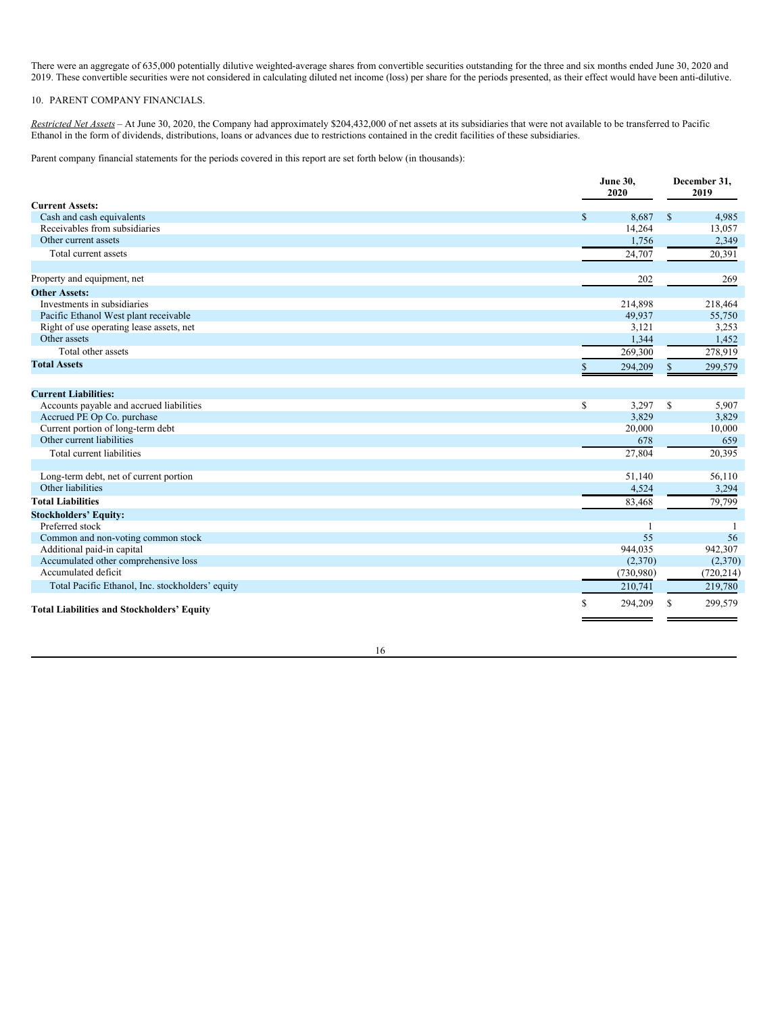There were an aggregate of 635,000 potentially dilutive weighted-average shares from convertible securities outstanding for the three and six months ended June 30, 2020 and 2019. These convertible securities were not considered in calculating diluted net income (loss) per share for the periods presented, as their effect would have been anti-dilutive.

## 10. PARENT COMPANY FINANCIALS.

*Restricted Net Assets –* At June 30, 2020, the Company had approximately \$204,432,000 of net assets at its subsidiaries that were not available to be transferred to Pacific Ethanol in the form of dividends, distributions, loans or advances due to restrictions contained in the credit facilities of these subsidiaries.

Parent company financial statements for the periods covered in this report are set forth below (in thousands):

| <b>June 30,</b><br>2020                                                |    | December 31,<br>2019 |
|------------------------------------------------------------------------|----|----------------------|
| <b>Current Assets:</b>                                                 |    |                      |
| $\mathbb{S}$<br>Cash and cash equivalents<br>8,687                     |    | \$<br>4,985          |
| Receivables from subsidiaries<br>14,264                                |    | 13,057               |
| Other current assets<br>1,756                                          |    | 2,349                |
| Total current assets<br>24,707                                         |    | 20,391               |
| Property and equipment, net<br>202                                     |    | 269                  |
| <b>Other Assets:</b>                                                   |    |                      |
| Investments in subsidiaries<br>214,898                                 |    | 218,464              |
| Pacific Ethanol West plant receivable<br>49,937                        |    | 55,750               |
| Right of use operating lease assets, net<br>3,121                      |    | 3,253                |
| Other assets<br>1,344                                                  |    | 1,452                |
| Total other assets<br>269,300                                          |    | 278,919              |
| <b>Total Assets</b><br>294,209                                         |    | 299,579              |
| <b>Current Liabilities:</b>                                            |    |                      |
| \$<br>Accounts payable and accrued liabilities<br>3,297                |    | \$<br>5,907          |
| Accrued PE Op Co. purchase<br>3,829                                    |    | 3,829                |
| Current portion of long-term debt<br>20,000                            |    | 10,000               |
| Other current liabilities<br>678                                       |    | 659                  |
| Total current liabilities<br>27,804                                    |    | 20,395               |
|                                                                        |    |                      |
| Long-term debt, net of current portion<br>51,140                       |    | 56,110               |
| Other liabilities<br>4,524                                             |    | 3,294                |
| <b>Total Liabilities</b><br>83,468                                     |    | 79,799               |
| <b>Stockholders' Equity:</b>                                           |    |                      |
| Preferred stock                                                        |    |                      |
| Common and non-voting common stock                                     | 55 | 56                   |
| Additional paid-in capital<br>944,035                                  |    | 942,307              |
| Accumulated other comprehensive loss<br>(2,370)<br>Accumulated deficit |    | (2,370)              |
| (730,980)                                                              |    | (720, 214)           |
| Total Pacific Ethanol, Inc. stockholders' equity<br>210,741            |    | 219,780              |
| S<br>294,209<br><b>Total Liabilities and Stockholders' Equity</b>      |    | 299,579<br>S         |

![](_page_17_Picture_5.jpeg)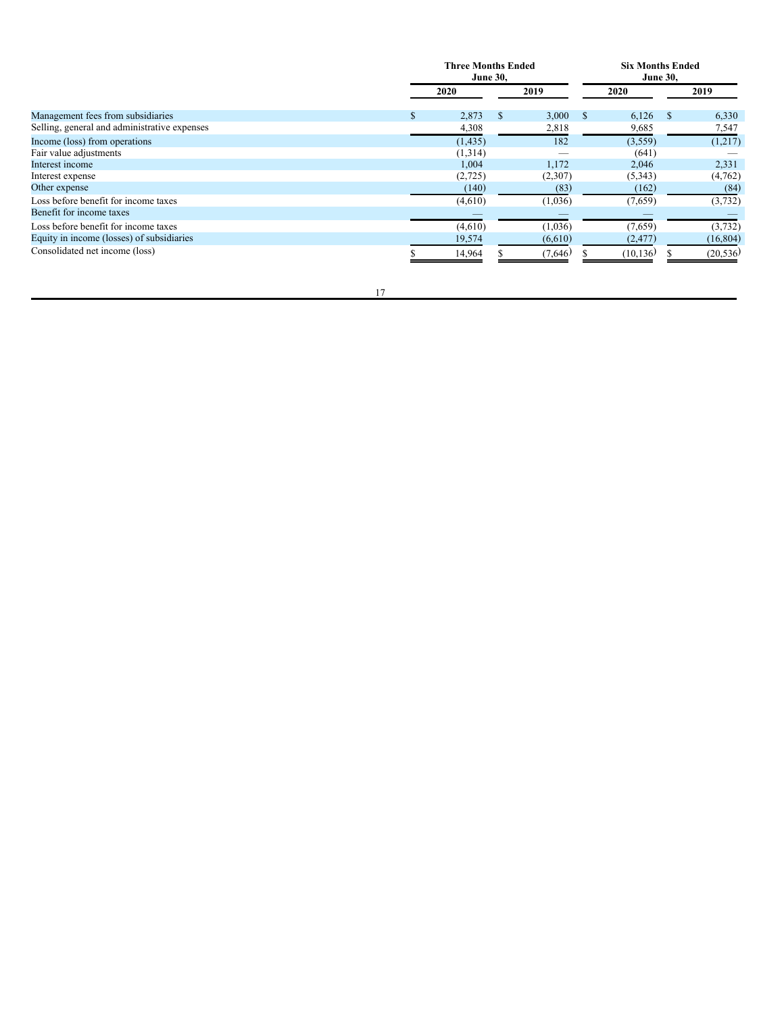|                                              |    | <b>Three Months Ended</b><br><b>June 30,</b> |               |         |              |            | <b>Six Months Ended</b><br><b>June 30,</b> |           |  |  |
|----------------------------------------------|----|----------------------------------------------|---------------|---------|--------------|------------|--------------------------------------------|-----------|--|--|
|                                              |    | 2020                                         |               | 2019    |              | 2020       |                                            | 2019      |  |  |
| Management fees from subsidiaries            | S. | 2,873                                        | <sup>\$</sup> | 3,000   | <sup>S</sup> | $6,126$ \$ |                                            | 6,330     |  |  |
| Selling, general and administrative expenses |    | 4,308                                        |               | 2,818   |              | 9,685      |                                            | 7,547     |  |  |
| Income (loss) from operations                |    | (1, 435)                                     |               | 182     |              | (3,559)    |                                            | (1,217)   |  |  |
| Fair value adjustments                       |    | (1,314)                                      |               |         |              | (641)      |                                            |           |  |  |
| Interest income                              |    | 1.004                                        |               | 1.172   |              | 2.046      |                                            | 2,331     |  |  |
| Interest expense                             |    | (2,725)                                      |               | (2,307) |              | (5,343)    |                                            | (4,762)   |  |  |
| Other expense                                |    | (140)                                        |               | (83)    |              | (162)      |                                            | (84)      |  |  |
| Loss before benefit for income taxes         |    | (4,610)                                      |               | (1,036) |              | (7,659)    |                                            | (3, 732)  |  |  |
| Benefit for income taxes                     |    |                                              |               |         |              |            |                                            |           |  |  |
| Loss before benefit for income taxes         |    | (4,610)                                      |               | (1,036) |              | (7,659)    |                                            | (3, 732)  |  |  |
| Equity in income (losses) of subsidiaries    |    | 19,574                                       |               | (6,610) |              | (2, 477)   |                                            | (16, 804) |  |  |
| Consolidated net income (loss)               |    | 14,964                                       |               | (7,646) |              | (10, 136)  |                                            | (20, 536) |  |  |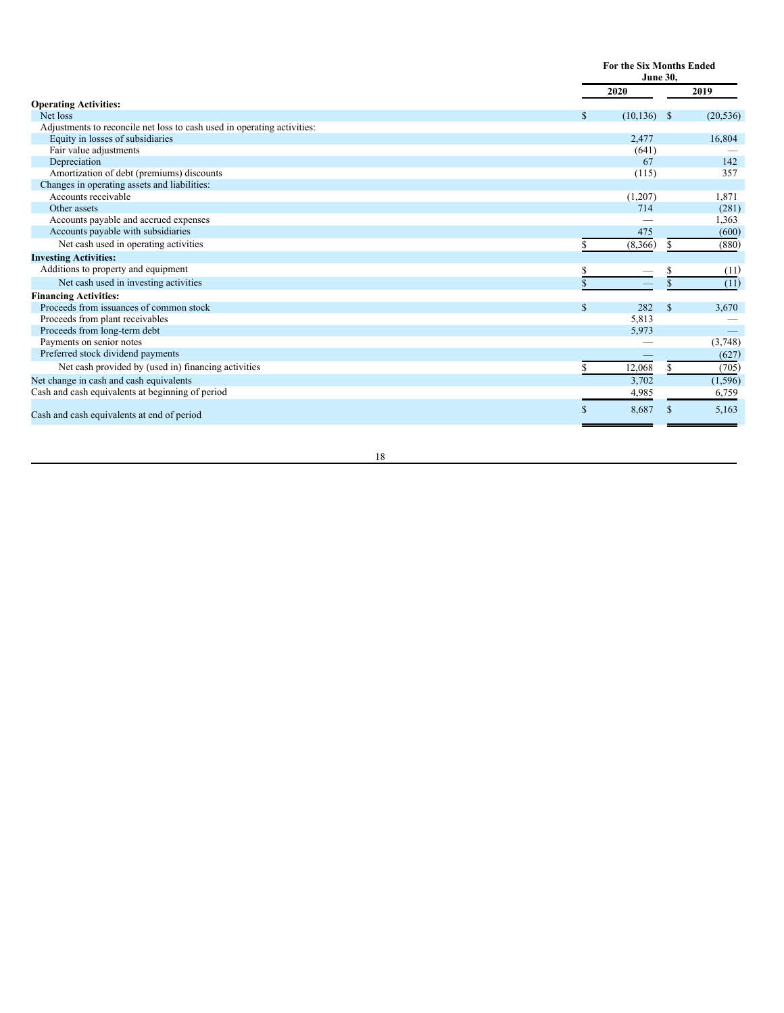|                                                                         |      | <b>For the Six Months Ended</b><br><b>June 30.</b> |           |
|-------------------------------------------------------------------------|------|----------------------------------------------------|-----------|
|                                                                         | 2020 |                                                    | 2019      |
| <b>Operating Activities:</b>                                            |      |                                                    |           |
| Net loss                                                                | S    | (10, 136)<br><sup>\$</sup>                         | (20, 536) |
| Adjustments to reconcile net loss to cash used in operating activities: |      |                                                    |           |
| Equity in losses of subsidiaries                                        |      | 2,477                                              | 16,804    |
| Fair value adjustments                                                  |      | (641)                                              |           |
| Depreciation                                                            |      | 67                                                 | 142       |
| Amortization of debt (premiums) discounts                               |      | (115)                                              | 357       |
| Changes in operating assets and liabilities:                            |      |                                                    |           |
| Accounts receivable                                                     |      | (1,207)                                            | 1,871     |
| Other assets                                                            |      | 714                                                | (281)     |
| Accounts payable and accrued expenses                                   |      |                                                    | 1,363     |
| Accounts payable with subsidiaries                                      |      | 475                                                | (600)     |
| Net cash used in operating activities                                   |      | (8,366)<br>\$                                      | (880)     |
| <b>Investing Activities:</b>                                            |      |                                                    |           |
| Additions to property and equipment                                     |      | S                                                  | (11)      |
| Net cash used in investing activities                                   |      | \$                                                 | (11)      |
| <b>Financing Activities:</b>                                            |      |                                                    |           |
| Proceeds from issuances of common stock                                 | \$   | 282<br>$\mathbb{S}$                                | 3,670     |
| Proceeds from plant receivables                                         |      | 5,813                                              |           |
| Proceeds from long-term debt                                            |      | 5,973                                              |           |
| Payments on senior notes                                                |      |                                                    | (3,748)   |
| Preferred stock dividend payments                                       |      |                                                    | (627)     |
| Net cash provided by (used in) financing activities                     |      | 12,068<br>\$                                       | (705)     |
| Net change in cash and cash equivalents                                 |      | 3,702                                              | (1, 596)  |
| Cash and cash equivalents at beginning of period                        |      | 4,985                                              | 6,759     |
| Cash and cash equivalents at end of period                              | S    | 8,687<br>\$                                        | 5,163     |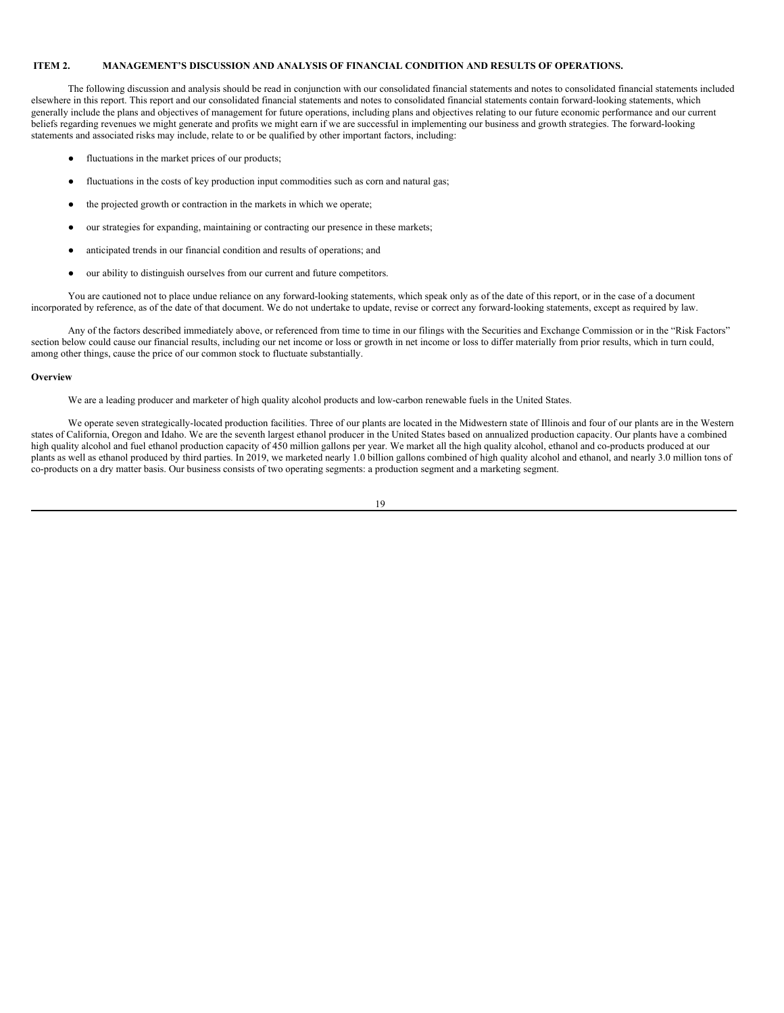## <span id="page-20-0"></span>**ITEM 2. MANAGEMENT'S DISCUSSION AND ANALYSIS OF FINANCIAL CONDITION AND RESULTS OF OPERATIONS.**

The following discussion and analysis should be read in conjunction with our consolidated financial statements and notes to consolidated financial statements included elsewhere in this report. This report and our consolidated financial statements and notes to consolidated financial statements contain forward-looking statements, which generally include the plans and objectives of management for future operations, including plans and objectives relating to our future economic performance and our current beliefs regarding revenues we might generate and profits we might earn if we are successful in implementing our business and growth strategies. The forward-looking statements and associated risks may include, relate to or be qualified by other important factors, including:

- fluctuations in the market prices of our products;
- fluctuations in the costs of key production input commodities such as corn and natural gas;
- the projected growth or contraction in the markets in which we operate;
- our strategies for expanding, maintaining or contracting our presence in these markets;
- anticipated trends in our financial condition and results of operations; and
- our ability to distinguish ourselves from our current and future competitors.

You are cautioned not to place undue reliance on any forward-looking statements, which speak only as of the date of this report, or in the case of a document incorporated by reference, as of the date of that document. We do not undertake to update, revise or correct any forward-looking statements, except as required by law.

Any of the factors described immediately above, or referenced from time to time in our filings with the Securities and Exchange Commission or in the "Risk Factors" section below could cause our financial results, including our net income or loss or growth in net income or loss to differ materially from prior results, which in turn could, among other things, cause the price of our common stock to fluctuate substantially.

#### **Overview**

We are a leading producer and marketer of high quality alcohol products and low-carbon renewable fuels in the United States.

We operate seven strategically-located production facilities. Three of our plants are located in the Midwestern state of Illinois and four of our plants are in the Western states of California, Oregon and Idaho. We are the seventh largest ethanol producer in the United States based on annualized production capacity. Our plants have a combined high quality alcohol and fuel ethanol production capacity of 450 million gallons per year. We market all the high quality alcohol, ethanol and co-products produced at our plants as well as ethanol produced by third parties. In 2019, we marketed nearly 1.0 billion gallons combined of high quality alcohol and ethanol, and nearly 3.0 million tons of co-products on a dry matter basis. Our business consists of two operating segments: a production segment and a marketing segment.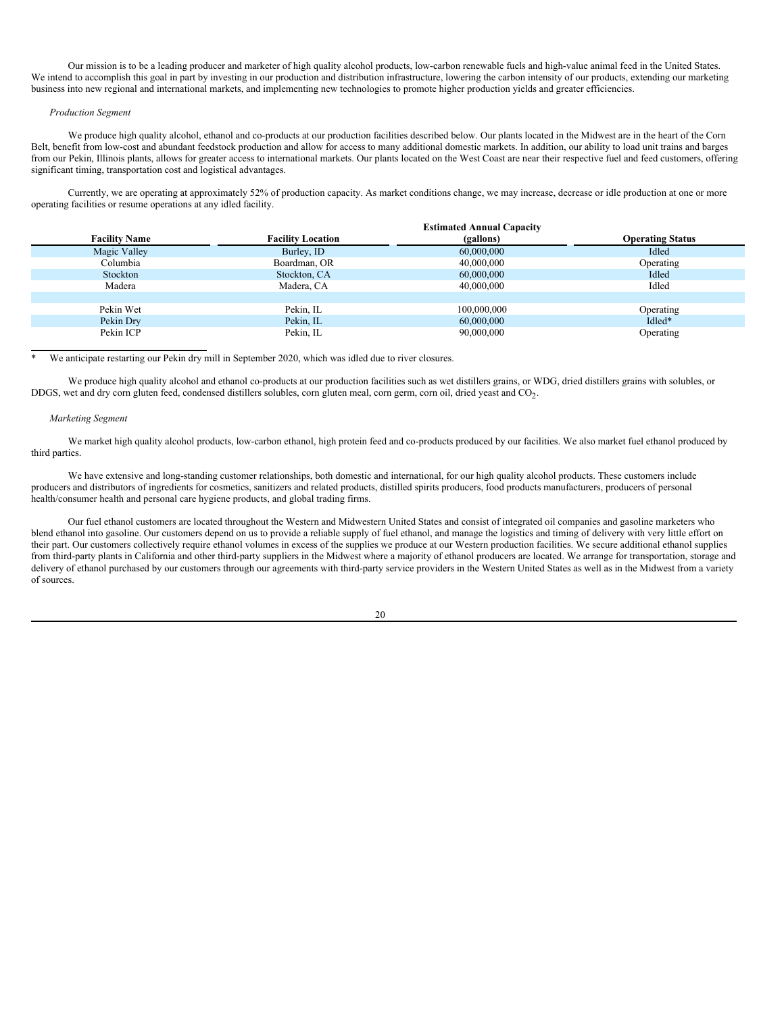Our mission is to be a leading producer and marketer of high quality alcohol products, low-carbon renewable fuels and high-value animal feed in the United States. We intend to accomplish this goal in part by investing in our production and distribution infrastructure, lowering the carbon intensity of our products, extending our marketing business into new regional and international markets, and implementing new technologies to promote higher production yields and greater efficiencies.

## *Production Segment*

We produce high quality alcohol, ethanol and co-products at our production facilities described below. Our plants located in the Midwest are in the heart of the Corn Belt, benefit from low-cost and abundant feedstock production and allow for access to many additional domestic markets. In addition, our ability to load unit trains and barges from our Pekin, Illinois plants, allows for greater access to international markets. Our plants located on the West Coast are near their respective fuel and feed customers, offering significant timing, transportation cost and logistical advantages.

Currently, we are operating at approximately 52% of production capacity. As market conditions change, we may increase, decrease or idle production at one or more operating facilities or resume operations at any idled facility.

|                      |                          | <b>Estimated Annual Capacity</b> |                         |
|----------------------|--------------------------|----------------------------------|-------------------------|
| <b>Facility Name</b> | <b>Facility Location</b> | (gallons)                        | <b>Operating Status</b> |
| Magic Valley         | Burley, ID               | 60,000,000                       | Idled                   |
| Columbia             | Boardman, OR             | 40,000,000                       | Operating               |
| Stockton             | Stockton, CA             | 60,000,000                       | Idled                   |
| Madera               | Madera, CA               | 40,000,000                       | Idled                   |
|                      |                          |                                  |                         |
| Pekin Wet            | Pekin, IL                | 100,000,000                      | Operating               |
| Pekin Dry            | Pekin, IL                | 60,000,000                       | Idled*                  |
| Pekin ICP            | Pekin, IL                | 90,000,000                       | Operating               |

We anticipate restarting our Pekin dry mill in September 2020, which was idled due to river closures.

We produce high quality alcohol and ethanol co-products at our production facilities such as wet distillers grains, or WDG, dried distillers grains with solubles, or DDGS, wet and dry corn gluten feed, condensed distillers solubles, corn gluten meal, corn germ, corn oil, dried yeast and  $CO<sub>2</sub>$ .

## *Marketing Segment*

We market high quality alcohol products, low-carbon ethanol, high protein feed and co-products produced by our facilities. We also market fuel ethanol produced by third parties.

We have extensive and long-standing customer relationships, both domestic and international, for our high quality alcohol products. These customers include producers and distributors of ingredients for cosmetics, sanitizers and related products, distilled spirits producers, food products manufacturers, producers of personal health/consumer health and personal care hygiene products, and global trading firms.

Our fuel ethanol customers are located throughout the Western and Midwestern United States and consist of integrated oil companies and gasoline marketers who blend ethanol into gasoline. Our customers depend on us to provide a reliable supply of fuel ethanol, and manage the logistics and timing of delivery with very little effort on their part. Our customers collectively require ethanol volumes in excess of the supplies we produce at our Western production facilities. We secure additional ethanol supplies from third-party plants in California and other third-party suppliers in the Midwest where a majority of ethanol producers are located. We arrange for transportation, storage and delivery of ethanol purchased by our customers through our agreements with third-party service providers in the Western United States as well as in the Midwest from a variety of sources.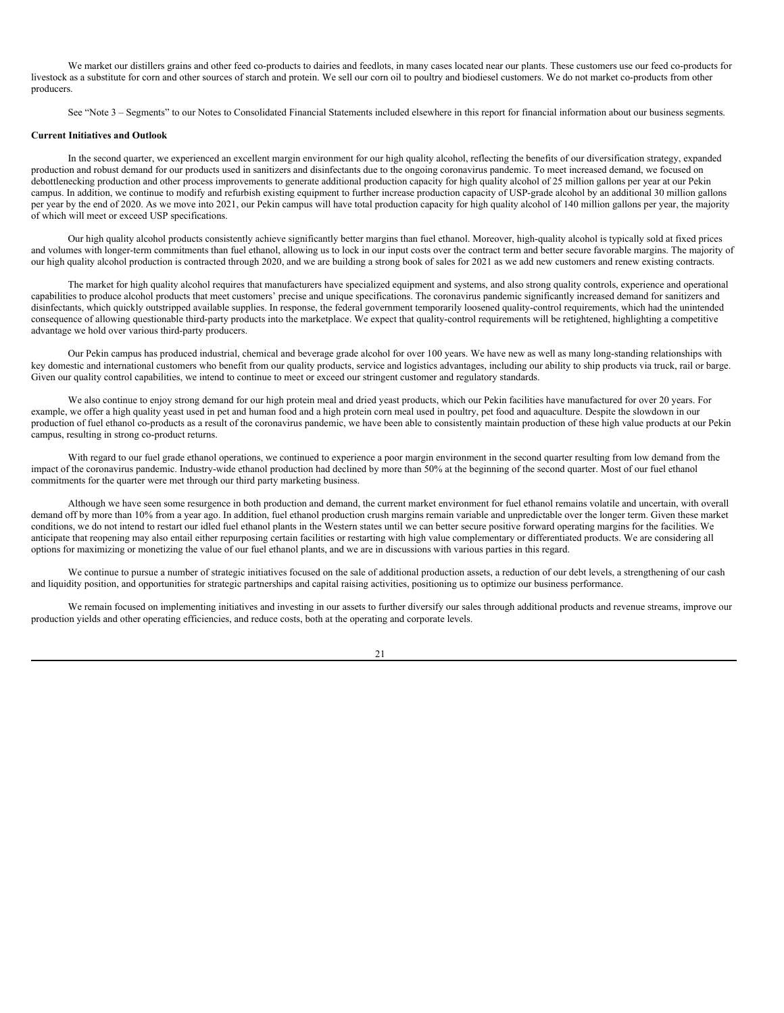We market our distillers grains and other feed co-products to dairies and feedlots, in many cases located near our plants. These customers use our feed co-products for livestock as a substitute for corn and other sources of starch and protein. We sell our corn oil to poultry and biodiesel customers. We do not market co-products from other producers.

See "Note 3 – Segments" to our Notes to Consolidated Financial Statements included elsewhere in this report for financial information about our business segments.

## **Current Initiatives and Outlook**

In the second quarter, we experienced an excellent margin environment for our high quality alcohol, reflecting the benefits of our diversification strategy, expanded production and robust demand for our products used in sanitizers and disinfectants due to the ongoing coronavirus pandemic. To meet increased demand, we focused on debottlenecking production and other process improvements to generate additional production capacity for high quality alcohol of 25 million gallons per year at our Pekin campus. In addition, we continue to modify and refurbish existing equipment to further increase production capacity of USP-grade alcohol by an additional 30 million gallons per year by the end of 2020. As we move into 2021, our Pekin campus will have total production capacity for high quality alcohol of 140 million gallons per year, the majority of which will meet or exceed USP specifications.

Our high quality alcohol products consistently achieve significantly better margins than fuel ethanol. Moreover, high-quality alcohol is typically sold at fixed prices and volumes with longer-term commitments than fuel ethanol, allowing us to lock in our input costs over the contract term and better secure favorable margins. The majority of our high quality alcohol production is contracted through 2020, and we are building a strong book of sales for 2021 as we add new customers and renew existing contracts.

The market for high quality alcohol requires that manufacturers have specialized equipment and systems, and also strong quality controls, experience and operational capabilities to produce alcohol products that meet customers' precise and unique specifications. The coronavirus pandemic significantly increased demand for sanitizers and disinfectants, which quickly outstripped available supplies. In response, the federal government temporarily loosened quality-control requirements, which had the unintended consequence of allowing questionable third-party products into the marketplace. We expect that quality-control requirements will be retightened, highlighting a competitive advantage we hold over various third-party producers.

Our Pekin campus has produced industrial, chemical and beverage grade alcohol for over 100 years. We have new as well as many long-standing relationships with key domestic and international customers who benefit from our quality products, service and logistics advantages, including our ability to ship products via truck, rail or barge. Given our quality control capabilities, we intend to continue to meet or exceed our stringent customer and regulatory standards.

We also continue to enjoy strong demand for our high protein meal and dried yeast products, which our Pekin facilities have manufactured for over 20 years. For example, we offer a high quality yeast used in pet and human food and a high protein corn meal used in poultry, pet food and aquaculture. Despite the slowdown in our production of fuel ethanol co-products as a result of the coronavirus pandemic, we have been able to consistently maintain production of these high value products at our Pekin campus, resulting in strong co-product returns.

With regard to our fuel grade ethanol operations, we continued to experience a poor margin environment in the second quarter resulting from low demand from the impact of the coronavirus pandemic. Industry-wide ethanol production had declined by more than 50% at the beginning of the second quarter. Most of our fuel ethanol commitments for the quarter were met through our third party marketing business.

Although we have seen some resurgence in both production and demand, the current market environment for fuel ethanol remains volatile and uncertain, with overall demand off by more than 10% from a year ago. In addition, fuel ethanol production crush margins remain variable and unpredictable over the longer term. Given these market conditions, we do not intend to restart our idled fuel ethanol plants in the Western states until we can better secure positive forward operating margins for the facilities. We anticipate that reopening may also entail either repurposing certain facilities or restarting with high value complementary or differentiated products. We are considering all options for maximizing or monetizing the value of our fuel ethanol plants, and we are in discussions with various parties in this regard.

We continue to pursue a number of strategic initiatives focused on the sale of additional production assets, a reduction of our debt levels, a strengthening of our cash and liquidity position, and opportunities for strategic partnerships and capital raising activities, positioning us to optimize our business performance.

We remain focused on implementing initiatives and investing in our assets to further diversify our sales through additional products and revenue streams, improve our production yields and other operating efficiencies, and reduce costs, both at the operating and corporate levels.

![](_page_22_Picture_12.jpeg)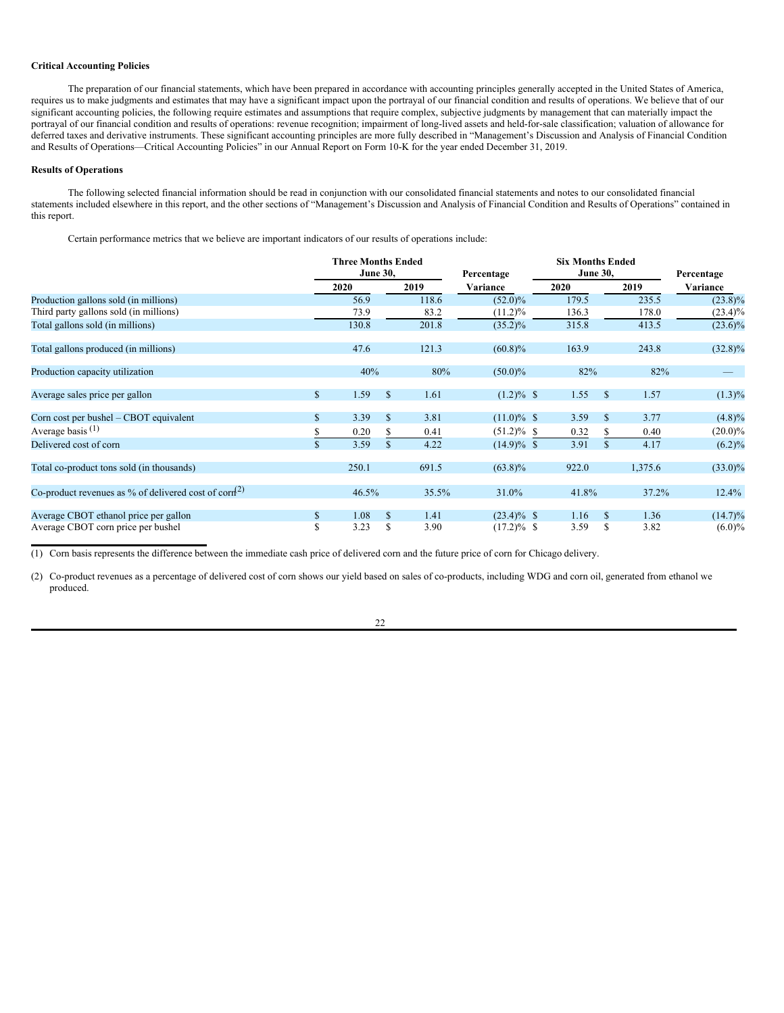## **Critical Accounting Policies**

The preparation of our financial statements, which have been prepared in accordance with accounting principles generally accepted in the United States of America, requires us to make judgments and estimates that may have a significant impact upon the portrayal of our financial condition and results of operations. We believe that of our significant accounting policies, the following require estimates and assumptions that require complex, subjective judgments by management that can materially impact the portrayal of our financial condition and results of operations: revenue recognition; impairment of long-lived assets and held-for-sale classification; valuation of allowance for deferred taxes and derivative instruments. These significant accounting principles are more fully described in "Management's Discussion and Analysis of Financial Condition and Results of Operations—Critical Accounting Policies" in our Annual Report on Form 10-K for the year ended December 31, 2019.

## **Results of Operations**

The following selected financial information should be read in conjunction with our consolidated financial statements and notes to our consolidated financial statements included elsewhere in this report, and the other sections of "Management's Discussion and Analysis of Financial Condition and Results of Operations" contained in this report.

Certain performance metrics that we believe are important indicators of our results of operations include:

|                                                                   |              | <b>Three Months Ended</b><br><b>June 30,</b> |             |       | Percentage    | <b>Six Months Ended</b> | Percentage |          |                          |
|-------------------------------------------------------------------|--------------|----------------------------------------------|-------------|-------|---------------|-------------------------|------------|----------|--------------------------|
|                                                                   |              | 2020                                         |             | 2019  | Variance      | 2020                    |            | 2019     | Variance                 |
| Production gallons sold (in millions)                             |              | 56.9                                         |             | 118.6 | $(52.0)\%$    | 179.5                   |            | 235.5    | $(23.8)\%$               |
| Third party gallons sold (in millions)                            |              | 73.9                                         |             | 83.2  | $(11.2)\%$    | 136.3                   |            | 178.0    | $(23.4)\%$               |
| Total gallons sold (in millions)                                  |              | 130.8                                        |             | 201.8 | $(35.2)\%$    | 315.8                   |            | 413.5    | $(23.6)\%$               |
| Total gallons produced (in millions)                              |              | 47.6                                         |             | 121.3 | $(60.8)\%$    | 163.9                   |            | 243.8    | $(32.8)\%$               |
| Production capacity utilization                                   |              | 40%                                          |             | 80%   | $(50.0)\%$    | 82%                     |            | 82%      | $\overline{\phantom{m}}$ |
| Average sales price per gallon                                    | $\mathbb{S}$ | 1.59                                         | $\mathbf S$ | 1.61  | $(1.2)\%$ \$  | 1.55                    | \$.        | 1.57     | $(1.3)\%$                |
| Corn cost per bushel – CBOT equivalent                            | S.           | 3.39                                         | S           | 3.81  | $(11.0)\%$ \$ | 3.59                    | \$.        | 3.77     | $(4.8)\%$                |
| Average basis $(1)$                                               |              | 0.20                                         | S.          | 0.41  | $(51.2)\%$ \$ | 0.32                    |            | 0.40     | $(20.0)\%$               |
| Delivered cost of corn                                            | $\mathbb{S}$ | 3.59                                         | $\mathbf S$ | 4.22  | $(14.9)\%$ \$ | 3.91                    | \$         | 4.17     | $(6.2)\%$                |
| Total co-product tons sold (in thousands)                         |              | 250.1                                        |             | 691.5 | $(63.8)\%$    | 922.0                   |            | 1,375.6  | $(33.0)\%$               |
| Co-product revenues as % of delivered cost of corn <sup>(2)</sup> |              | 46.5%                                        |             | 35.5% | 31.0%         | 41.8%                   |            | $37.2\%$ | 12.4%                    |
| Average CBOT ethanol price per gallon                             | $\mathbb{S}$ | 1.08                                         | $\mathbf S$ | 1.41  | $(23.4)\%$ \$ | 1.16                    | \$.        | 1.36     | $(14.7)\%$               |
| Average CBOT corn price per bushel                                | S            | 3.23                                         | S           | 3.90  | $(17.2)\%$ \$ | 3.59                    | S          | 3.82     | $(6.0)\%$                |

(1) Corn basis represents the difference between the immediate cash price of delivered corn and the future price of corn for Chicago delivery.

(2) Co-product revenues as a percentage of delivered cost of corn shows our yield based on sales of co-products, including WDG and corn oil, generated from ethanol we produced.

![](_page_23_Picture_8.jpeg)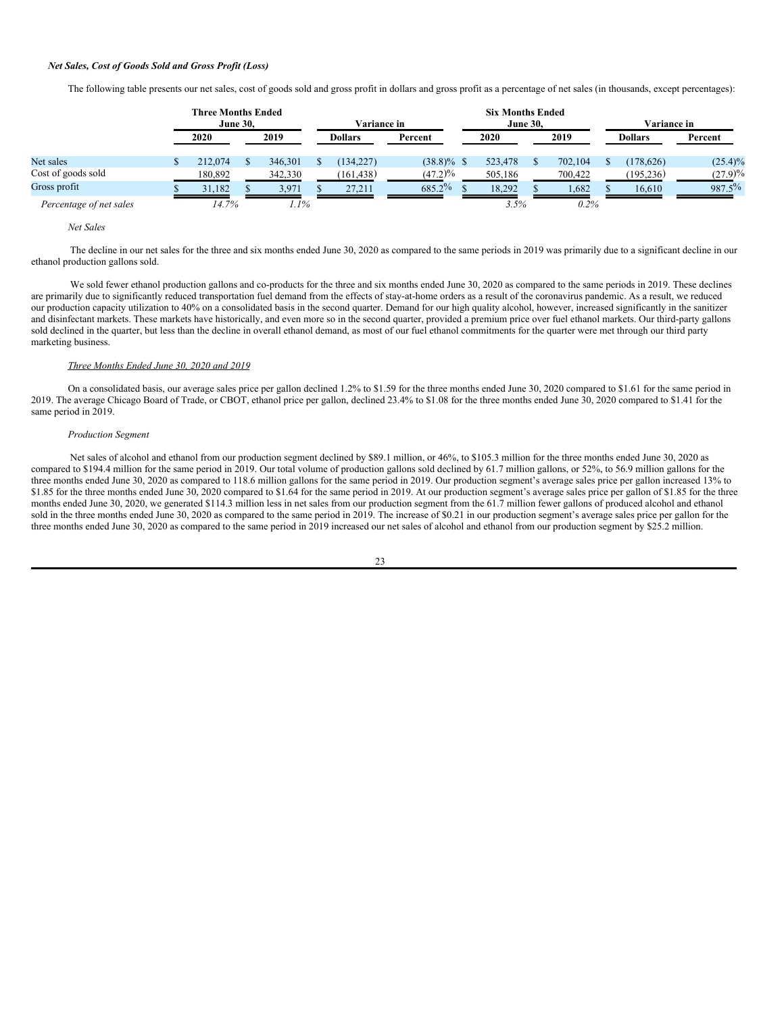#### *Net Sales, Cost of Goods Sold and Gross Profit (Loss)*

The following table presents our net sales, cost of goods sold and gross profit in dollars and gross profit as a percentage of net sales (in thousands, except percentages):

|                         | <b>Three Months Ended</b><br><b>June 30.</b> |         | <b>Six Months Ended</b><br><b>Variance in</b><br><b>June 30.</b> |               |  |         |  |         | Variance in |                |            |  |  |
|-------------------------|----------------------------------------------|---------|------------------------------------------------------------------|---------------|--|---------|--|---------|-------------|----------------|------------|--|--|
|                         | 2020                                         | 2019    | <b>Dollars</b>                                                   | Percent       |  | 2020    |  | 2019    |             | <b>Dollars</b> | Percent    |  |  |
| Net sales               | 212,074                                      | 346,301 | (134.227)                                                        | $(38.8)\%$ \$ |  | 523,478 |  | 702.104 |             | (178.626)      | $(25.4)\%$ |  |  |
| Cost of goods sold      | 180.892                                      | 342,330 | (161, 438)                                                       | $(47.2)\%$    |  | 505,186 |  | 700,422 |             | (195, 236)     | $(27.9)\%$ |  |  |
| Gross profit            | 31,182                                       | 3,971   | 27.211                                                           | $685.2\%$     |  | 18.292  |  | 1,682   |             | 16.610         | $987.5\%$  |  |  |
| Percentage of net sales | 14.7%                                        | $1.1\%$ |                                                                  |               |  | 3.5%    |  | 0.2%    |             |                |            |  |  |

## *Net Sales*

The decline in our net sales for the three and six months ended June 30, 2020 as compared to the same periods in 2019 was primarily due to a significant decline in our ethanol production gallons sold.

We sold fewer ethanol production gallons and co-products for the three and six months ended June 30, 2020 as compared to the same periods in 2019. These declines are primarily due to significantly reduced transportation fuel demand from the effects of stay-at-home orders as a result of the coronavirus pandemic. As a result, we reduced our production capacity utilization to 40% on a consolidated basis in the second quarter. Demand for our high quality alcohol, however, increased significantly in the sanitizer and disinfectant markets. These markets have historically, and even more so in the second quarter, provided a premium price over fuel ethanol markets. Our third-party gallons sold declined in the quarter, but less than the decline in overall ethanol demand, as most of our fuel ethanol commitments for the quarter were met through our third party marketing business.

## *Three Months Ended June 30, 2020 and 2019*

On a consolidated basis, our average sales price per gallon declined 1.2% to \$1.59 for the three months ended June 30, 2020 compared to \$1.61 for the same period in 2019. The average Chicago Board of Trade, or CBOT, ethanol price per gallon, declined 23.4% to \$1.08 for the three months ended June 30, 2020 compared to \$1.41 for the same period in 2019.

## *Production Segment*

Net sales of alcohol and ethanol from our production segment declined by \$89.1 million, or 46%, to \$105.3 million for the three months ended June 30, 2020 as compared to \$194.4 million for the same period in 2019. Our total volume of production gallons sold declined by 61.7 million gallons, or 52%, to 56.9 million gallons for the three months ended June 30, 2020 as compared to 118.6 million gallons for the same period in 2019. Our production segment's average sales price per gallon increased 13% to \$1.85 for the three months ended June 30, 2020 compared to \$1.64 for the same period in 2019. At our production segment's average sales price per gallon of \$1.85 for the three months ended June 30, 2020, we generated \$114.3 million less in net sales from our production segment from the 61.7 million fewer gallons of produced alcohol and ethanol sold in the three months ended June 30, 2020 as compared to the same period in 2019. The increase of \$0.21 in our production segment's average sales price per gallon for the three months ended June 30, 2020 as compared to the same period in 2019 increased our net sales of alcohol and ethanol from our production segment by \$25.2 million.

![](_page_24_Picture_10.jpeg)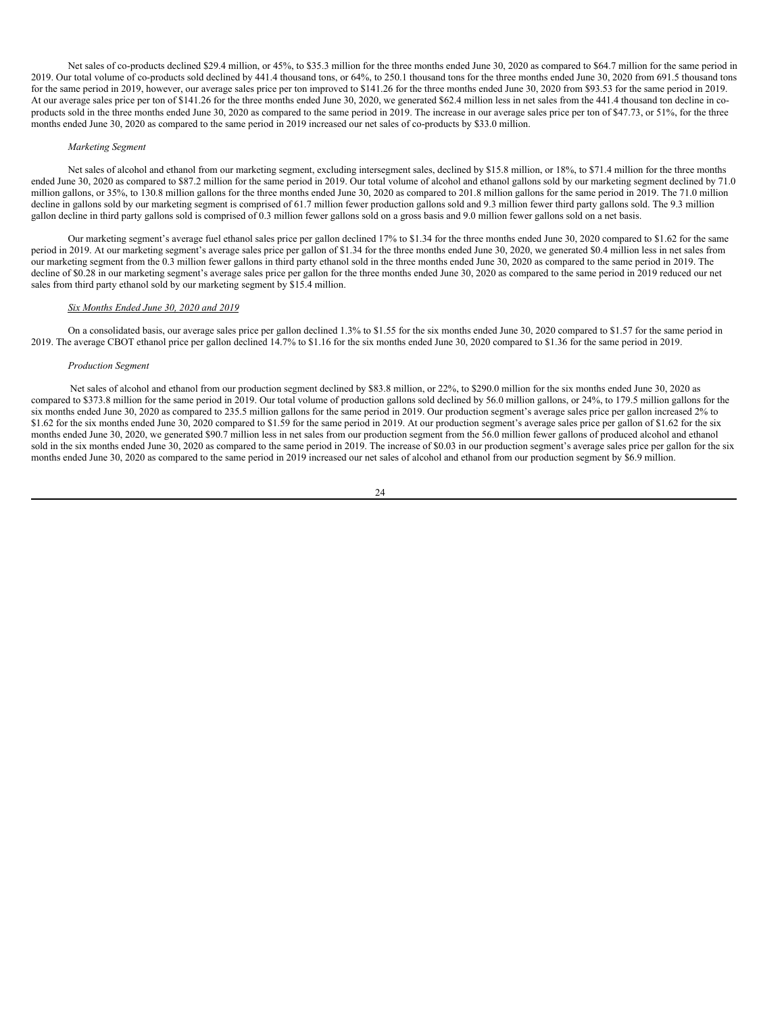Net sales of co-products declined \$29.4 million, or 45%, to \$35.3 million for the three months ended June 30, 2020 as compared to \$64.7 million for the same period in 2019. Our total volume of co-products sold declined by 441.4 thousand tons, or 64%, to 250.1 thousand tons for the three months ended June 30, 2020 from 691.5 thousand tons for the same period in 2019, however, our average sales price per ton improved to \$141.26 for the three months ended June 30, 2020 from \$93.53 for the same period in 2019. At our average sales price per ton of \$141.26 for the three months ended June 30, 2020, we generated \$62.4 million less in net sales from the 441.4 thousand ton decline in coproducts sold in the three months ended June 30, 2020 as compared to the same period in 2019. The increase in our average sales price per ton of \$47.73, or 51%, for the three months ended June 30, 2020 as compared to the same period in 2019 increased our net sales of co-products by \$33.0 million.

### *Marketing Segment*

Net sales of alcohol and ethanol from our marketing segment, excluding intersegment sales, declined by \$15.8 million, or 18%, to \$71.4 million for the three months ended June 30, 2020 as compared to \$87.2 million for the same period in 2019. Our total volume of alcohol and ethanol gallons sold by our marketing segment declined by 71.0 million gallons, or 35%, to 130.8 million gallons for the three months ended June 30, 2020 as compared to 201.8 million gallons for the same period in 2019. The 71.0 million decline in gallons sold by our marketing segment is comprised of 61.7 million fewer production gallons sold and 9.3 million fewer third party gallons sold. The 9.3 million gallon decline in third party gallons sold is comprised of 0.3 million fewer gallons sold on a gross basis and 9.0 million fewer gallons sold on a net basis.

Our marketing segment's average fuel ethanol sales price per gallon declined 17% to \$1.34 for the three months ended June 30, 2020 compared to \$1.62 for the same period in 2019. At our marketing segment's average sales price per gallon of \$1.34 for the three months ended June 30, 2020, we generated \$0.4 million less in net sales from our marketing segment from the 0.3 million fewer gallons in third party ethanol sold in the three months ended June 30, 2020 as compared to the same period in 2019. The decline of \$0.28 in our marketing segment's average sales price per gallon for the three months ended June 30, 2020 as compared to the same period in 2019 reduced our net sales from third party ethanol sold by our marketing segment by \$15.4 million.

## *Six Months Ended June 30, 2020 and 2019*

On a consolidated basis, our average sales price per gallon declined 1.3% to \$1.55 for the six months ended June 30, 2020 compared to \$1.57 for the same period in 2019. The average CBOT ethanol price per gallon declined 14.7% to \$1.16 for the six months ended June 30, 2020 compared to \$1.36 for the same period in 2019.

## *Production Segment*

Net sales of alcohol and ethanol from our production segment declined by \$83.8 million, or 22%, to \$290.0 million for the six months ended June 30, 2020 as compared to \$373.8 million for the same period in 2019. Our total volume of production gallons sold declined by 56.0 million gallons, or 24%, to 179.5 million gallons for the six months ended June 30, 2020 as compared to 235.5 million gallons for the same period in 2019. Our production segment's average sales price per gallon increased 2% to \$1.62 for the six months ended June 30, 2020 compared to \$1.59 for the same period in 2019. At our production segment's average sales price per gallon of \$1.62 for the six months ended June 30, 2020, we generated \$90.7 million less in net sales from our production segment from the 56.0 million fewer gallons of produced alcohol and ethanol sold in the six months ended June 30, 2020 as compared to the same period in 2019. The increase of \$0.03 in our production segment's average sales price per gallon for the six months ended June 30, 2020 as compared to the same period in 2019 increased our net sales of alcohol and ethanol from our production segment by \$6.9 million.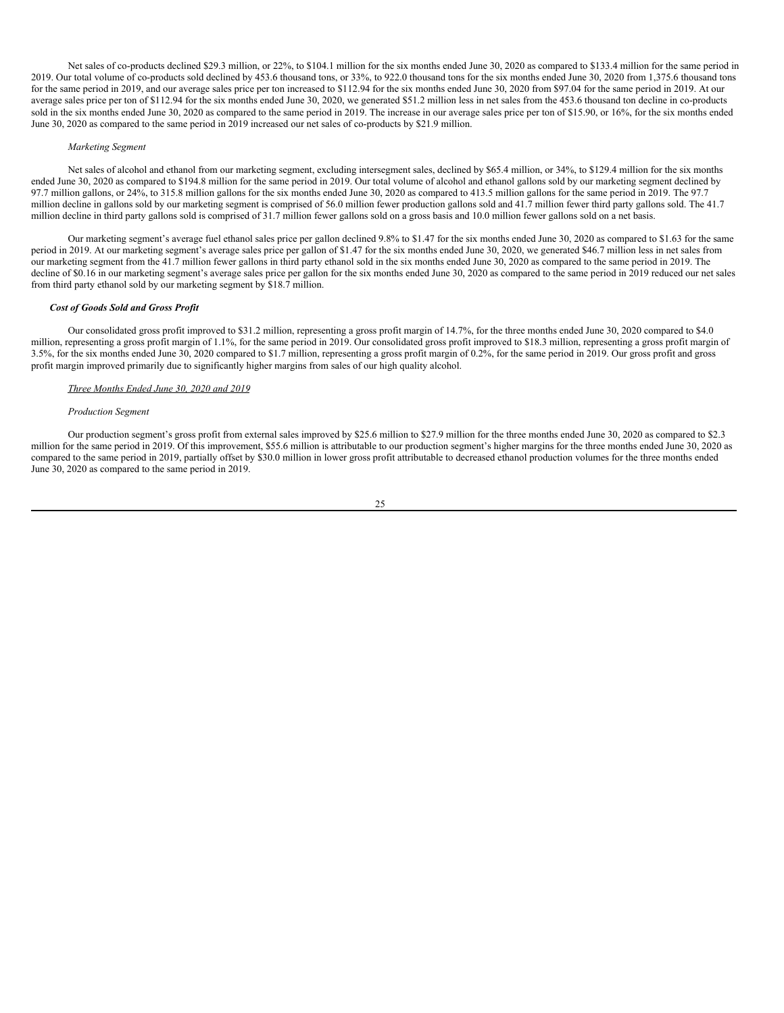Net sales of co-products declined \$29.3 million, or 22%, to \$104.1 million for the six months ended June 30, 2020 as compared to \$133.4 million for the same period in 2019. Our total volume of co-products sold declined by 453.6 thousand tons, or 33%, to 922.0 thousand tons for the six months ended June 30, 2020 from 1,375.6 thousand tons for the same period in 2019, and our average sales price per ton increased to \$112.94 for the six months ended June 30, 2020 from \$97.04 for the same period in 2019. At our average sales price per ton of \$112.94 for the six months ended June 30, 2020, we generated \$51.2 million less in net sales from the 453.6 thousand ton decline in co-products sold in the six months ended June 30, 2020 as compared to the same period in 2019. The increase in our average sales price per ton of \$15.90, or 16%, for the six months ended June 30, 2020 as compared to the same period in 2019 increased our net sales of co-products by \$21.9 million.

## *Marketing Segment*

Net sales of alcohol and ethanol from our marketing segment, excluding intersegment sales, declined by \$65.4 million, or 34%, to \$129.4 million for the six months ended June 30, 2020 as compared to \$194.8 million for the same period in 2019. Our total volume of alcohol and ethanol gallons sold by our marketing segment declined by 97.7 million gallons, or 24%, to 315.8 million gallons for the six months ended June 30, 2020 as compared to 413.5 million gallons for the same period in 2019. The 97.7 million decline in gallons sold by our marketing segment is comprised of 56.0 million fewer production gallons sold and 41.7 million fewer third party gallons sold. The 41.7 million decline in third party gallons sold is comprised of 31.7 million fewer gallons sold on a gross basis and 10.0 million fewer gallons sold on a net basis.

Our marketing segment's average fuel ethanol sales price per gallon declined 9.8% to \$1.47 for the six months ended June 30, 2020 as compared to \$1.63 for the same period in 2019. At our marketing segment's average sales price per gallon of \$1.47 for the six months ended June 30, 2020, we generated \$46.7 million less in net sales from our marketing segment from the 41.7 million fewer gallons in third party ethanol sold in the six months ended June 30, 2020 as compared to the same period in 2019. The decline of \$0.16 in our marketing segment's average sales price per gallon for the six months ended June 30, 2020 as compared to the same period in 2019 reduced our net sales from third party ethanol sold by our marketing segment by \$18.7 million.

### *Cost of Goods Sold and Gross Profit*

Our consolidated gross profit improved to \$31.2 million, representing a gross profit margin of 14.7%, for the three months ended June 30, 2020 compared to \$4.0 million, representing a gross profit margin of 1.1%, for the same period in 2019. Our consolidated gross profit improved to \$18.3 million, representing a gross profit margin of 3.5%, for the six months ended June 30, 2020 compared to \$1.7 million, representing a gross profit margin of 0.2%, for the same period in 2019. Our gross profit and gross profit margin improved primarily due to significantly higher margins from sales of our high quality alcohol.

## *Three Months Ended June 30, 2020 and 2019*

#### *Production Segment*

Our production segment's gross profit from external sales improved by \$25.6 million to \$27.9 million for the three months ended June 30, 2020 as compared to \$2.3 million for the same period in 2019. Of this improvement, \$55.6 million is attributable to our production segment's higher margins for the three months ended June 30, 2020 as compared to the same period in 2019, partially offset by \$30.0 million in lower gross profit attributable to decreased ethanol production volumes for the three months ended June 30, 2020 as compared to the same period in 2019.

![](_page_26_Picture_9.jpeg)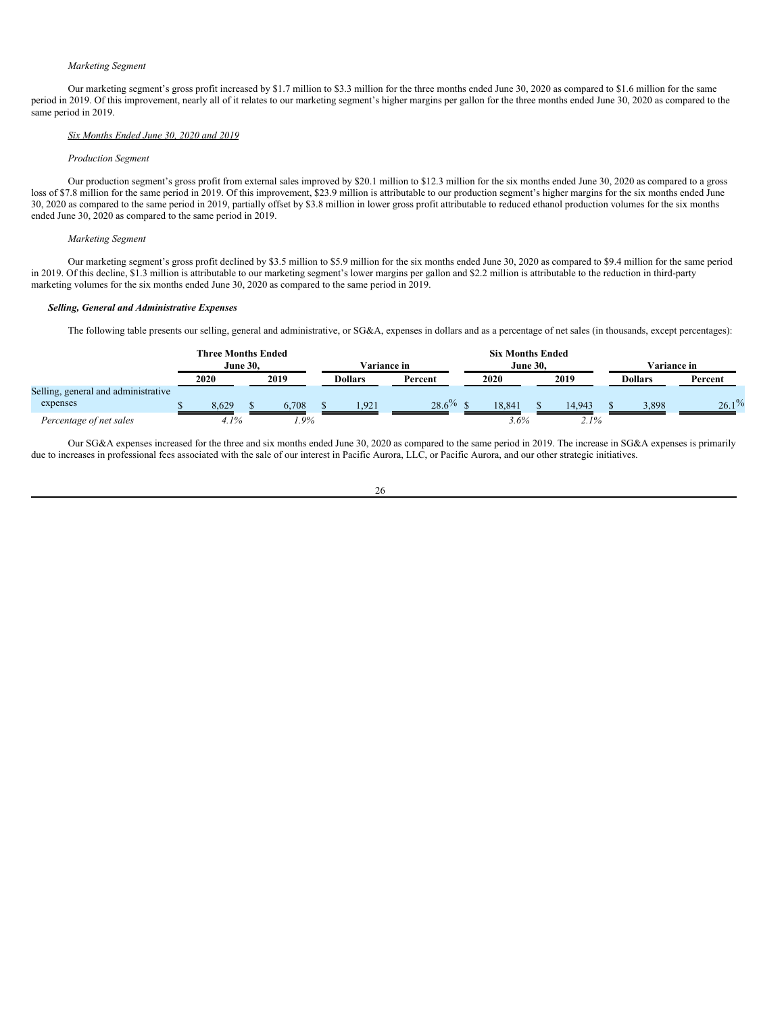### *Marketing Segment*

Our marketing segment's gross profit increased by \$1.7 million to \$3.3 million for the three months ended June 30, 2020 as compared to \$1.6 million for the same period in 2019. Of this improvement, nearly all of it relates to our marketing segment's higher margins per gallon for the three months ended June 30, 2020 as compared to the same period in 2019.

## *Six Months Ended June 30, 2020 and 2019*

#### *Production Segment*

Our production segment's gross profit from external sales improved by \$20.1 million to \$12.3 million for the six months ended June 30, 2020 as compared to a gross loss of \$7.8 million for the same period in 2019. Of this improvement, \$23.9 million is attributable to our production segment's higher margins for the six months ended June 30, 2020 as compared to the same period in 2019, partially offset by \$3.8 million in lower gross profit attributable to reduced ethanol production volumes for the six months ended June 30, 2020 as compared to the same period in 2019.

## *Marketing Segment*

Our marketing segment's gross profit declined by \$3.5 million to \$5.9 million for the six months ended June 30, 2020 as compared to \$9.4 million for the same period in 2019. Of this decline, \$1.3 million is attributable to our marketing segment's lower margins per gallon and \$2.2 million is attributable to the reduction in third-party marketing volumes for the six months ended June 30, 2020 as compared to the same period in 2019.

## *Selling, General and Administrative Expenses*

The following table presents our selling, general and administrative, or SG&A, expenses in dollars and as a percentage of net sales (in thousands, except percentages):

|                                     | <b>Three Months Ended</b><br><b>June 30.</b> |       |  |       |  | <b>Six Months Ended</b><br><b>June 30.</b><br>Variance in |          |  |        |  | Variance in |  |                |          |  |
|-------------------------------------|----------------------------------------------|-------|--|-------|--|-----------------------------------------------------------|----------|--|--------|--|-------------|--|----------------|----------|--|
|                                     |                                              | 2020  |  | 2019  |  | Dollars                                                   | Percent  |  | 2020   |  | 2019        |  | <b>Dollars</b> | Percent  |  |
| Selling, general and administrative |                                              |       |  |       |  |                                                           |          |  |        |  |             |  |                |          |  |
| expenses                            |                                              | 8,629 |  | 6.708 |  | 1.921                                                     | $28.6\%$ |  | 18.841 |  | 14.943      |  | 3,898          | $26.1\%$ |  |
| Percentage of net sales             |                                              | 4.1%  |  | 1.9%  |  |                                                           |          |  | 3.6%   |  | 2.1%        |  |                |          |  |

Our SG&A expenses increased for the three and six months ended June 30, 2020 as compared to the same period in 2019. The increase in SG&A expenses is primarily due to increases in professional fees associated with the sale of our interest in Pacific Aurora, LLC, or Pacific Aurora, and our other strategic initiatives.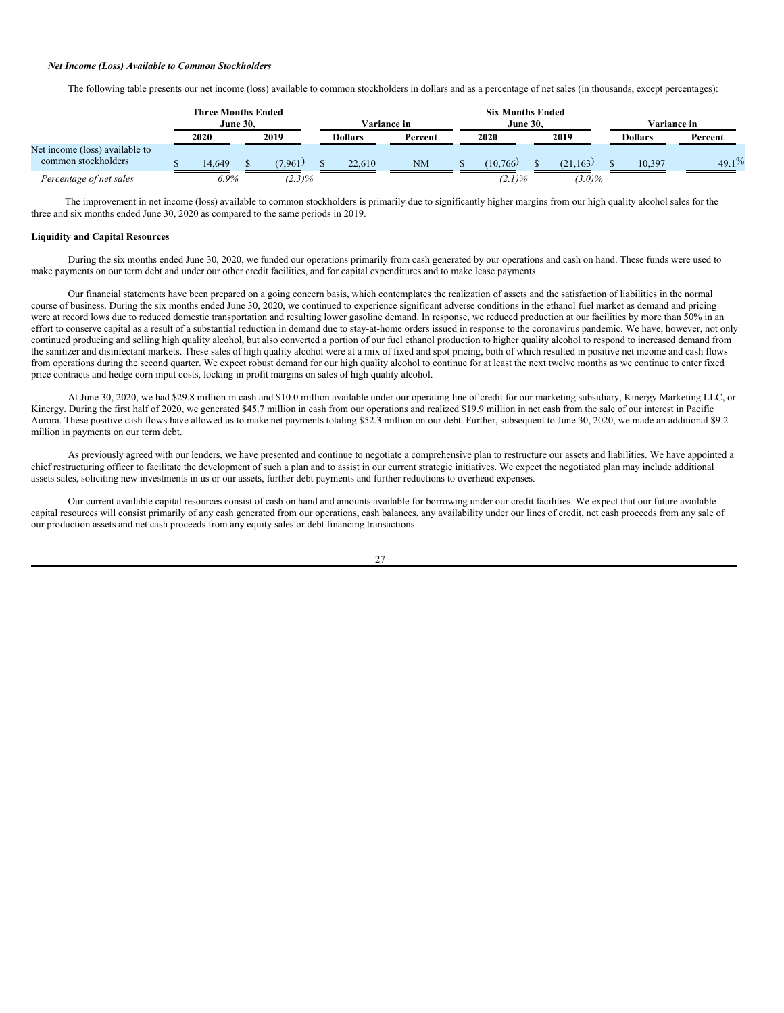#### *Net Income (Loss) Available to Common Stockholders*

The following table presents our net income (loss) available to common stockholders in dollars and as a percentage of net sales (in thousands, except percentages):

|                                                       | <b>Three Months Ended</b><br><b>June 30.</b> |         |  |           |  | <b>Six Months Ended</b><br><b>June 30.</b><br>Variance in |         |  |           |  |           | Variance in |                |          |  |  |
|-------------------------------------------------------|----------------------------------------------|---------|--|-----------|--|-----------------------------------------------------------|---------|--|-----------|--|-----------|-------------|----------------|----------|--|--|
|                                                       |                                              | 2020    |  | 2019      |  | <b>Dollars</b>                                            | Percent |  | 2020      |  | 2019      |             | <b>Dollars</b> | Percent  |  |  |
| Net income (loss) available to<br>common stockholders |                                              | 14.649  |  | (7.961)   |  | 22,610                                                    | NM      |  | (10.766)  |  | (21.163)  |             | 10.397         | $49.1\%$ |  |  |
| Percentage of net sales                               |                                              | $6.9\%$ |  | $(2.3)\%$ |  |                                                           |         |  | $(2.1)\%$ |  | $(3.0)\%$ |             |                |          |  |  |

The improvement in net income (loss) available to common stockholders is primarily due to significantly higher margins from our high quality alcohol sales for the three and six months ended June 30, 2020 as compared to the same periods in 2019.

## **Liquidity and Capital Resources**

During the six months ended June 30, 2020, we funded our operations primarily from cash generated by our operations and cash on hand. These funds were used to make payments on our term debt and under our other credit facilities, and for capital expenditures and to make lease payments.

Our financial statements have been prepared on a going concern basis, which contemplates the realization of assets and the satisfaction of liabilities in the normal course of business. During the six months ended June 30, 2020, we continued to experience significant adverse conditions in the ethanol fuel market as demand and pricing were at record lows due to reduced domestic transportation and resulting lower gasoline demand. In response, we reduced production at our facilities by more than 50% in an effort to conserve capital as a result of a substantial reduction in demand due to stay-at-home orders issued in response to the coronavirus pandemic. We have, however, not only continued producing and selling high quality alcohol, but also converted a portion of our fuel ethanol production to higher quality alcohol to respond to increased demand from the sanitizer and disinfectant markets. These sales of high quality alcohol were at a mix of fixed and spot pricing, both of which resulted in positive net income and cash flows from operations during the second quarter. We expect robust demand for our high quality alcohol to continue for at least the next twelve months as we continue to enter fixed price contracts and hedge corn input costs, locking in profit margins on sales of high quality alcohol.

At June 30, 2020, we had \$29.8 million in cash and \$10.0 million available under our operating line of credit for our marketing subsidiary, Kinergy Marketing LLC, or Kinergy. During the first half of 2020, we generated \$45.7 million in cash from our operations and realized \$19.9 million in net cash from the sale of our interest in Pacific Aurora. These positive cash flows have allowed us to make net payments totaling \$52.3 million on our debt. Further, subsequent to June 30, 2020, we made an additional \$9.2 million in payments on our term debt.

As previously agreed with our lenders, we have presented and continue to negotiate a comprehensive plan to restructure our assets and liabilities. We have appointed a chief restructuring officer to facilitate the development of such a plan and to assist in our current strategic initiatives. We expect the negotiated plan may include additional assets sales, soliciting new investments in us or our assets, further debt payments and further reductions to overhead expenses.

Our current available capital resources consist of cash on hand and amounts available for borrowing under our credit facilities. We expect that our future available capital resources will consist primarily of any cash generated from our operations, cash balances, any availability under our lines of credit, net cash proceeds from any sale of our production assets and net cash proceeds from any equity sales or debt financing transactions.

![](_page_28_Picture_10.jpeg)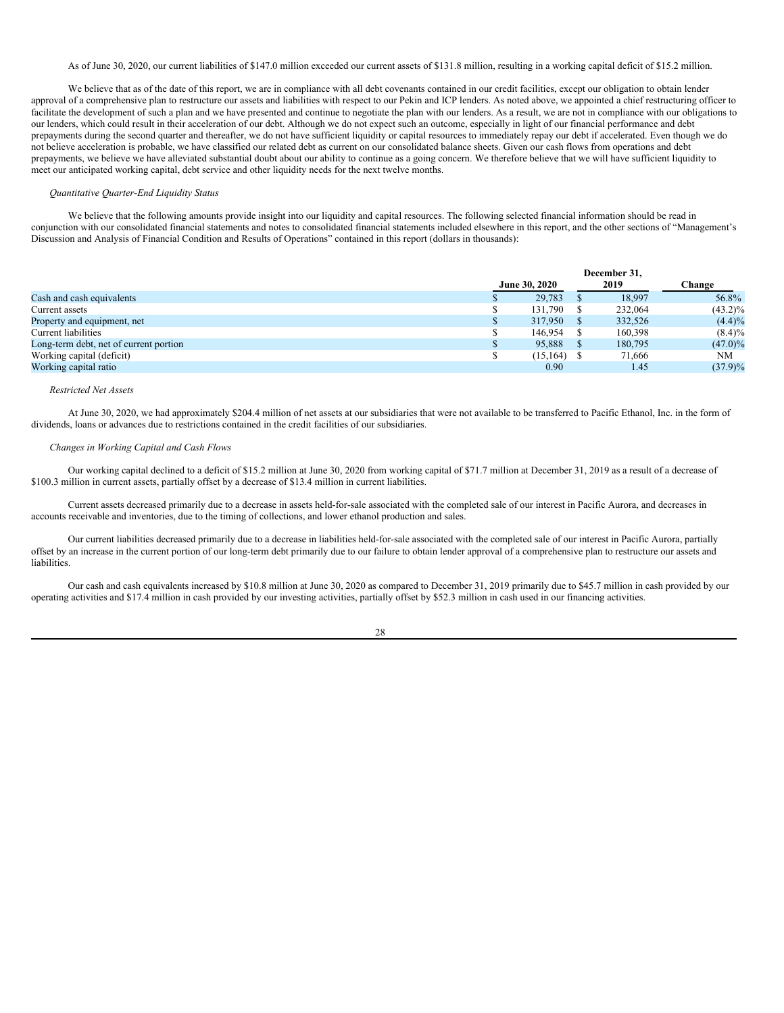As of June 30, 2020, our current liabilities of \$147.0 million exceeded our current assets of \$131.8 million, resulting in a working capital deficit of \$15.2 million.

We believe that as of the date of this report, we are in compliance with all debt covenants contained in our credit facilities, except our obligation to obtain lender approval of a comprehensive plan to restructure our assets and liabilities with respect to our Pekin and ICP lenders. As noted above, we appointed a chief restructuring officer to facilitate the development of such a plan and we have presented and continue to negotiate the plan with our lenders. As a result, we are not in compliance with our obligations to our lenders, which could result in their acceleration of our debt. Although we do not expect such an outcome, especially in light of our financial performance and debt prepayments during the second quarter and thereafter, we do not have sufficient liquidity or capital resources to immediately repay our debt if accelerated. Even though we do not believe acceleration is probable, we have classified our related debt as current on our consolidated balance sheets. Given our cash flows from operations and debt prepayments, we believe we have alleviated substantial doubt about our ability to continue as a going concern. We therefore believe that we will have sufficient liquidity to meet our anticipated working capital, debt service and other liquidity needs for the next twelve months.

## *Quantitative Quarter-End Liquidity Status*

We believe that the following amounts provide insight into our liquidity and capital resources. The following selected financial information should be read in conjunction with our consolidated financial statements and notes to consolidated financial statements included elsewhere in this report, and the other sections of "Management's Discussion and Analysis of Financial Condition and Results of Operations" contained in this report (dollars in thousands):

|                                        | December 31.         |           |  |         |            |  |
|----------------------------------------|----------------------|-----------|--|---------|------------|--|
|                                        | <b>June 30, 2020</b> |           |  | 2019    | Change     |  |
| Cash and cash equivalents              |                      | 29.783    |  | 18.997  | 56.8%      |  |
| Current assets                         |                      | 131,790   |  | 232,064 | $(43.2)\%$ |  |
| Property and equipment, net            |                      | 317,950   |  | 332,526 | $(4.4)\%$  |  |
| Current liabilities                    |                      | 146,954   |  | 160.398 | $(8.4)\%$  |  |
| Long-term debt, net of current portion |                      | 95,888    |  | 180,795 | $(47.0)\%$ |  |
| Working capital (deficit)              |                      | (15, 164) |  | 71,666  | NΜ         |  |
| Working capital ratio                  |                      | 0.90      |  | 1.45    | $(37.9)\%$ |  |

#### *Restricted Net Assets*

At June 30, 2020, we had approximately \$204.4 million of net assets at our subsidiaries that were not available to be transferred to Pacific Ethanol, Inc. in the form of dividends, loans or advances due to restrictions contained in the credit facilities of our subsidiaries.

## *Changes in Working Capital and Cash Flows*

Our working capital declined to a deficit of \$15.2 million at June 30, 2020 from working capital of \$71.7 million at December 31, 2019 as a result of a decrease of \$100.3 million in current assets, partially offset by a decrease of \$13.4 million in current liabilities.

Current assets decreased primarily due to a decrease in assets held-for-sale associated with the completed sale of our interest in Pacific Aurora, and decreases in accounts receivable and inventories, due to the timing of collections, and lower ethanol production and sales.

Our current liabilities decreased primarily due to a decrease in liabilities held-for-sale associated with the completed sale of our interest in Pacific Aurora, partially offset by an increase in the current portion of our long-term debt primarily due to our failure to obtain lender approval of a comprehensive plan to restructure our assets and liabilities.

Our cash and cash equivalents increased by \$10.8 million at June 30, 2020 as compared to December 31, 2019 primarily due to \$45.7 million in cash provided by our operating activities and \$17.4 million in cash provided by our investing activities, partially offset by \$52.3 million in cash used in our financing activities.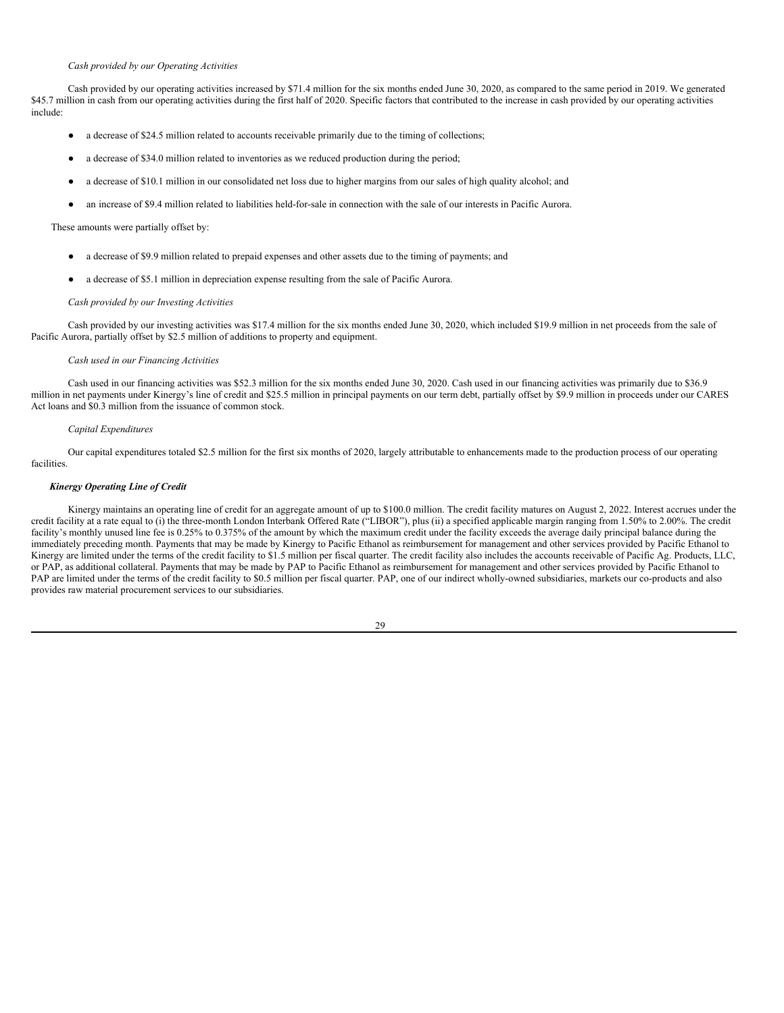### *Cash provided by our Operating Activities*

Cash provided by our operating activities increased by \$71.4 million for the six months ended June 30, 2020, as compared to the same period in 2019. We generated \$45.7 million in cash from our operating activities during the first half of 2020. Specific factors that contributed to the increase in cash provided by our operating activities include:

- a decrease of \$24.5 million related to accounts receivable primarily due to the timing of collections;
- a decrease of \$34.0 million related to inventories as we reduced production during the period;
- a decrease of \$10.1 million in our consolidated net loss due to higher margins from our sales of high quality alcohol; and
- an increase of \$9.4 million related to liabilities held-for-sale in connection with the sale of our interests in Pacific Aurora.

These amounts were partially offset by:

- a decrease of \$9.9 million related to prepaid expenses and other assets due to the timing of payments; and
- a decrease of \$5.1 million in depreciation expense resulting from the sale of Pacific Aurora.

### *Cash provided by our Investing Activities*

Cash provided by our investing activities was \$17.4 million for the six months ended June 30, 2020, which included \$19.9 million in net proceeds from the sale of Pacific Aurora, partially offset by \$2.5 million of additions to property and equipment.

#### *Cash used in our Financing Activities*

Cash used in our financing activities was \$52.3 million for the six months ended June 30, 2020. Cash used in our financing activities was primarily due to \$36.9 million in net payments under Kinergy's line of credit and \$25.5 million in principal payments on our term debt, partially offset by \$9.9 million in proceeds under our CARES Act loans and \$0.3 million from the issuance of common stock.

## *Capital Expenditures*

Our capital expenditures totaled \$2.5 million for the first six months of 2020, largely attributable to enhancements made to the production process of our operating facilities.

## *Kinergy Operating Line of Credit*

Kinergy maintains an operating line of credit for an aggregate amount of up to \$100.0 million. The credit facility matures on August 2, 2022. Interest accrues under the credit facility at a rate equal to (i) the three-month London Interbank Offered Rate ("LIBOR"), plus (ii) a specified applicable margin ranging from 1.50% to 2.00%. The credit facility's monthly unused line fee is 0.25% to 0.375% of the amount by which the maximum credit under the facility exceeds the average daily principal balance during the immediately preceding month. Payments that may be made by Kinergy to Pacific Ethanol as reimbursement for management and other services provided by Pacific Ethanol to Kinergy are limited under the terms of the credit facility to \$1.5 million per fiscal quarter. The credit facility also includes the accounts receivable of Pacific Ag. Products, LLC, or PAP, as additional collateral. Payments that may be made by PAP to Pacific Ethanol as reimbursement for management and other services provided by Pacific Ethanol to PAP are limited under the terms of the credit facility to \$0.5 million per fiscal quarter. PAP, one of our indirect wholly-owned subsidiaries, markets our co-products and also provides raw material procurement services to our subsidiaries.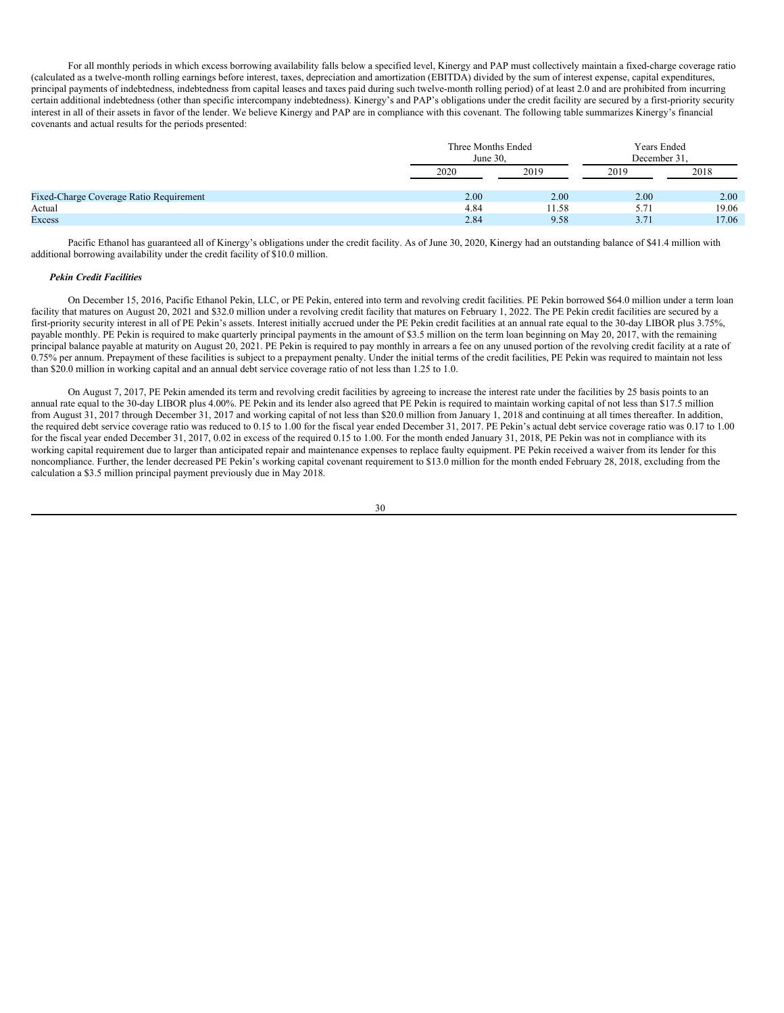For all monthly periods in which excess borrowing availability falls below a specified level, Kinergy and PAP must collectively maintain a fixed-charge coverage ratio (calculated as a twelve-month rolling earnings before interest, taxes, depreciation and amortization (EBITDA) divided by the sum of interest expense, capital expenditures, principal payments of indebtedness, indebtedness from capital leases and taxes paid during such twelve-month rolling period) of at least 2.0 and are prohibited from incurring certain additional indebtedness (other than specific intercompany indebtedness). Kinergy's and PAP's obligations under the credit facility are secured by a first-priority security interest in all of their assets in favor of the lender. We believe Kinergy and PAP are in compliance with this covenant. The following table summarizes Kinergy's financial covenants and actual results for the periods presented:

|                                         |      | Three Months Ended<br>June 30, |      | <b>Years Ended</b><br>December 31. |
|-----------------------------------------|------|--------------------------------|------|------------------------------------|
|                                         | 2020 | 2019                           | 2019 | 2018                               |
| Fixed-Charge Coverage Ratio Requirement | 2.00 | 2.00                           | 2.00 | 2.00                               |
| Actual                                  | 4.84 | 11.58                          | 5.71 | 19.06                              |
| Excess                                  | 2.84 | 9.58                           | 3.71 | 17.06                              |

Pacific Ethanol has guaranteed all of Kinergy's obligations under the credit facility. As of June 30, 2020, Kinergy had an outstanding balance of \$41.4 million with additional borrowing availability under the credit facility of \$10.0 million.

## *Pekin Credit Facilities*

On December 15, 2016, Pacific Ethanol Pekin, LLC, or PE Pekin, entered into term and revolving credit facilities. PE Pekin borrowed \$64.0 million under a term loan facility that matures on August 20, 2021 and \$32.0 million under a revolving credit facility that matures on February 1, 2022. The PE Pekin credit facilities are secured by a first-priority security interest in all of PE Pekin's assets. Interest initially accrued under the PE Pekin credit facilities at an annual rate equal to the 30-day LIBOR plus 3.75%, payable monthly. PE Pekin is required to make quarterly principal payments in the amount of \$3.5 million on the term loan beginning on May 20, 2017, with the remaining principal balance payable at maturity on August 20, 2021. PE Pekin is required to pay monthly in arrears a fee on any unused portion of the revolving credit facility at a rate of 0.75% per annum. Prepayment of these facilities is subject to a prepayment penalty. Under the initial terms of the credit facilities, PE Pekin was required to maintain not less than \$20.0 million in working capital and an annual debt service coverage ratio of not less than 1.25 to 1.0.

On August 7, 2017, PE Pekin amended its term and revolving credit facilities by agreeing to increase the interest rate under the facilities by 25 basis points to an annual rate equal to the 30-day LIBOR plus 4.00%. PE Pekin and its lender also agreed that PE Pekin is required to maintain working capital of not less than \$17.5 million from August 31, 2017 through December 31, 2017 and working capital of not less than \$20.0 million from January 1, 2018 and continuing at all times thereafter. In addition, the required debt service coverage ratio was reduced to 0.15 to 1.00 for the fiscal year ended December 31, 2017. PE Pekin's actual debt service coverage ratio was 0.17 to 1.00 for the fiscal year ended December 31, 2017, 0.02 in excess of the required 0.15 to 1.00. For the month ended January 31, 2018, PE Pekin was not in compliance with its working capital requirement due to larger than anticipated repair and maintenance expenses to replace faulty equipment. PE Pekin received a waiver from its lender for this noncompliance. Further, the lender decreased PE Pekin's working capital covenant requirement to \$13.0 million for the month ended February 28, 2018, excluding from the calculation a \$3.5 million principal payment previously due in May 2018.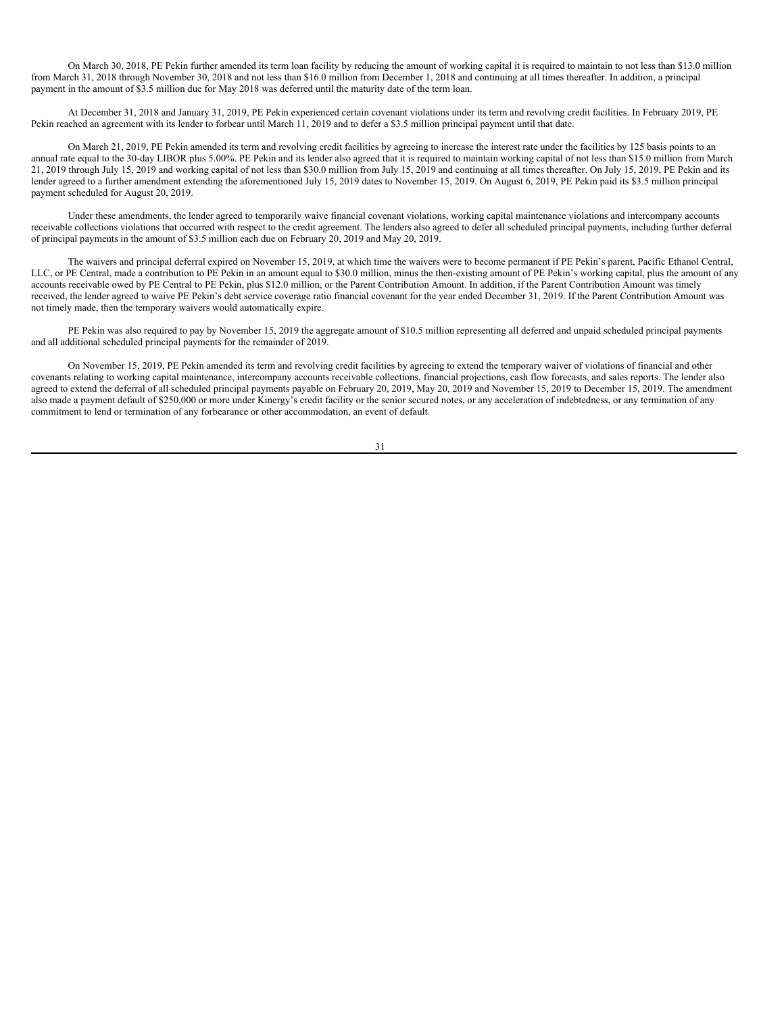On March 30, 2018, PE Pekin further amended its term loan facility by reducing the amount of working capital it is required to maintain to not less than \$13.0 million from March 31, 2018 through November 30, 2018 and not less than \$16.0 million from December 1, 2018 and continuing at all times thereafter. In addition, a principal payment in the amount of \$3.5 million due for May 2018 was deferred until the maturity date of the term loan.

At December 31, 2018 and January 31, 2019, PE Pekin experienced certain covenant violations under its term and revolving credit facilities. In February 2019, PE Pekin reached an agreement with its lender to forbear until March 11, 2019 and to defer a \$3.5 million principal payment until that date.

On March 21, 2019, PE Pekin amended its term and revolving credit facilities by agreeing to increase the interest rate under the facilities by 125 basis points to an annual rate equal to the 30-day LIBOR plus 5.00%. PE Pekin and its lender also agreed that it is required to maintain working capital of not less than \$15.0 million from March 21, 2019 through July 15, 2019 and working capital of not less than \$30.0 million from July 15, 2019 and continuing at all times thereafter. On July 15, 2019, PE Pekin and its lender agreed to a further amendment extending the aforementioned July 15, 2019 dates to November 15, 2019. On August 6, 2019, PE Pekin paid its \$3.5 million principal payment scheduled for August 20, 2019.

Under these amendments, the lender agreed to temporarily waive financial covenant violations, working capital maintenance violations and intercompany accounts receivable collections violations that occurred with respect to the credit agreement. The lenders also agreed to defer all scheduled principal payments, including further deferral of principal payments in the amount of \$3.5 million each due on February 20, 2019 and May 20, 2019.

The waivers and principal deferral expired on November 15, 2019, at which time the waivers were to become permanent if PE Pekin's parent, Pacific Ethanol Central, LLC, or PE Central, made a contribution to PE Pekin in an amount equal to \$30.0 million, minus the then-existing amount of PE Pekin's working capital, plus the amount of any accounts receivable owed by PE Central to PE Pekin, plus \$12.0 million, or the Parent Contribution Amount. In addition, if the Parent Contribution Amount was timely received, the lender agreed to waive PE Pekin's debt service coverage ratio financial covenant for the year ended December 31, 2019. If the Parent Contribution Amount was not timely made, then the temporary waivers would automatically expire.

PE Pekin was also required to pay by November 15, 2019 the aggregate amount of \$10.5 million representing all deferred and unpaid scheduled principal payments and all additional scheduled principal payments for the remainder of 2019.

On November 15, 2019, PE Pekin amended its term and revolving credit facilities by agreeing to extend the temporary waiver of violations of financial and other covenants relating to working capital maintenance, intercompany accounts receivable collections, financial projections, cash flow forecasts, and sales reports. The lender also agreed to extend the deferral of all scheduled principal payments payable on February 20, 2019, May 20, 2019 and November 15, 2019 to December 15, 2019. The amendment also made a payment default of \$250,000 or more under Kinergy's credit facility or the senior secured notes, or any acceleration of indebtedness, or any termination of any commitment to lend or termination of any forbearance or other accommodation, an event of default.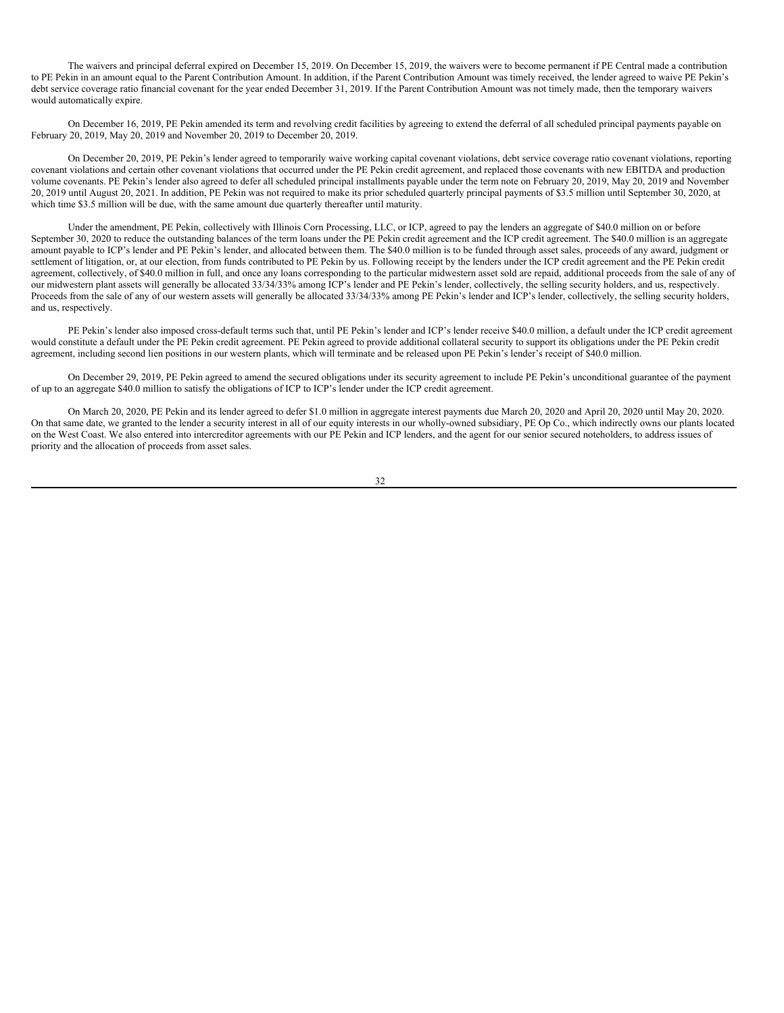The waivers and principal deferral expired on December 15, 2019. On December 15, 2019, the waivers were to become permanent if PE Central made a contribution to PE Pekin in an amount equal to the Parent Contribution Amount. In addition, if the Parent Contribution Amount was timely received, the lender agreed to waive PE Pekin's debt service coverage ratio financial covenant for the year ended December 31, 2019. If the Parent Contribution Amount was not timely made, then the temporary waivers would automatically expire.

On December 16, 2019, PE Pekin amended its term and revolving credit facilities by agreeing to extend the deferral of all scheduled principal payments payable on February 20, 2019, May 20, 2019 and November 20, 2019 to December 20, 2019.

On December 20, 2019, PE Pekin's lender agreed to temporarily waive working capital covenant violations, debt service coverage ratio covenant violations, reporting covenant violations and certain other covenant violations that occurred under the PE Pekin credit agreement, and replaced those covenants with new EBITDA and production volume covenants. PE Pekin's lender also agreed to defer all scheduled principal installments payable under the term note on February 20, 2019, May 20, 2019 and November 20, 2019 until August 20, 2021. In addition, PE Pekin was not required to make its prior scheduled quarterly principal payments of \$3.5 million until September 30, 2020, at which time \$3.5 million will be due, with the same amount due quarterly thereafter until maturity.

Under the amendment, PE Pekin, collectively with Illinois Corn Processing, LLC, or ICP, agreed to pay the lenders an aggregate of \$40.0 million on or before September 30, 2020 to reduce the outstanding balances of the term loans under the PE Pekin credit agreement and the ICP credit agreement. The \$40.0 million is an aggregate amount payable to ICP's lender and PE Pekin's lender, and allocated between them. The \$40.0 million is to be funded through asset sales, proceeds of any award, judgment or settlement of litigation, or, at our election, from funds contributed to PE Pekin by us. Following receipt by the lenders under the ICP credit agreement and the PE Pekin credit agreement, collectively, of \$40.0 million in full, and once any loans corresponding to the particular midwestern asset sold are repaid, additional proceeds from the sale of any of our midwestern plant assets will generally be allocated 33/34/33% among ICP's lender and PE Pekin's lender, collectively, the selling security holders, and us, respectively. Proceeds from the sale of any of our western assets will generally be allocated 33/34/33% among PE Pekin's lender and ICP's lender, collectively, the selling security holders, and us, respectively.

PE Pekin's lender also imposed cross-default terms such that, until PE Pekin's lender and ICP's lender receive \$40.0 million, a default under the ICP credit agreement would constitute a default under the PE Pekin credit agreement. PE Pekin agreed to provide additional collateral security to support its obligations under the PE Pekin credit agreement, including second lien positions in our western plants, which will terminate and be released upon PE Pekin's lender's receipt of \$40.0 million.

On December 29, 2019, PE Pekin agreed to amend the secured obligations under its security agreement to include PE Pekin's unconditional guarantee of the payment of up to an aggregate \$40.0 million to satisfy the obligations of ICP to ICP's lender under the ICP credit agreement.

On March 20, 2020, PE Pekin and its lender agreed to defer \$1.0 million in aggregate interest payments due March 20, 2020 and April 20, 2020 until May 20, 2020. On that same date, we granted to the lender a security interest in all of our equity interests in our wholly-owned subsidiary, PE Op Co., which indirectly owns our plants located on the West Coast. We also entered into intercreditor agreements with our PE Pekin and ICP lenders, and the agent for our senior secured noteholders, to address issues of priority and the allocation of proceeds from asset sales.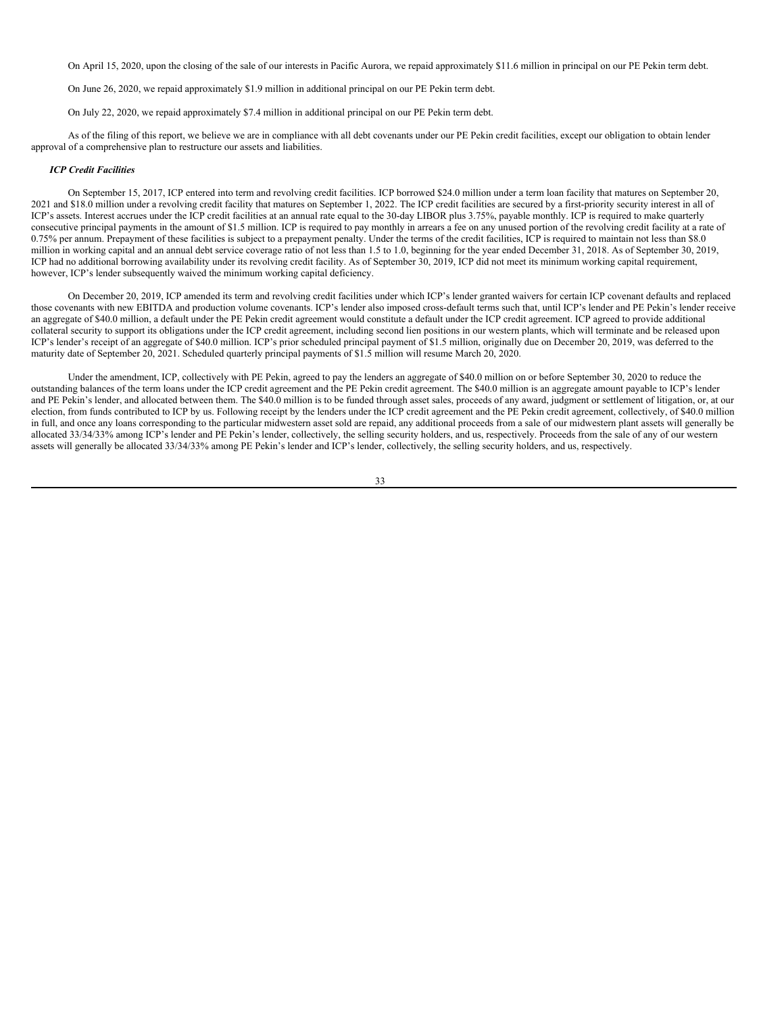On April 15, 2020, upon the closing of the sale of our interests in Pacific Aurora, we repaid approximately \$11.6 million in principal on our PE Pekin term debt.

On June 26, 2020, we repaid approximately \$1.9 million in additional principal on our PE Pekin term debt.

On July 22, 2020, we repaid approximately \$7.4 million in additional principal on our PE Pekin term debt.

As of the filing of this report, we believe we are in compliance with all debt covenants under our PE Pekin credit facilities, except our obligation to obtain lender approval of a comprehensive plan to restructure our assets and liabilities.

## *ICP Credit Facilities*

On September 15, 2017, ICP entered into term and revolving credit facilities. ICP borrowed \$24.0 million under a term loan facility that matures on September 20,  $2021$  and \$18.0 million under a revolving credit facility that matures on September 1, 2022. The ICP credit facilities are secured by a first-priority security interest in all of ICP's assets. Interest accrues under the ICP credit facilities at an annual rate equal to the 30-day LIBOR plus 3.75%, payable monthly. ICP is required to make quarterly consecutive principal payments in the amount of \$1.5 million. ICP is required to pay monthly in arrears a fee on any unused portion of the revolving credit facility at a rate of 0.75% per annum. Prepayment of these facilities is subject to a prepayment penalty. Under the terms of the credit facilities, ICP is required to maintain not less than \$8.0 million in working capital and an annual debt service coverage ratio of not less than 1.5 to 1.0, beginning for the year ended December 31, 2018. As of September 30, 2019, ICP had no additional borrowing availability under its revolving credit facility. As of September 30, 2019, ICP did not meet its minimum working capital requirement, however, ICP's lender subsequently waived the minimum working capital deficiency.

On December 20, 2019, ICP amended its term and revolving credit facilities under which ICP's lender granted waivers for certain ICP covenant defaults and replaced those covenants with new EBITDA and production volume covenants. ICP's lender also imposed cross-default terms such that, until ICP's lender and PE Pekin's lender receive an aggregate of \$40.0 million, a default under the PE Pekin credit agreement would constitute a default under the ICP credit agreement. ICP agreed to provide additional collateral security to support its obligations under the ICP credit agreement, including second lien positions in our western plants, which will terminate and be released upon ICP's lender's receipt of an aggregate of \$40.0 million. ICP's prior scheduled principal payment of \$1.5 million, originally due on December 20, 2019, was deferred to the maturity date of September 20, 2021. Scheduled quarterly principal payments of \$1.5 million will resume March 20, 2020.

Under the amendment, ICP, collectively with PE Pekin, agreed to pay the lenders an aggregate of \$40.0 million on or before September 30, 2020 to reduce the outstanding balances of the term loans under the ICP credit agreement and the PE Pekin credit agreement. The \$40.0 million is an aggregate amount payable to ICP's lender and PE Pekin's lender, and allocated between them. The \$40.0 million is to be funded through asset sales, proceeds of any award, judgment or settlement of litigation, or, at our election, from funds contributed to ICP by us. Following receipt by the lenders under the ICP credit agreement and the PE Pekin credit agreement, collectively, of \$40.0 million in full, and once any loans corresponding to the particular midwestern asset sold are repaid, any additional proceeds from a sale of our midwestern plant assets will generally be allocated 33/34/33% among ICP's lender and PE Pekin's lender, collectively, the selling security holders, and us, respectively. Proceeds from the sale of any of our western assets will generally be allocated 33/34/33% among PE Pekin's lender and ICP's lender, collectively, the selling security holders, and us, respectively.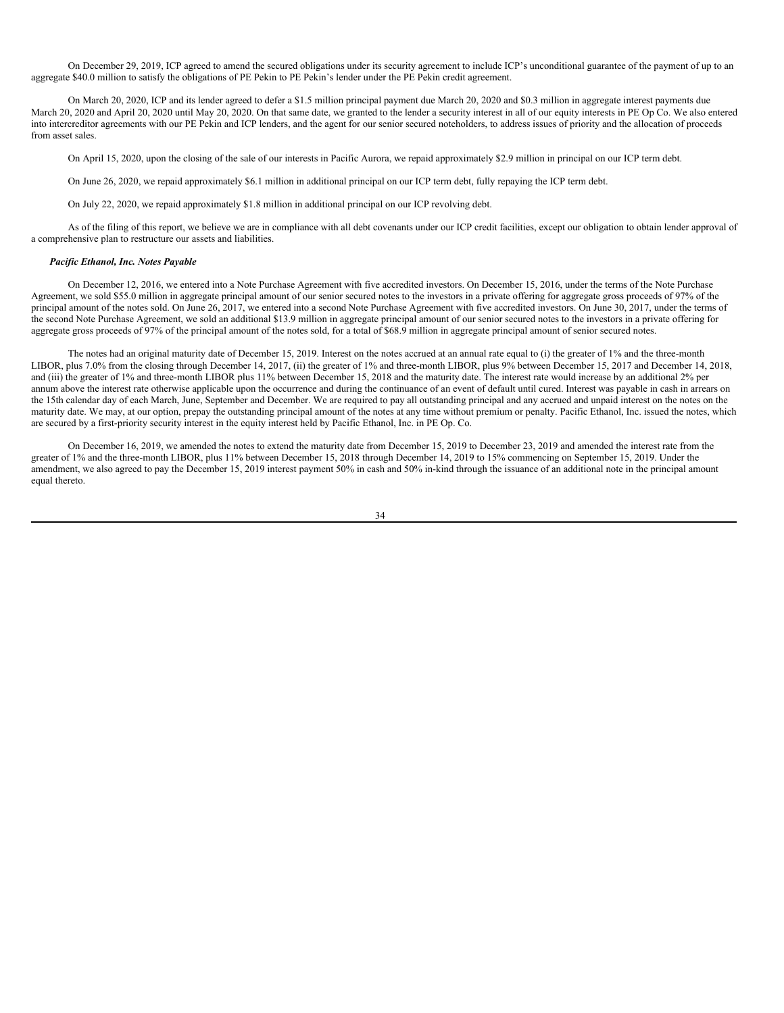On December 29, 2019, ICP agreed to amend the secured obligations under its security agreement to include ICP's unconditional guarantee of the payment of up to an aggregate \$40.0 million to satisfy the obligations of PE Pekin to PE Pekin's lender under the PE Pekin credit agreement.

On March 20, 2020, ICP and its lender agreed to defer a \$1.5 million principal payment due March 20, 2020 and \$0.3 million in aggregate interest payments due March 20, 2020 and April 20, 2020 until May 20, 2020. On that same date, we granted to the lender a security interest in all of our equity interests in PE Op Co. We also entered into intercreditor agreements with our PE Pekin and ICP lenders, and the agent for our senior secured noteholders, to address issues of priority and the allocation of proceeds from asset sales.

On April 15, 2020, upon the closing of the sale of our interests in Pacific Aurora, we repaid approximately \$2.9 million in principal on our ICP term debt.

On June 26, 2020, we repaid approximately \$6.1 million in additional principal on our ICP term debt, fully repaying the ICP term debt.

On July 22, 2020, we repaid approximately \$1.8 million in additional principal on our ICP revolving debt.

As of the filing of this report, we believe we are in compliance with all debt covenants under our ICP credit facilities, except our obligation to obtain lender approval of a comprehensive plan to restructure our assets and liabilities.

## *Pacific Ethanol, Inc. Notes Payable*

On December 12, 2016, we entered into a Note Purchase Agreement with five accredited investors. On December 15, 2016, under the terms of the Note Purchase Agreement, we sold \$55.0 million in aggregate principal amount of our senior secured notes to the investors in a private offering for aggregate gross proceeds of 97% of the principal amount of the notes sold. On June 26, 2017, we entered into a second Note Purchase Agreement with five accredited investors. On June 30, 2017, under the terms of the second Note Purchase Agreement, we sold an additional \$13.9 million in aggregate principal amount of our senior secured notes to the investors in a private offering for aggregate gross proceeds of 97% of the principal amount of the notes sold, for a total of \$68.9 million in aggregate principal amount of senior secured notes.

The notes had an original maturity date of December 15, 2019. Interest on the notes accrued at an annual rate equal to (i) the greater of 1% and the three-month LIBOR, plus 7.0% from the closing through December 14, 2017, (ii) the greater of 1% and three-month LIBOR, plus 9% between December 15, 2017 and December 14, 2018, and (iii) the greater of 1% and three-month LIBOR plus 11% between December 15, 2018 and the maturity date. The interest rate would increase by an additional 2% per annum above the interest rate otherwise applicable upon the occurrence and during the continuance of an event of default until cured. Interest was payable in cash in arrears on the 15th calendar day of each March, June, September and December. We are required to pay all outstanding principal and any accrued and unpaid interest on the notes on the maturity date. We may, at our option, prepay the outstanding principal amount of the notes at any time without premium or penalty. Pacific Ethanol, Inc. issued the notes, which are secured by a first-priority security interest in the equity interest held by Pacific Ethanol, Inc. in PE Op. Co.

On December 16, 2019, we amended the notes to extend the maturity date from December 15, 2019 to December 23, 2019 and amended the interest rate from the greater of 1% and the three-month LIBOR, plus 11% between December 15, 2018 through December 14, 2019 to 15% commencing on September 15, 2019. Under the amendment, we also agreed to pay the December 15, 2019 interest payment 50% in cash and 50% in-kind through the issuance of an additional note in the principal amount equal thereto.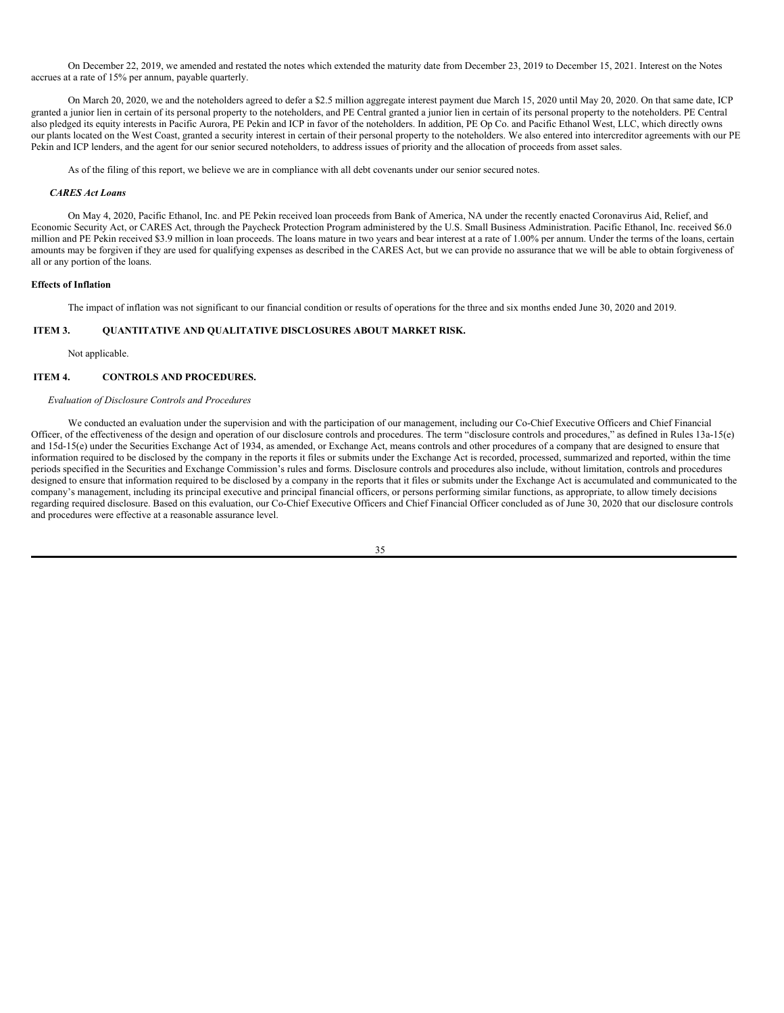On December 22, 2019, we amended and restated the notes which extended the maturity date from December 23, 2019 to December 15, 2021. Interest on the Notes accrues at a rate of 15% per annum, payable quarterly.

On March 20, 2020, we and the noteholders agreed to defer a \$2.5 million aggregate interest payment due March 15, 2020 until May 20, 2020. On that same date, ICP granted a junior lien in certain of its personal property to the noteholders, and PE Central granted a junior lien in certain of its personal property to the noteholders. PE Central also pledged its equity interests in Pacific Aurora, PE Pekin and ICP in favor of the noteholders. In addition, PE Op Co. and Pacific Ethanol West, LLC, which directly owns our plants located on the West Coast, granted a security interest in certain of their personal property to the noteholders. We also entered into intercreditor agreements with our PE Pekin and ICP lenders, and the agent for our senior secured noteholders, to address issues of priority and the allocation of proceeds from asset sales.

As of the filing of this report, we believe we are in compliance with all debt covenants under our senior secured notes.

### *CARES Act Loans*

On May 4, 2020, Pacific Ethanol, Inc. and PE Pekin received loan proceeds from Bank of America, NA under the recently enacted Coronavirus Aid, Relief, and Economic Security Act, or CARES Act, through the Paycheck Protection Program administered by the U.S. Small Business Administration. Pacific Ethanol, Inc. received \$6.0 million and PE Pekin received \$3.9 million in loan proceeds. The loans mature in two years and bear interest at a rate of 1.00% per annum. Under the terms of the loans, certain amounts may be forgiven if they are used for qualifying expenses as described in the CARES Act, but we can provide no assurance that we will be able to obtain forgiveness of all or any portion of the loans.

## **Effects of Inflation**

The impact of inflation was not significant to our financial condition or results of operations for the three and six months ended June 30, 2020 and 2019.

## <span id="page-36-0"></span>**ITEM 3. QUANTITATIVE AND QUALITATIVE DISCLOSURES ABOUT MARKET RISK.**

Not applicable.

## <span id="page-36-1"></span>**ITEM 4. CONTROLS AND PROCEDURES.**

## *Evaluation of Disclosure Controls and Procedures*

We conducted an evaluation under the supervision and with the participation of our management, including our Co-Chief Executive Officers and Chief Financial Officer, of the effectiveness of the design and operation of our disclosure controls and procedures. The term "disclosure controls and procedures," as defined in Rules 13a-15(e) and 15d-15(e) under the Securities Exchange Act of 1934, as amended, or Exchange Act, means controls and other procedures of a company that are designed to ensure that information required to be disclosed by the company in the reports it files or submits under the Exchange Act is recorded, processed, summarized and reported, within the time periods specified in the Securities and Exchange Commission's rules and forms. Disclosure controls and procedures also include, without limitation, controls and procedures designed to ensure that information required to be disclosed by a company in the reports that it files or submits under the Exchange Act is accumulated and communicated to the company's management, including its principal executive and principal financial officers, or persons performing similar functions, as appropriate, to allow timely decisions regarding required disclosure. Based on this evaluation, our Co-Chief Executive Officers and Chief Financial Officer concluded as of June 30, 2020 that our disclosure controls and procedures were effective at a reasonable assurance level.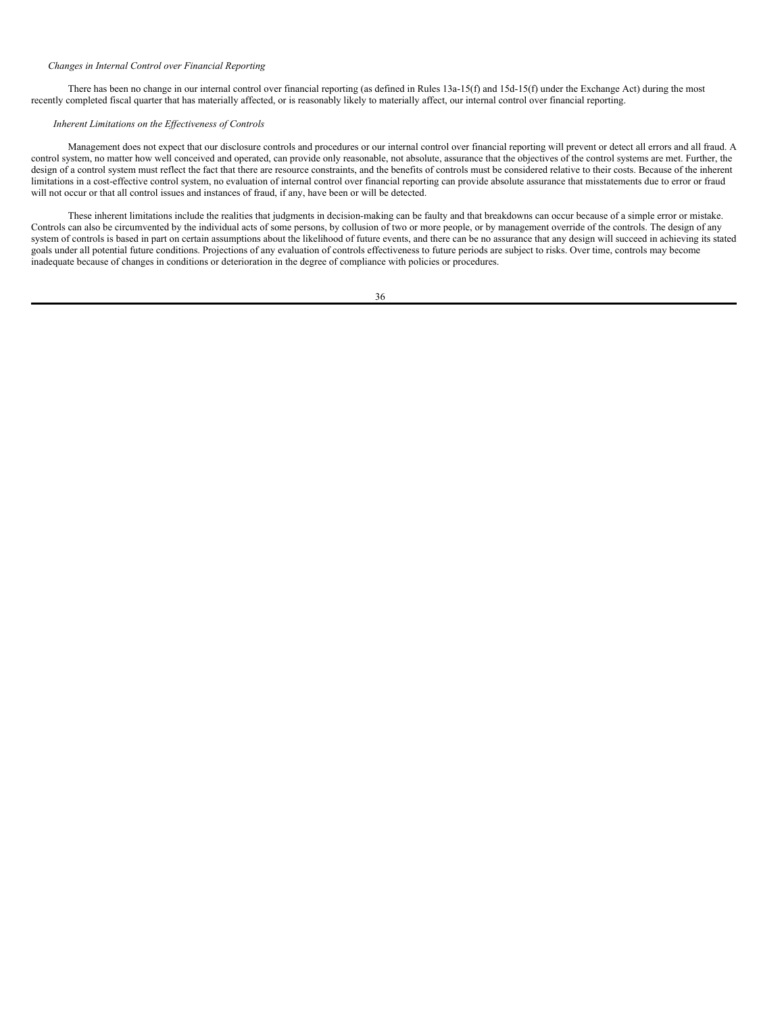#### *Changes in Internal Control over Financial Reporting*

There has been no change in our internal control over financial reporting (as defined in Rules 13a-15(f) and 15d-15(f) under the Exchange Act) during the most recently completed fiscal quarter that has materially affected, or is reasonably likely to materially affect, our internal control over financial reporting.

## *Inherent Limitations on the Ef ectiveness of Controls*

Management does not expect that our disclosure controls and procedures or our internal control over financial reporting will prevent or detect all errors and all fraud. A control system, no matter how well conceived and operated, can provide only reasonable, not absolute, assurance that the objectives of the control systems are met. Further, the design of a control system must reflect the fact that there are resource constraints, and the benefits of controls must be considered relative to their costs. Because of the inherent limitations in a cost-effective control system, no evaluation of internal control over financial reporting can provide absolute assurance that misstatements due to error or fraud will not occur or that all control issues and instances of fraud, if any, have been or will be detected.

These inherent limitations include the realities that judgments in decision-making can be faulty and that breakdowns can occur because of a simple error or mistake. Controls can also be circumvented by the individual acts of some persons, by collusion of two or more people, or by management override of the controls. The design of any system of controls is based in part on certain assumptions about the likelihood of future events, and there can be no assurance that any design will succeed in achieving its stated goals under all potential future conditions. Projections of any evaluation of controls effectiveness to future periods are subject to risks. Over time, controls may become inadequate because of changes in conditions or deterioration in the degree of compliance with policies or procedures.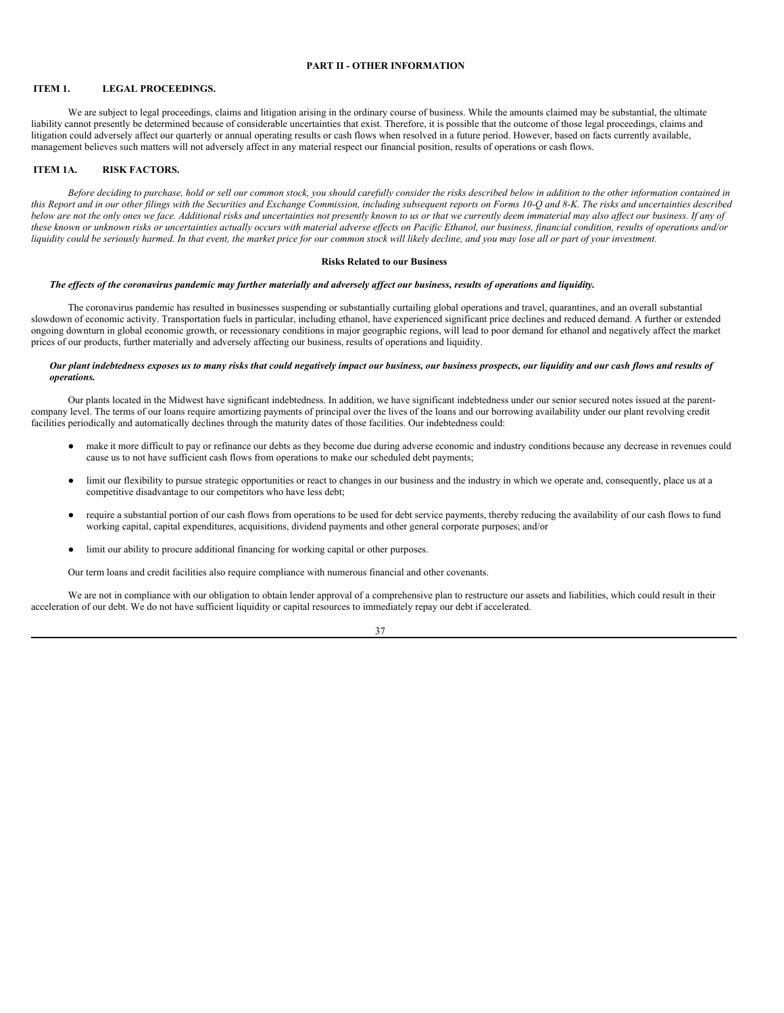## <span id="page-38-0"></span>**PART II - OTHER INFORMATION**

## <span id="page-38-1"></span>**ITEM 1. LEGAL PROCEEDINGS.**

We are subject to legal proceedings, claims and litigation arising in the ordinary course of business. While the amounts claimed may be substantial, the ultimate liability cannot presently be determined because of considerable uncertainties that exist. Therefore, it is possible that the outcome of those legal proceedings, claims and litigation could adversely affect our quarterly or annual operating results or cash flows when resolved in a future period. However, based on facts currently available, management believes such matters will not adversely affect in any material respect our financial position, results of operations or cash flows.

## <span id="page-38-2"></span>**ITEM 1A. RISK FACTORS.**

Before deciding to purchase, hold or sell our common stock, you should carefully consider the risks described below in addition to the other information contained in this Report and in our other filings with the Securities and Exchange Commission, including subsequent reports on Forms 10-O and 8-K. The risks and uncertainties described below are not the only ones we face. Additional risks and uncertainties not presently known to us or that we currently deem immaterial may also affect our business. If any of these known or unknown risks or uncertainties actually occurs with material adverse effects on Pacific Ethanol, our business, financial condition, results of operations and/or liquidity could be seriously harmed. In that event, the market price for our common stock will likely decline, and you may lose all or part of your investment.

#### **Risks Related to our Business**

#### The effects of the coronavirus pandemic may further materially and adversely affect our business, results of operations and liquidity.

The coronavirus pandemic has resulted in businesses suspending or substantially curtailing global operations and travel, quarantines, and an overall substantial slowdown of economic activity. Transportation fuels in particular, including ethanol, have experienced significant price declines and reduced demand. A further or extended ongoing downturn in global economic growth, or recessionary conditions in major geographic regions, will lead to poor demand for ethanol and negatively affect the market prices of our products, further materially and adversely affecting our business, results of operations and liquidity.

## Our plant indebtedness exposes us to many risks that could negatively impact our business, our business prospects, our liquidity and our cash flows and results of *operations.*

Our plants located in the Midwest have significant indebtedness. In addition, we have significant indebtedness under our senior secured notes issued at the parentcompany level. The terms of our loans require amortizing payments of principal over the lives of the loans and our borrowing availability under our plant revolving credit facilities periodically and automatically declines through the maturity dates of those facilities. Our indebtedness could:

- make it more difficult to pay or refinance our debts as they become due during adverse economic and industry conditions because any decrease in revenues could cause us to not have sufficient cash flows from operations to make our scheduled debt payments;
- limit our flexibility to pursue strategic opportunities or react to changes in our business and the industry in which we operate and, consequently, place us at a competitive disadvantage to our competitors who have less debt;
- require a substantial portion of our cash flows from operations to be used for debt service payments, thereby reducing the availability of our cash flows to fund working capital, capital expenditures, acquisitions, dividend payments and other general corporate purposes; and/or
- limit our ability to procure additional financing for working capital or other purposes.

Our term loans and credit facilities also require compliance with numerous financial and other covenants.

We are not in compliance with our obligation to obtain lender approval of a comprehensive plan to restructure our assets and liabilities, which could result in their acceleration of our debt. We do not have sufficient liquidity or capital resources to immediately repay our debt if accelerated.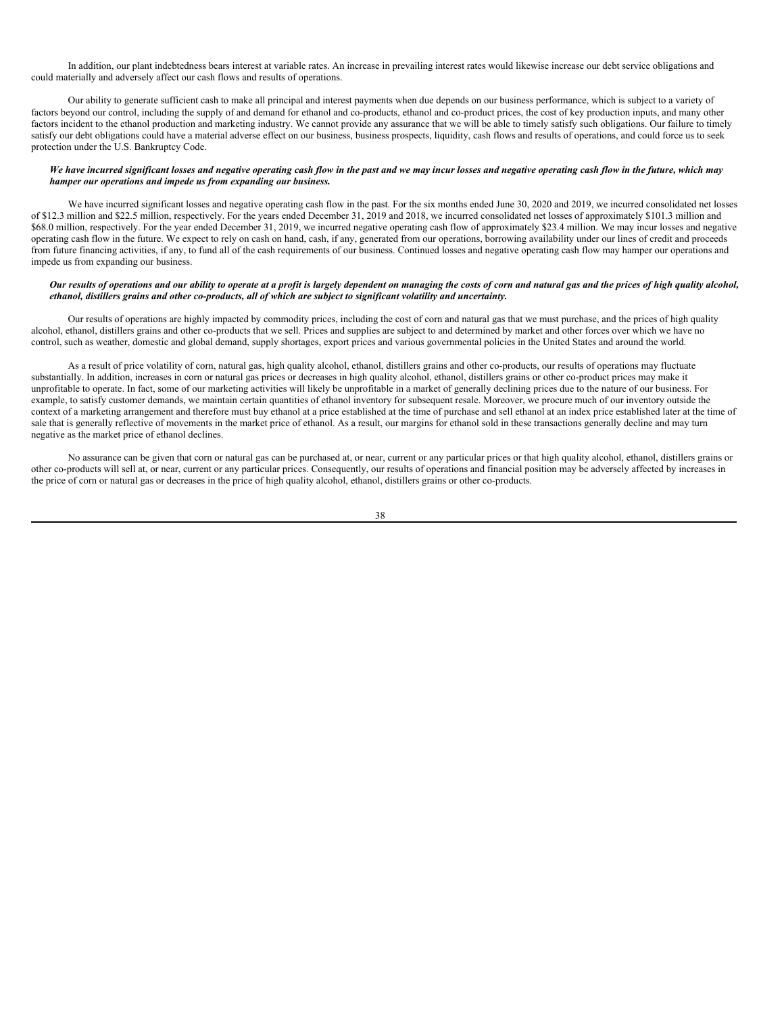In addition, our plant indebtedness bears interest at variable rates. An increase in prevailing interest rates would likewise increase our debt service obligations and could materially and adversely affect our cash flows and results of operations.

Our ability to generate sufficient cash to make all principal and interest payments when due depends on our business performance, which is subject to a variety of factors beyond our control, including the supply of and demand for ethanol and co-products, ethanol and co-product prices, the cost of key production inputs, and many other factors incident to the ethanol production and marketing industry. We cannot provide any assurance that we will be able to timely satisfy such obligations. Our failure to timely satisfy our debt obligations could have a material adverse effect on our business, business prospects, liquidity, cash flows and results of operations, and could force us to seek protection under the U.S. Bankruptcy Code.

## We have incurred significant losses and negative operating cash flow in the past and we may incur losses and negative operating cash flow in the future, which may *hamper our operations and impede us from expanding our business.*

We have incurred significant losses and negative operating cash flow in the past. For the six months ended June 30, 2020 and 2019, we incurred consolidated net losses of \$12.3 million and \$22.5 million, respectively. For the years ended December 31, 2019 and 2018, we incurred consolidated net losses of approximately \$101.3 million and \$68.0 million, respectively. For the year ended December 31, 2019, we incurred negative operating cash flow of approximately \$23.4 million. We may incur losses and negative operating cash flow in the future. We expect to rely on cash on hand, cash, if any, generated from our operations, borrowing availability under our lines of credit and proceeds from future financing activities, if any, to fund all of the cash requirements of our business. Continued losses and negative operating cash flow may hamper our operations and impede us from expanding our business.

## Our results of operations and our ability to operate at a profit is largely dependent on managing the costs of corn and natural gas and the prices of high quality alcohol, ethanol, distillers grains and other co-products, all of which are subject to significant volatility and uncertainty.

Our results of operations are highly impacted by commodity prices, including the cost of corn and natural gas that we must purchase, and the prices of high quality alcohol, ethanol, distillers grains and other co-products that we sell. Prices and supplies are subject to and determined by market and other forces over which we have no control, such as weather, domestic and global demand, supply shortages, export prices and various governmental policies in the United States and around the world.

As a result of price volatility of corn, natural gas, high quality alcohol, ethanol, distillers grains and other co-products, our results of operations may fluctuate substantially. In addition, increases in corn or natural gas prices or decreases in high quality alcohol, ethanol, distillers grains or other co-product prices may make it unprofitable to operate. In fact, some of our marketing activities will likely be unprofitable in a market of generally declining prices due to the nature of our business. For example, to satisfy customer demands, we maintain certain quantities of ethanol inventory for subsequent resale. Moreover, we procure much of our inventory outside the context of a marketing arrangement and therefore must buy ethanol at a price established at the time of purchase and sell ethanol at an index price established later at the time of sale that is generally reflective of movements in the market price of ethanol. As a result, our margins for ethanol sold in these transactions generally decline and may turn negative as the market price of ethanol declines.

No assurance can be given that corn or natural gas can be purchased at, or near, current or any particular prices or that high quality alcohol, ethanol, distillers grains or other co-products will sell at, or near, current or any particular prices. Consequently, our results of operations and financial position may be adversely affected by increases in the price of corn or natural gas or decreases in the price of high quality alcohol, ethanol, distillers grains or other co-products.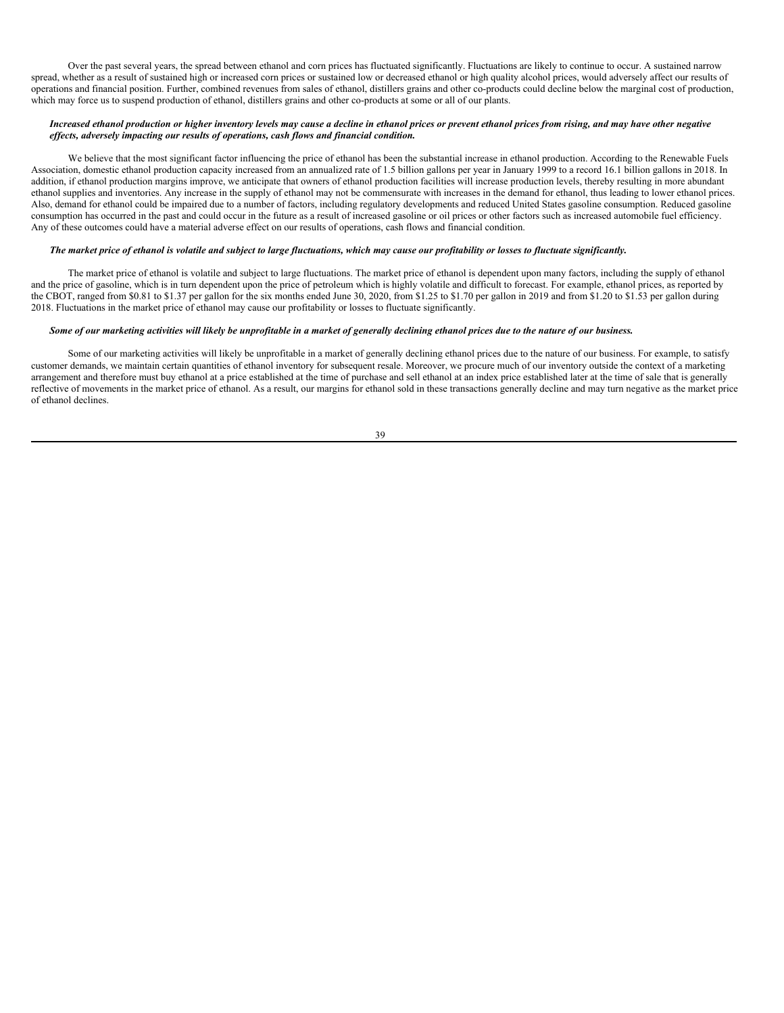Over the past several years, the spread between ethanol and corn prices has fluctuated significantly. Fluctuations are likely to continue to occur. A sustained narrow spread, whether as a result of sustained high or increased corn prices or sustained low or decreased ethanol or high quality alcohol prices, would adversely affect our results of operations and financial position. Further, combined revenues from sales of ethanol, distillers grains and other co-products could decline below the marginal cost of production, which may force us to suspend production of ethanol, distillers grains and other co-products at some or all of our plants.

### Increased ethanol production or higher inventory levels may cause a decline in ethanol prices or prevent ethanol prices from rising, and may have other negative *ef ects, adversely impacting our results of operations, cash flows and financial condition.*

We believe that the most significant factor influencing the price of ethanol has been the substantial increase in ethanol production. According to the Renewable Fuels Association, domestic ethanol production capacity increased from an annualized rate of 1.5 billion gallons per year in January 1999 to a record 16.1 billion gallons in 2018. In addition, if ethanol production margins improve, we anticipate that owners of ethanol production facilities will increase production levels, thereby resulting in more abundant ethanol supplies and inventories. Any increase in the supply of ethanol may not be commensurate with increases in the demand for ethanol, thus leading to lower ethanol prices. Also, demand for ethanol could be impaired due to a number of factors, including regulatory developments and reduced United States gasoline consumption. Reduced gasoline consumption has occurred in the past and could occur in the future as a result of increased gasoline or oil prices or other factors such as increased automobile fuel efficiency. Any of these outcomes could have a material adverse effect on our results of operations, cash flows and financial condition.

## The market price of ethanol is volatile and subject to large fluctuations, which may cause our profitability or losses to fluctuate significantly.

The market price of ethanol is volatile and subject to large fluctuations. The market price of ethanol is dependent upon many factors, including the supply of ethanol and the price of gasoline, which is in turn dependent upon the price of petroleum which is highly volatile and difficult to forecast. For example, ethanol prices, as reported by the CBOT, ranged from \$0.81 to \$1.37 per gallon for the six months ended June 30, 2020, from \$1.25 to \$1.70 per gallon in 2019 and from \$1.20 to \$1.53 per gallon during 2018. Fluctuations in the market price of ethanol may cause our profitability or losses to fluctuate significantly.

## Some of our marketing activities will likely be unprofitable in a market of generally declining ethanol prices due to the nature of our business.

Some of our marketing activities will likely be unprofitable in a market of generally declining ethanol prices due to the nature of our business. For example, to satisfy customer demands, we maintain certain quantities of ethanol inventory for subsequent resale. Moreover, we procure much of our inventory outside the context of a marketing arrangement and therefore must buy ethanol at a price established at the time of purchase and sell ethanol at an index price established later at the time of sale that is generally reflective of movements in the market price of ethanol. As a result, our margins for ethanol sold in these transactions generally decline and may turn negative as the market price of ethanol declines.

![](_page_40_Picture_7.jpeg)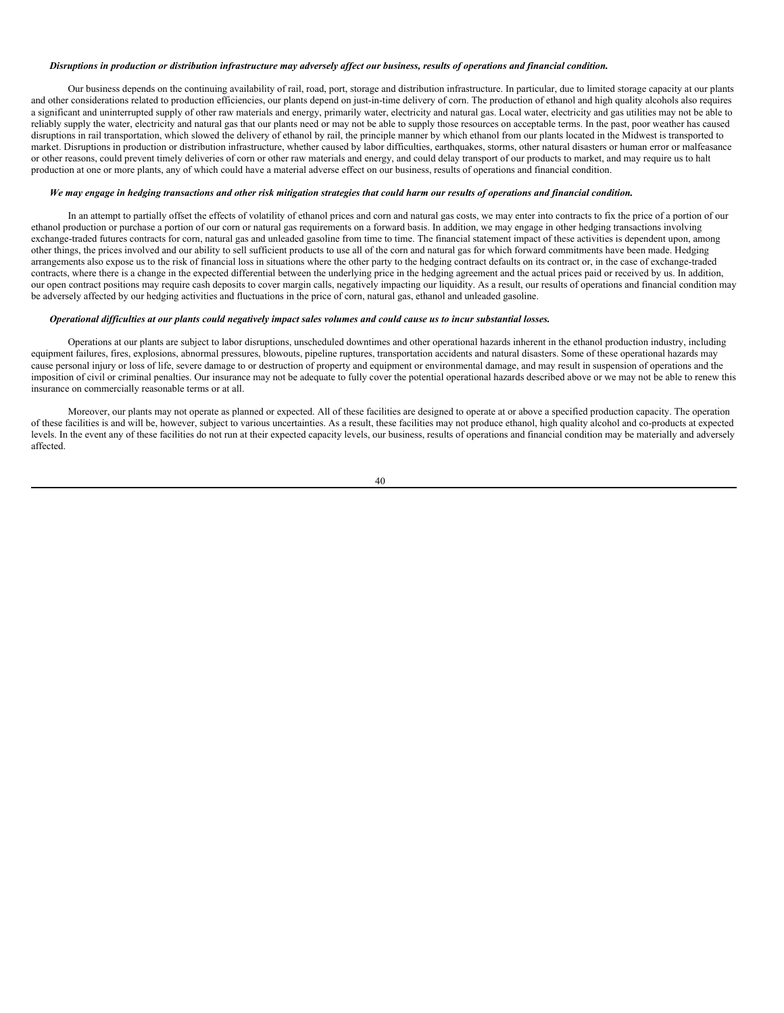#### Disruptions in production or distribution infrastructure may adversely affect our business, results of operations and financial condition.

Our business depends on the continuing availability of rail, road, port, storage and distribution infrastructure. In particular, due to limited storage capacity at our plants and other considerations related to production efficiencies, our plants depend on just-in-time delivery of corn. The production of ethanol and high quality alcohols also requires a significant and uninterrupted supply of other raw materials and energy, primarily water, electricity and natural gas. Local water, electricity and gas utilities may not be able to reliably supply the water, electricity and natural gas that our plants need or may not be able to supply those resources on acceptable terms. In the past, poor weather has caused disruptions in rail transportation, which slowed the delivery of ethanol by rail, the principle manner by which ethanol from our plants located in the Midwest is transported to market. Disruptions in production or distribution infrastructure, whether caused by labor difficulties, earthquakes, storms, other natural disasters or human error or malfeasance or other reasons, could prevent timely deliveries of corn or other raw materials and energy, and could delay transport of our products to market, and may require us to halt production at one or more plants, any of which could have a material adverse effect on our business, results of operations and financial condition.

## We may engage in hedging transactions and other risk mitigation strategies that could harm our results of operations and financial condition.

In an attempt to partially offset the effects of volatility of ethanol prices and corn and natural gas costs, we may enter into contracts to fix the price of a portion of our ethanol production or purchase a portion of our corn or natural gas requirements on a forward basis. In addition, we may engage in other hedging transactions involving exchange-traded futures contracts for corn, natural gas and unleaded gasoline from time to time. The financial statement impact of these activities is dependent upon, among other things, the prices involved and our ability to sell sufficient products to use all of the corn and natural gas for which forward commitments have been made. Hedging arrangements also expose us to the risk of financial loss in situations where the other party to the hedging contract defaults on its contract or, in the case of exchange-traded contracts, where there is a change in the expected differential between the underlying price in the hedging agreement and the actual prices paid or received by us. In addition, our open contract positions may require cash deposits to cover margin calls, negatively impacting our liquidity. As a result, our results of operations and financial condition may be adversely affected by our hedging activities and fluctuations in the price of corn, natural gas, ethanol and unleaded gasoline.

## Operational difficulties at our plants could negatively impact sales volumes and could cause us to incur substantial losses.

Operations at our plants are subject to labor disruptions, unscheduled downtimes and other operational hazards inherent in the ethanol production industry, including equipment failures, fires, explosions, abnormal pressures, blowouts, pipeline ruptures, transportation accidents and natural disasters. Some of these operational hazards may cause personal injury or loss of life, severe damage to or destruction of property and equipment or environmental damage, and may result in suspension of operations and the imposition of civil or criminal penalties. Our insurance may not be adequate to fully cover the potential operational hazards described above or we may not be able to renew this insurance on commercially reasonable terms or at all.

Moreover, our plants may not operate as planned or expected. All of these facilities are designed to operate at or above a specified production capacity. The operation of these facilities is and will be, however, subject to various uncertainties. As a result, these facilities may not produce ethanol, high quality alcohol and co-products at expected levels. In the event any of these facilities do not run at their expected capacity levels, our business, results of operations and financial condition may be materially and adversely affected.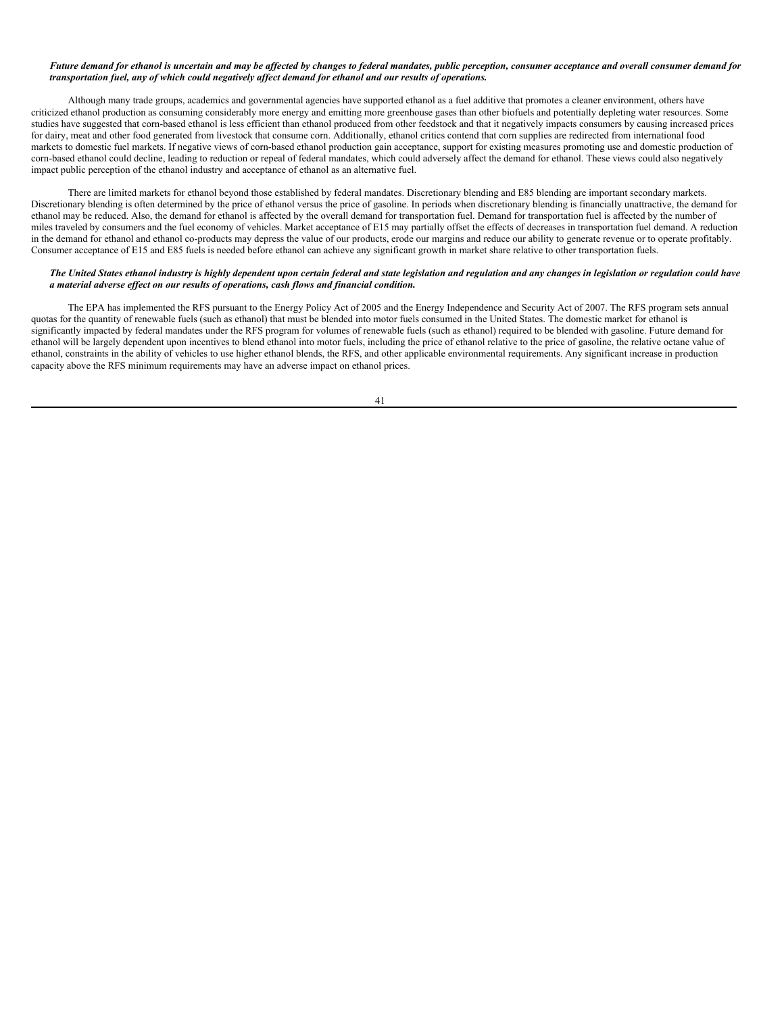## Future demand for ethanol is uncertain and may be affected by changes to federal mandates, public perception, consumer acceptance and overall consumer demand for transportation fuel, any of which could negatively affect demand for ethanol and our results of operations.

Although many trade groups, academics and governmental agencies have supported ethanol as a fuel additive that promotes a cleaner environment, others have criticized ethanol production as consuming considerably more energy and emitting more greenhouse gases than other biofuels and potentially depleting water resources. Some studies have suggested that corn-based ethanol is less efficient than ethanol produced from other feedstock and that it negatively impacts consumers by causing increased prices for dairy, meat and other food generated from livestock that consume corn. Additionally, ethanol critics contend that corn supplies are redirected from international food markets to domestic fuel markets. If negative views of corn-based ethanol production gain acceptance, support for existing measures promoting use and domestic production of corn-based ethanol could decline, leading to reduction or repeal of federal mandates, which could adversely affect the demand for ethanol. These views could also negatively impact public perception of the ethanol industry and acceptance of ethanol as an alternative fuel.

There are limited markets for ethanol beyond those established by federal mandates. Discretionary blending and E85 blending are important secondary markets. Discretionary blending is often determined by the price of ethanol versus the price of gasoline. In periods when discretionary blending is financially unattractive, the demand for ethanol may be reduced. Also, the demand for ethanol is affected by the overall demand for transportation fuel. Demand for transportation fuel is affected by the number of miles traveled by consumers and the fuel economy of vehicles. Market acceptance of E15 may partially offset the effects of decreases in transportation fuel demand. A reduction in the demand for ethanol and ethanol co-products may depress the value of our products, erode our margins and reduce our ability to generate revenue or to operate profitably. Consumer acceptance of E15 and E85 fuels is needed before ethanol can achieve any significant growth in market share relative to other transportation fuels.

## The United States ethanol industry is highly dependent upon certain federal and state legislation and regulation and any changes in legislation or regulation could have *a material adverse ef ect on our results of operations, cash flows and financial condition.*

The EPA has implemented the RFS pursuant to the Energy Policy Act of 2005 and the Energy Independence and Security Act of 2007. The RFS program sets annual quotas for the quantity of renewable fuels (such as ethanol) that must be blended into motor fuels consumed in the United States. The domestic market for ethanol is significantly impacted by federal mandates under the RFS program for volumes of renewable fuels (such as ethanol) required to be blended with gasoline. Future demand for ethanol will be largely dependent upon incentives to blend ethanol into motor fuels, including the price of ethanol relative to the price of gasoline, the relative octane value of ethanol, constraints in the ability of vehicles to use higher ethanol blends, the RFS, and other applicable environmental requirements. Any significant increase in production capacity above the RFS minimum requirements may have an adverse impact on ethanol prices.

![](_page_42_Picture_5.jpeg)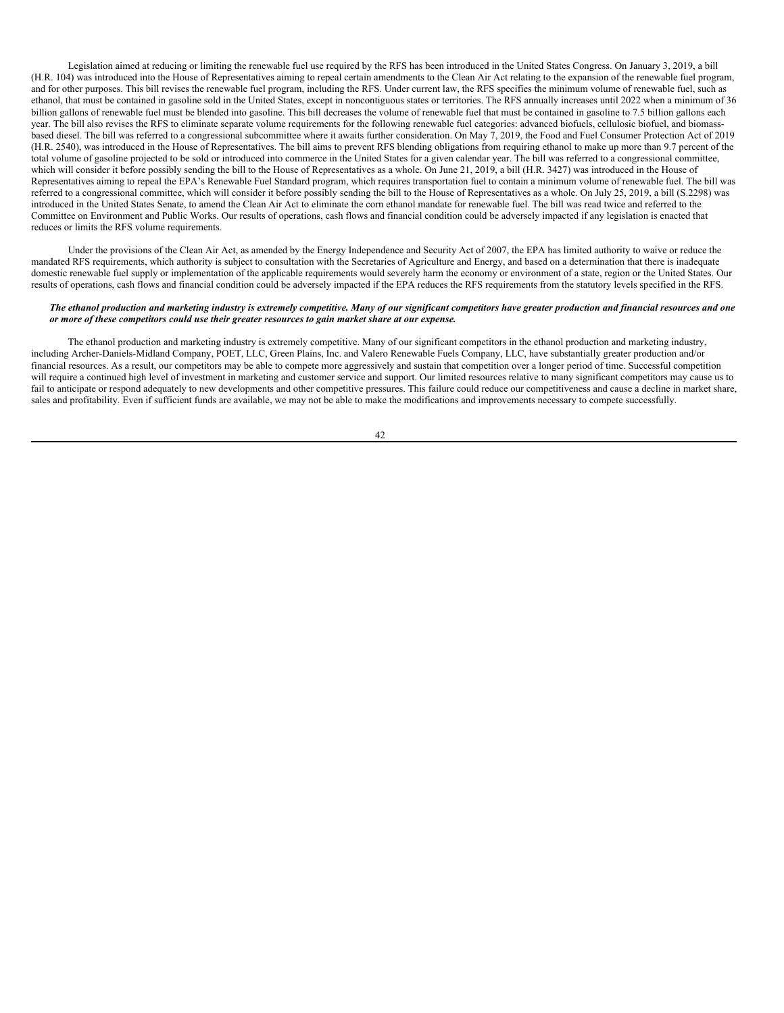Legislation aimed at reducing or limiting the renewable fuel use required by the RFS has been introduced in the United States Congress. On January 3, 2019, a bill (H.R. 104) was introduced into the House of Representatives aiming to repeal certain amendments to the Clean Air Act relating to the expansion of the renewable fuel program, and for other purposes. This bill revises the renewable fuel program, including the RFS. Under current law, the RFS specifies the minimum volume of renewable fuel, such as ethanol, that must be contained in gasoline sold in the United States, except in noncontiguous states or territories. The RFS annually increases until 2022 when a minimum of 36 billion gallons of renewable fuel must be blended into gasoline. This bill decreases the volume of renewable fuel that must be contained in gasoline to 7.5 billion gallons each year. The bill also revises the RFS to eliminate separate volume requirements for the following renewable fuel categories: advanced biofuels, cellulosic biofuel, and biomassbased diesel. The bill was referred to a congressional subcommittee where it awaits further consideration. On May  $\bar{7}$ , 2019, the Food and Fuel Consumer Protection Act of 2019 (H.R. 2540), was introduced in the House of Representatives. The bill aims to prevent RFS blending obligations from requiring ethanol to make up more than 9.7 percent of the total volume of gasoline projected to be sold or introduced into commerce in the United States for a given calendar year. The bill was referred to a congressional committee, which will consider it before possibly sending the bill to the House of Representatives as a whole. On June 21, 2019, a bill (H.R. 3427) was introduced in the House of Representatives aiming to repeal the EPA's Renewable Fuel Standard program, which requires transportation fuel to contain a minimum volume of renewable fuel. The bill was referred to a congressional committee, which will consider it before possibly sending the bill to the House of Representatives as a whole. On July 25, 2019, a bill (S.2298) was introduced in the United States Senate, to amend the Clean Air Act to eliminate the corn ethanol mandate for renewable fuel. The bill was read twice and referred to the Committee on Environment and Public Works. Our results of operations, cash flows and financial condition could be adversely impacted if any legislation is enacted that reduces or limits the RFS volume requirements.

Under the provisions of the Clean Air Act, as amended by the Energy Independence and Security Act of 2007, the EPA has limited authority to waive or reduce the mandated RFS requirements, which authority is subject to consultation with the Secretaries of Agriculture and Energy, and based on a determination that there is inadequate domestic renewable fuel supply or implementation of the applicable requirements would severely harm the economy or environment of a state, region or the United States. Our results of operations, cash flows and financial condition could be adversely impacted if the EPA reduces the RFS requirements from the statutory levels specified in the RFS.

## The ethanol production and marketing industry is extremely competitive. Many of our significant competitors have greater production and financial resources and one *or more of these competitors could use their greater resources to gain market share at our expense.*

The ethanol production and marketing industry is extremely competitive. Many of our significant competitors in the ethanol production and marketing industry, including Archer-Daniels-Midland Company, POET, LLC, Green Plains, Inc. and Valero Renewable Fuels Company, LLC, have substantially greater production and/or financial resources. As a result, our competitors may be able to compete more aggressively and sustain that competition over a longer period of time. Successful competition will require a continued high level of investment in marketing and customer service and support. Our limited resources relative to many significant competitors may cause us to fail to anticipate or respond adequately to new developments and other competitive pressures. This failure could reduce our competitiveness and cause a decline in market share, sales and profitability. Even if sufficient funds are available, we may not be able to make the modifications and improvements necessary to compete successfully.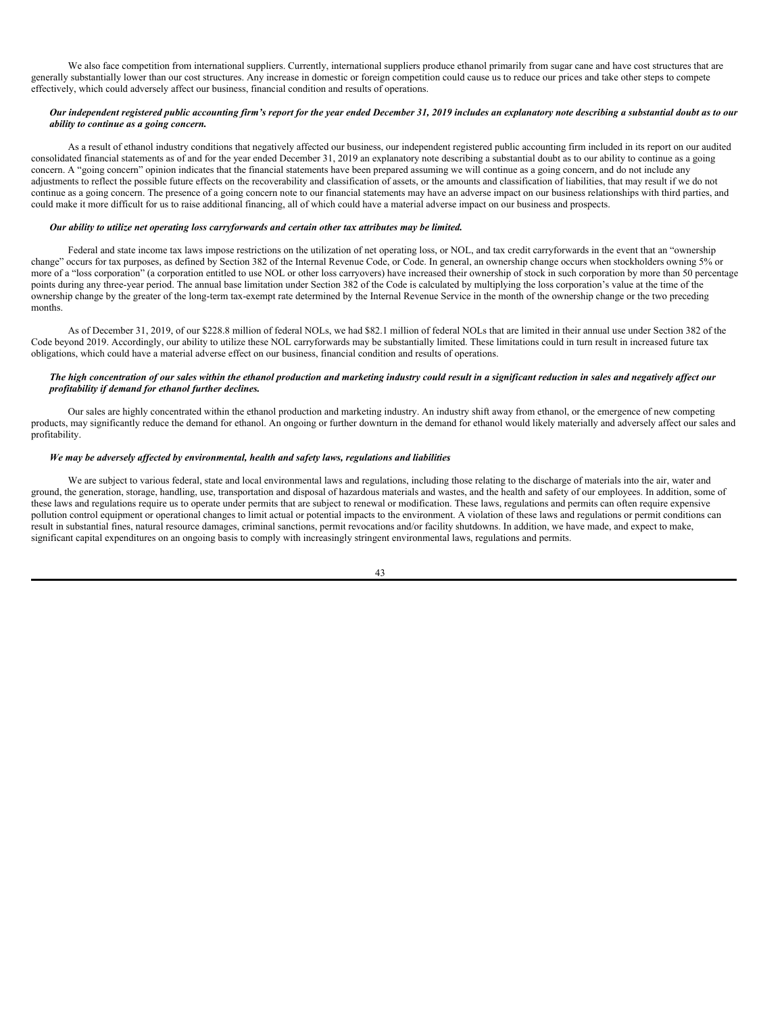We also face competition from international suppliers. Currently, international suppliers produce ethanol primarily from sugar cane and have cost structures that are generally substantially lower than our cost structures. Any increase in domestic or foreign competition could cause us to reduce our prices and take other steps to compete effectively, which could adversely affect our business, financial condition and results of operations.

## Our independent registered public accounting firm's report for the year ended December 31, 2019 includes an explanatory note describing a substantial doubt as to our *ability to continue as a going concern.*

As a result of ethanol industry conditions that negatively affected our business, our independent registered public accounting firm included in its report on our audited consolidated financial statements as of and for the year ended December 31, 2019 an explanatory note describing a substantial doubt as to our ability to continue as a going concern. A "going concern" opinion indicates that the financial statements have been prepared assuming we will continue as a going concern, and do not include any adjustments to reflect the possible future effects on the recoverability and classification of assets, or the amounts and classification of liabilities, that may result if we do not continue as a going concern. The presence of a going concern note to our financial statements may have an adverse impact on our business relationships with third parties, and could make it more difficult for us to raise additional financing, all of which could have a material adverse impact on our business and prospects.

### *Our ability to utilize net operating loss carryforwards and certain other tax attributes may be limited.*

Federal and state income tax laws impose restrictions on the utilization of net operating loss, or NOL, and tax credit carryforwards in the event that an "ownership change" occurs for tax purposes, as defined by Section 382 of the Internal Revenue Code, or Code. In general, an ownership change occurs when stockholders owning 5% or more of a "loss corporation" (a corporation entitled to use NOL or other loss carryovers) have increased their ownership of stock in such corporation by more than 50 percentage points during any three-year period. The annual base limitation under Section 382 of the Code is calculated by multiplying the loss corporation's value at the time of the ownership change by the greater of the long-term tax-exempt rate determined by the Internal Revenue Service in the month of the ownership change or the two preceding months.

As of December 31, 2019, of our \$228.8 million of federal NOLs, we had \$82.1 million of federal NOLs that are limited in their annual use under Section 382 of the Code beyond 2019. Accordingly, our ability to utilize these NOL carryforwards may be substantially limited. These limitations could in turn result in increased future tax obligations, which could have a material adverse effect on our business, financial condition and results of operations.

## The high concentration of our sales within the ethanol production and marketing industry could result in a significant reduction in sales and negatively affect our *profitability if demand for ethanol further declines.*

Our sales are highly concentrated within the ethanol production and marketing industry. An industry shift away from ethanol, or the emergence of new competing products, may significantly reduce the demand for ethanol. An ongoing or further downturn in the demand for ethanol would likely materially and adversely affect our sales and profitability.

## *We may be adversely af ected by environmental, health and safety laws, regulations and liabilities*.

We are subject to various federal, state and local environmental laws and regulations, including those relating to the discharge of materials into the air, water and ground, the generation, storage, handling, use, transportation and disposal of hazardous materials and wastes, and the health and safety of our employees. In addition, some of these laws and regulations require us to operate under permits that are subject to renewal or modification. These laws, regulations and permits can often require expensive pollution control equipment or operational changes to limit actual or potential impacts to the environment. A violation of these laws and regulations or permit conditions can result in substantial fines, natural resource damages, criminal sanctions, permit revocations and/or facility shutdowns. In addition, we have made, and expect to make, significant capital expenditures on an ongoing basis to comply with increasingly stringent environmental laws, regulations and permits.

![](_page_44_Picture_10.jpeg)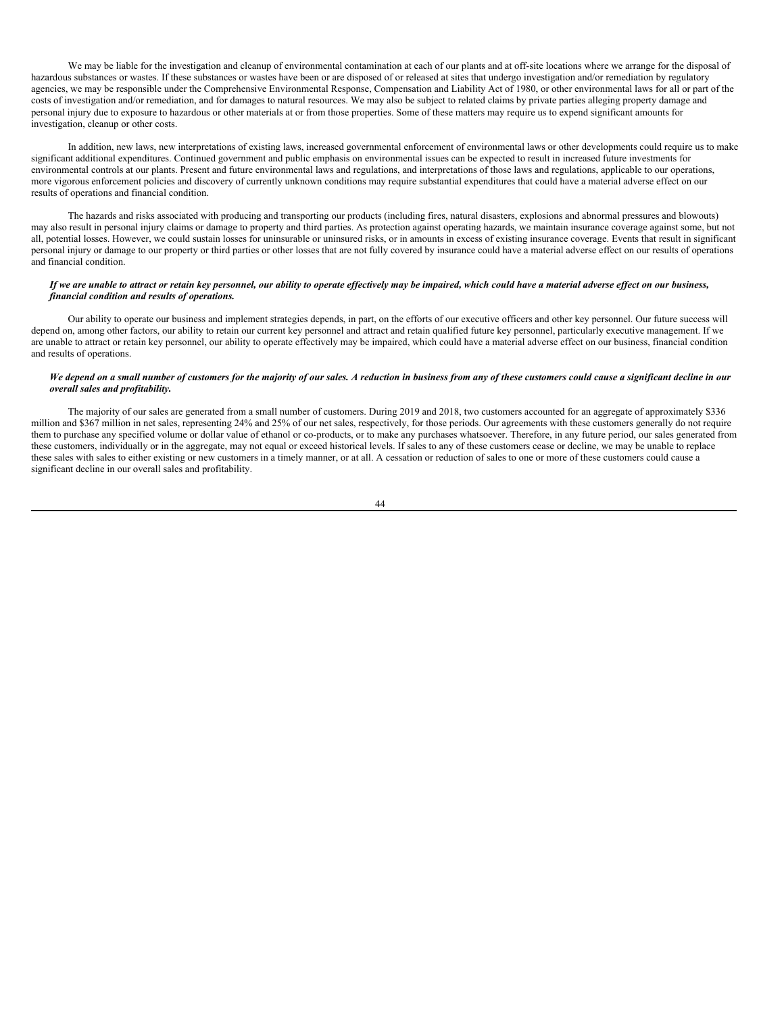We may be liable for the investigation and cleanup of environmental contamination at each of our plants and at off-site locations where we arrange for the disposal of hazardous substances or wastes. If these substances or wastes have been or are disposed of or released at sites that undergo investigation and/or remediation by regulatory agencies, we may be responsible under the Comprehensive Environmental Response, Compensation and Liability Act of 1980, or other environmental laws for all or part of the costs of investigation and/or remediation, and for damages to natural resources. We may also be subject to related claims by private parties alleging property damage and personal injury due to exposure to hazardous or other materials at or from those properties. Some of these matters may require us to expend significant amounts for investigation, cleanup or other costs.

In addition, new laws, new interpretations of existing laws, increased governmental enforcement of environmental laws or other developments could require us to make significant additional expenditures. Continued government and public emphasis on environmental issues can be expected to result in increased future investments for environmental controls at our plants. Present and future environmental laws and regulations, and interpretations of those laws and regulations, applicable to our operations, more vigorous enforcement policies and discovery of currently unknown conditions may require substantial expenditures that could have a material adverse effect on our results of operations and financial condition.

The hazards and risks associated with producing and transporting our products (including fires, natural disasters, explosions and abnormal pressures and blowouts) may also result in personal injury claims or damage to property and third parties. As protection against operating hazards, we maintain insurance coverage against some, but not all, potential losses. However, we could sustain losses for uninsurable or uninsured risks, or in amounts in excess of existing insurance coverage. Events that result in significant personal injury or damage to our property or third parties or other losses that are not fully covered by insurance could have a material adverse effect on our results of operations and financial condition.

## If we are unable to attract or retain key personnel, our ability to operate effectively may be impaired, which could have a material adverse effect on our business, *financial condition and results of operations.*

Our ability to operate our business and implement strategies depends, in part, on the efforts of our executive officers and other key personnel. Our future success will depend on, among other factors, our ability to retain our current key personnel and attract and retain qualified future key personnel, particularly executive management. If we are unable to attract or retain key personnel, our ability to operate effectively may be impaired, which could have a material adverse effect on our business, financial condition and results of operations.

## We depend on a small number of customers for the majority of our sales. A reduction in business from any of these customers could cause a significant decline in our *overall sales and profitability.*

The majority of our sales are generated from a small number of customers. During 2019 and 2018, two customers accounted for an aggregate of approximately \$336 million and \$367 million in net sales, representing 24% and 25% of our net sales, respectively, for those periods. Our agreements with these customers generally do not require them to purchase any specified volume or dollar value of ethanol or co-products, or to make any purchases whatsoever. Therefore, in any future period, our sales generated from these customers, individually or in the aggregate, may not equal or exceed historical levels. If sales to any of these customers cease or decline, we may be unable to replace these sales with sales to either existing or new customers in a timely manner, or at all. A cessation or reduction of sales to one or more of these customers could cause a significant decline in our overall sales and profitability.

![](_page_45_Picture_7.jpeg)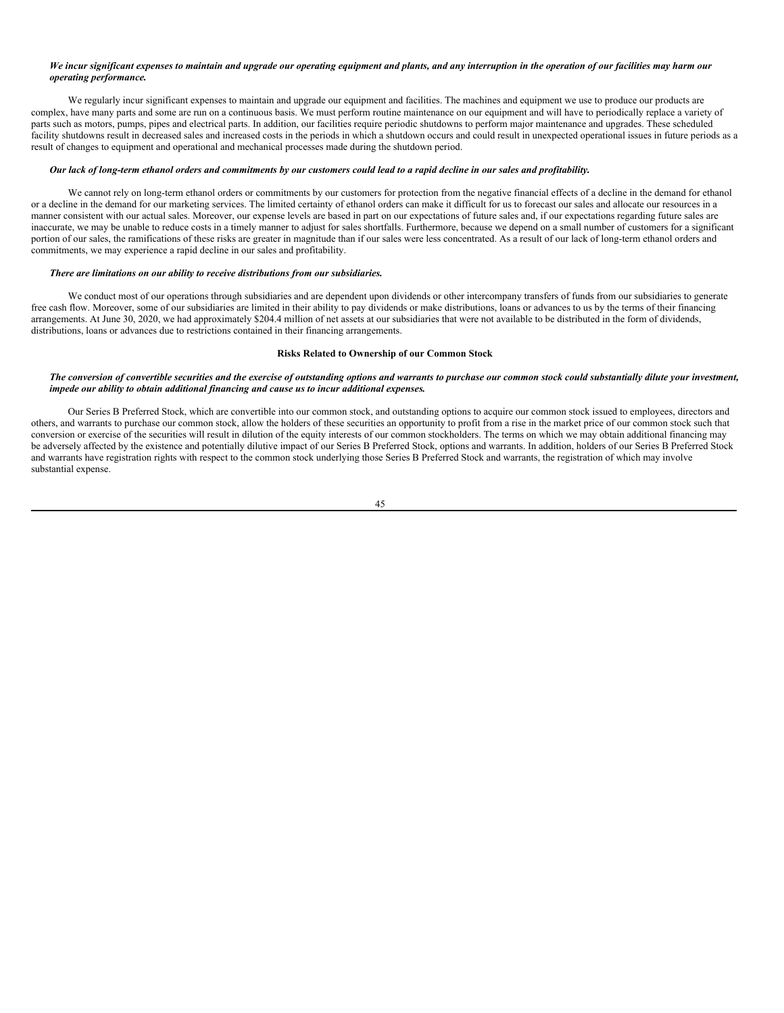## We incur significant expenses to maintain and upgrade our operating equipment and plants, and any interruption in the operation of our facilities may harm our *operating performance.*

We regularly incur significant expenses to maintain and upgrade our equipment and facilities. The machines and equipment we use to produce our products are complex, have many parts and some are run on a continuous basis. We must perform routine maintenance on our equipment and will have to periodically replace a variety of parts such as motors, pumps, pipes and electrical parts. In addition, our facilities require periodic shutdowns to perform major maintenance and upgrades. These scheduled facility shutdowns result in decreased sales and increased costs in the periods in which a shutdown occurs and could result in unexpected operational issues in future periods as a result of changes to equipment and operational and mechanical processes made during the shutdown period.

## Our lack of long-term ethanol orders and commitments by our customers could lead to a rapid decline in our sales and profitability.

We cannot rely on long-term ethanol orders or commitments by our customers for protection from the negative financial effects of a decline in the demand for ethanol or a decline in the demand for our marketing services. The limited certainty of ethanol orders can make it difficult for us to forecast our sales and allocate our resources in a manner consistent with our actual sales. Moreover, our expense levels are based in part on our expectations of future sales and, if our expectations regarding future sales are inaccurate, we may be unable to reduce costs in a timely manner to adjust for sales shortfalls. Furthermore, because we depend on a small number of customers for a significant portion of our sales, the ramifications of these risks are greater in magnitude than if our sales were less concentrated. As a result of our lack of long-term ethanol orders and commitments, we may experience a rapid decline in our sales and profitability.

## *There are limitations on our ability to receive distributions from our subsidiaries.*

We conduct most of our operations through subsidiaries and are dependent upon dividends or other intercompany transfers of funds from our subsidiaries to generate free cash flow. Moreover, some of our subsidiaries are limited in their ability to pay dividends or make distributions, loans or advances to us by the terms of their financing arrangements. At June 30, 2020, we had approximately \$204.4 million of net assets at our subsidiaries that were not available to be distributed in the form of dividends, distributions, loans or advances due to restrictions contained in their financing arrangements.

#### **Risks Related to Ownership of our Common Stock**

## The conversion of convertible securities and the exercise of outstanding options and warrants to purchase our common stock could substantially dilute your investment, *impede our ability to obtain additional financing and cause us to incur additional expenses.*

Our Series B Preferred Stock, which are convertible into our common stock, and outstanding options to acquire our common stock issued to employees, directors and others, and warrants to purchase our common stock, allow the holders of these securities an opportunity to profit from a rise in the market price of our common stock such that conversion or exercise of the securities will result in dilution of the equity interests of our common stockholders. The terms on which we may obtain additional financing may be adversely affected by the existence and potentially dilutive impact of our Series B Preferred Stock, options and warrants. In addition, holders of our Series B Preferred Stock and warrants have registration rights with respect to the common stock underlying those Series B Preferred Stock and warrants, the registration of which may involve substantial expense.

![](_page_46_Picture_9.jpeg)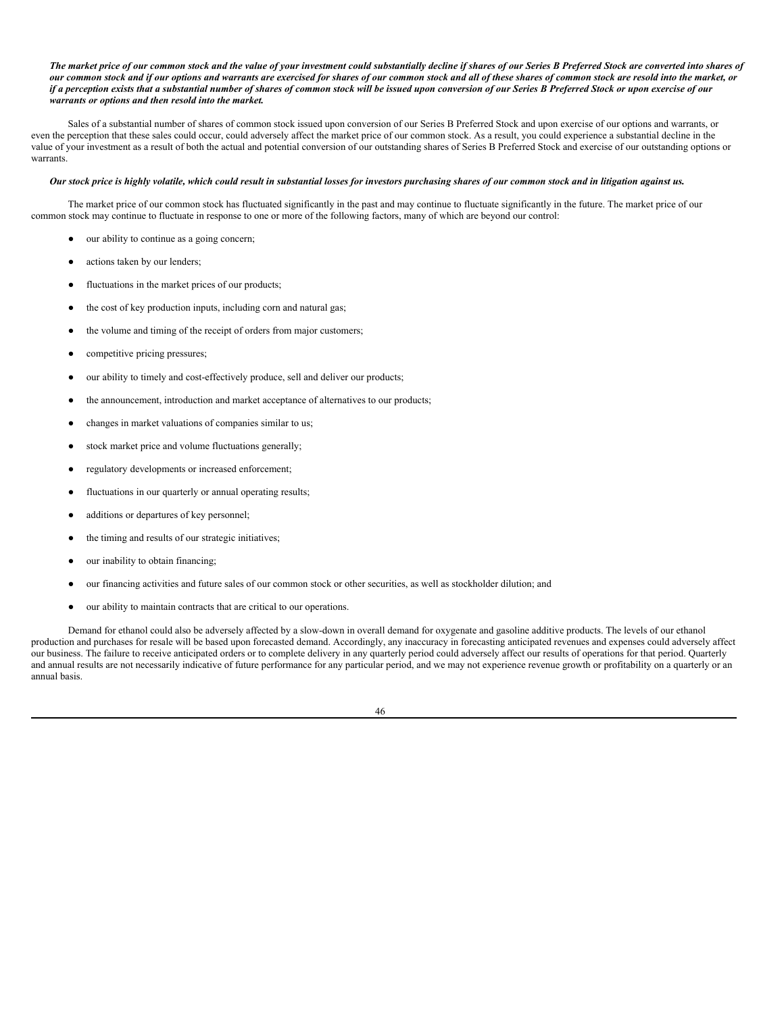## The market price of our common stock and the value of your investment could substantially decline if shares of our Series B Preferred Stock are converted into shares of our common stock and if our options and warrants are exercised for shares of our common stock and all of these shares of common stock are resold into the market, or if a perception exists that a substantial number of shares of common stock will be issued upon conversion of our Series B Preferred Stock or upon exercise of our *warrants or options and then resold into the market.*

Sales of a substantial number of shares of common stock issued upon conversion of our Series B Preferred Stock and upon exercise of our options and warrants, or even the perception that these sales could occur, could adversely affect the market price of our common stock. As a result, you could experience a substantial decline in the value of your investment as a result of both the actual and potential conversion of our outstanding shares of Series B Preferred Stock and exercise of our outstanding options or warrants.

## Our stock price is highly volatile, which could result in substantial losses for investors purchasing shares of our common stock and in litigation against us.

The market price of our common stock has fluctuated significantly in the past and may continue to fluctuate significantly in the future. The market price of our common stock may continue to fluctuate in response to one or more of the following factors, many of which are beyond our control:

- our ability to continue as a going concern;
- actions taken by our lenders;
- fluctuations in the market prices of our products;
- the cost of key production inputs, including corn and natural gas;
- the volume and timing of the receipt of orders from major customers;
- competitive pricing pressures;
- our ability to timely and cost-effectively produce, sell and deliver our products;
- the announcement, introduction and market acceptance of alternatives to our products;
- changes in market valuations of companies similar to us;
- stock market price and volume fluctuations generally;
- regulatory developments or increased enforcement;
- fluctuations in our quarterly or annual operating results;
- additions or departures of key personnel;
- the timing and results of our strategic initiatives;
- our inability to obtain financing;
- our financing activities and future sales of our common stock or other securities, as well as stockholder dilution; and
- our ability to maintain contracts that are critical to our operations.

Demand for ethanol could also be adversely affected by a slow-down in overall demand for oxygenate and gasoline additive products. The levels of our ethanol production and purchases for resale will be based upon forecasted demand. Accordingly, any inaccuracy in forecasting anticipated revenues and expenses could adversely affect our business. The failure to receive anticipated orders or to complete delivery in any quarterly period could adversely affect our results of operations for that period. Quarterly and annual results are not necessarily indicative of future performance for any particular period, and we may not experience revenue growth or profitability on a quarterly or an annual basis.

![](_page_47_Picture_22.jpeg)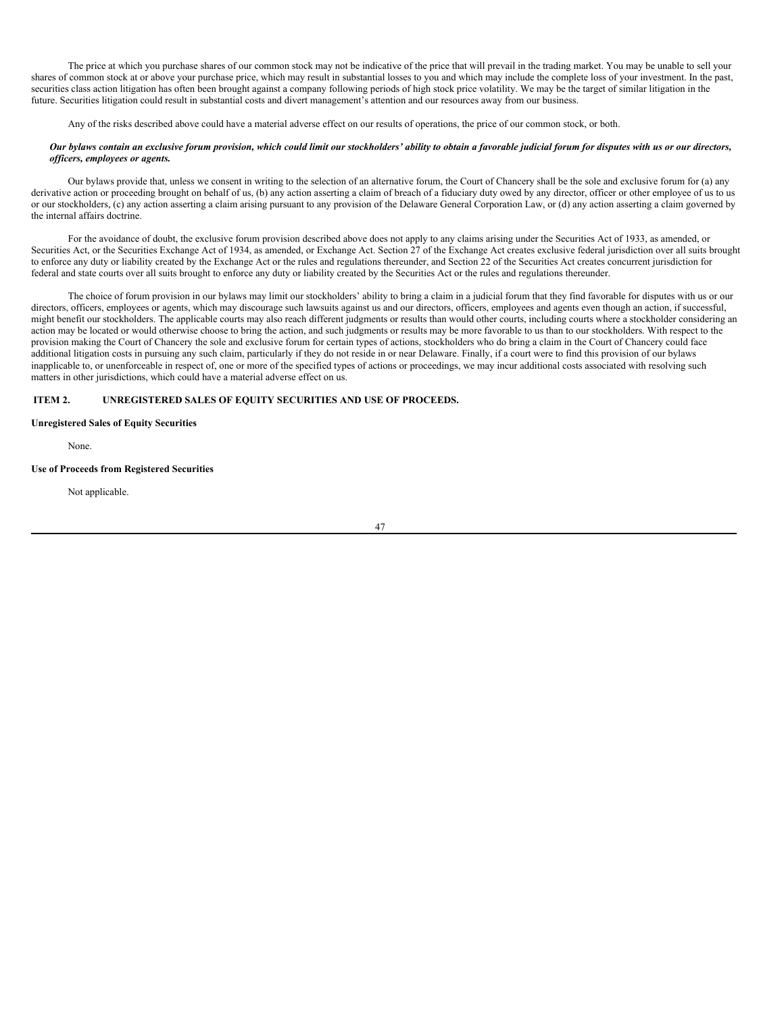The price at which you purchase shares of our common stock may not be indicative of the price that will prevail in the trading market. You may be unable to sell your shares of common stock at or above your purchase price, which may result in substantial losses to you and which may include the complete loss of your investment. In the past, securities class action litigation has often been brought against a company following periods of high stock price volatility. We may be the target of similar litigation in the future. Securities litigation could result in substantial costs and divert management's attention and our resources away from our business.

Any of the risks described above could have a material adverse effect on our results of operations, the price of our common stock, or both.

## Our bylaws contain an exclusive forum provision, which could limit our stockholders' ability to obtain a favorable judicial forum for disputes with us or our directors, *of icers, employees or agents.*

Our bylaws provide that, unless we consent in writing to the selection of an alternative forum, the Court of Chancery shall be the sole and exclusive forum for (a) any derivative action or proceeding brought on behalf of us, (b) any action asserting a claim of breach of a fiduciary duty owed by any director, officer or other employee of us to us or our stockholders, (c) any action asserting a claim arising pursuant to any provision of the Delaware General Corporation Law, or (d) any action asserting a claim governed by the internal affairs doctrine.

For the avoidance of doubt, the exclusive forum provision described above does not apply to any claims arising under the Securities Act of 1933, as amended, or Securities Act, or the Securities Exchange Act of 1934, as amended, or Exchange Act. Section 27 of the Exchange Act creates exclusive federal jurisdiction over all suits brought to enforce any duty or liability created by the Exchange Act or the rules and regulations thereunder, and Section 22 of the Securities Act creates concurrent jurisdiction for federal and state courts over all suits brought to enforce any duty or liability created by the Securities Act or the rules and regulations thereunder.

The choice of forum provision in our bylaws may limit our stockholders' ability to bring a claim in a judicial forum that they find favorable for disputes with us or our directors, officers, employees or agents, which may discourage such lawsuits against us and our directors, officers, employees and agents even though an action, if successful, might benefit our stockholders. The applicable courts may also reach different judgments or results than would other courts, including courts where a stockholder considering an action may be located or would otherwise choose to bring the action, and such judgments or results may be more favorable to us than to our stockholders. With respect to the provision making the Court of Chancery the sole and exclusive forum for certain types of actions, stockholders who do bring a claim in the Court of Chancery could face additional litigation costs in pursuing any such claim, particularly if they do not reside in or near Delaware. Finally, if a court were to find this provision of our bylaws inapplicable to, or unenforceable in respect of, one or more of the specified types of actions or proceedings, we may incur additional costs associated with resolving such matters in other jurisdictions, which could have a material adverse effect on us.

## <span id="page-48-0"></span>**ITEM 2. UNREGISTERED SALES OF EQUITY SECURITIES AND USE OF PROCEEDS.**

## **Unregistered Sales of Equity Securities**

None.

#### **Use of Proceeds from Registered Securities**

Not applicable.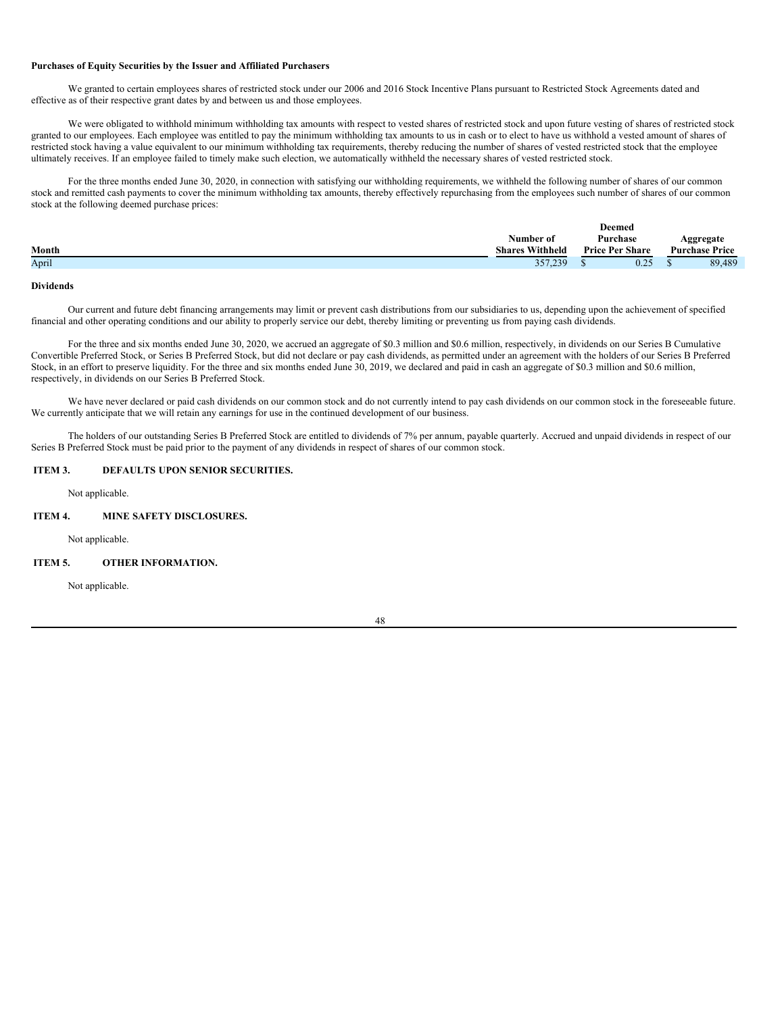## **Purchases of Equity Securities by the Issuer and Affiliated Purchasers**

We granted to certain employees shares of restricted stock under our 2006 and 2016 Stock Incentive Plans pursuant to Restricted Stock Agreements dated and effective as of their respective grant dates by and between us and those employees.

We were obligated to withhold minimum withholding tax amounts with respect to vested shares of restricted stock and upon future vesting of shares of restricted stock granted to our employees. Each employee was entitled to pay the minimum withholding tax amounts to us in cash or to elect to have us withhold a vested amount of shares of restricted stock having a value equivalent to our minimum withholding tax requirements, thereby reducing the number of shares of vested restricted stock that the employee ultimately receives. If an employee failed to timely make such election, we automatically withheld the necessary shares of vested restricted stock.

For the three months ended June 30, 2020, in connection with satisfying our withholding requirements, we withheld the following number of shares of our common stock and remitted cash payments to cover the minimum withholding tax amounts, thereby effectively repurchasing from the employees such number of shares of our common stock at the following deemed purchase prices:

|       |                        | <b>Deemed</b>          |      |                       |
|-------|------------------------|------------------------|------|-----------------------|
|       | Number of              | Purchase               |      | Aggregate             |
| Month | <b>Shares Withheld</b> | <b>Price Per Share</b> |      | <b>Purchase Price</b> |
| April | 230<br>357,239         |                        | 0.25 | 89,489                |

#### **Dividends**

Our current and future debt financing arrangements may limit or prevent cash distributions from our subsidiaries to us, depending upon the achievement of specified financial and other operating conditions and our ability to properly service our debt, thereby limiting or preventing us from paying cash dividends.

For the three and six months ended June 30, 2020, we accrued an aggregate of \$0.3 million and \$0.6 million, respectively, in dividends on our Series B Cumulative Convertible Preferred Stock, or Series B Preferred Stock, but did not declare or pay cash dividends, as permitted under an agreement with the holders of our Series B Preferred Stock, in an effort to preserve liquidity. For the three and six months ended June 30, 2019, we declared and paid in cash an aggregate of \$0.3 million and \$0.6 million, respectively, in dividends on our Series B Preferred Stock.

We have never declared or paid cash dividends on our common stock and do not currently intend to pay cash dividends on our common stock in the foreseeable future. We currently anticipate that we will retain any earnings for use in the continued development of our business.

The holders of our outstanding Series B Preferred Stock are entitled to dividends of 7% per annum, payable quarterly. Accrued and unpaid dividends in respect of our Series B Preferred Stock must be paid prior to the payment of any dividends in respect of shares of our common stock.

## <span id="page-49-0"></span>**ITEM 3. DEFAULTS UPON SENIOR SECURITIES.**

Not applicable.

## <span id="page-49-1"></span>**ITEM 4. MINE SAFETY DISCLOSURES.**

Not applicable.

## <span id="page-49-2"></span>**ITEM 5. OTHER INFORMATION.**

Not applicable.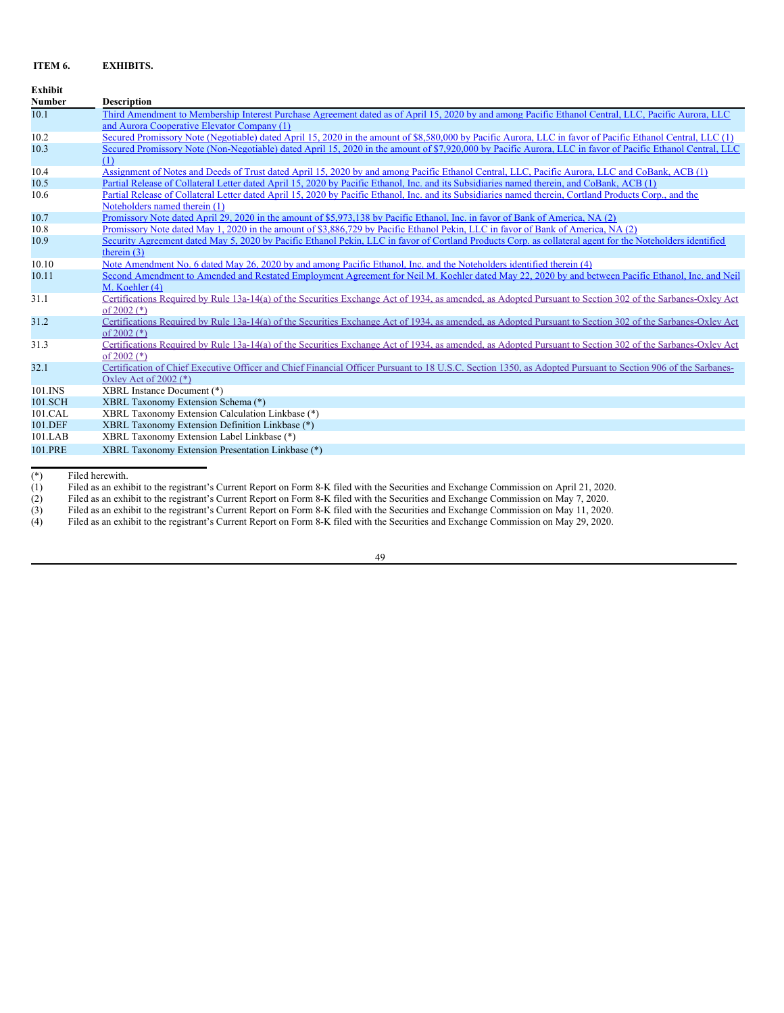# <span id="page-50-0"></span>**ITEM 6. EXHIBITS.**

| <b>Number</b> | <b>Description</b>                                                                                                                                                                       |
|---------------|------------------------------------------------------------------------------------------------------------------------------------------------------------------------------------------|
| 10.1          | Third Amendment to Membership Interest Purchase Agreement dated as of April 15, 2020 by and among Pacific Ethanol Central, LLC, Pacific Aurora, LLC                                      |
|               | and Aurora Cooperative Elevator Company (1)                                                                                                                                              |
| 10.2          | Secured Promissory Note (Negotiable) dated April 15, 2020 in the amount of \$8,580,000 by Pacific Aurora, LLC in favor of Pacific Ethanol Central, LLC (1)                               |
| 10.3          | Secured Promissory Note (Non-Negotiable) dated April 15, 2020 in the amount of \$7,920,000 by Pacific Aurora, LLC in favor of Pacific Ethanol Central, LLC<br>(1)                        |
| 10.4          | Assignment of Notes and Deeds of Trust dated April 15, 2020 by and among Pacific Ethanol Central, LLC, Pacific Aurora, LLC and CoBank, ACB (1)                                           |
| 10.5          | Partial Release of Collateral Letter dated April 15, 2020 by Pacific Ethanol, Inc. and its Subsidiaries named therein, and CoBank, ACB (1)                                               |
| 10.6          | Partial Release of Collateral Letter dated April 15, 2020 by Pacific Ethanol. Inc. and its Subsidiaries named therein. Cortland Products Corp., and the<br>Noteholders named therein (1) |
| 10.7          | Promissory Note dated April 29, 2020 in the amount of \$5,973,138 by Pacific Ethanol, Inc. in favor of Bank of America, NA (2)                                                           |
| 10.8          | Promissory Note dated May 1, 2020 in the amount of \$3.886.729 by Pacific Ethanol Pekin, LLC in favor of Bank of America, NA (2)                                                         |
| 10.9          | Security Agreement dated May 5, 2020 by Pacific Ethanol Pekin, LLC in favor of Cortland Products Corp. as collateral agent for the Noteholders identified<br>therein $(3)$               |
| 10.10         | Note Amendment No. 6 dated May 26, 2020 by and among Pacific Ethanol, Inc. and the Noteholders identified therein (4)                                                                    |
| 10.11         | Second Amendment to Amended and Restated Employment Agreement for Neil M. Koehler dated May 22, 2020 by and between Pacific Ethanol, Inc. and Neil                                       |
|               | M. Koehler (4)                                                                                                                                                                           |
| 31.1          | Certifications Required by Rule 13a-14(a) of the Securities Exchange Act of 1934, as amended, as Adopted Pursuant to Section 302 of the Sarbanes-Oxley Act<br>of $2002$ $(*)$            |
| 31.2          | Certifications Required by Rule 13a-14(a) of the Securities Exchange Act of 1934, as amended, as Adopted Pursuant to Section 302 of the Sarbanes-Oxley Act<br>of 2002 $(*)$              |
| 31.3          | Certifications Required by Rule 13a-14(a) of the Securities Exchange Act of 1934, as amended, as Adopted Pursuant to Section 302 of the Sarbanes-Oxley Act                               |
|               | of $2002$ $(*)$                                                                                                                                                                          |
| 32.1          | Certification of Chief Executive Officer and Chief Financial Officer Pursuant to 18 U.S.C. Section 1350, as Adopted Pursuant to Section 906 of the Sarbanes-                             |
|               | Oxley Act of 2002 $(*)$                                                                                                                                                                  |
| 101.INS       | XBRL Instance Document (*)                                                                                                                                                               |
| 101.SCH       | XBRL Taxonomy Extension Schema (*)                                                                                                                                                       |
| 101.CAL       | XBRL Taxonomy Extension Calculation Linkbase (*)                                                                                                                                         |
| 101.DEF       | XBRL Taxonomy Extension Definition Linkbase (*)                                                                                                                                          |
| 101.LAB       | XBRL Taxonomy Extension Label Linkbase (*)                                                                                                                                               |
| 101.PRE       | XBRL Taxonomy Extension Presentation Linkbase (*)                                                                                                                                        |

(\*) Filed herewith.<br>
(1) Filed as an exhi<br>
(2) Filed as an exhi<br>
(4) Filed as an exhi<br>
(4) Filed as an exhi

(2) Filed as an exhibit to the registrant's Current Report on Form 8-K filed with the Securities and Exchange Commission on May 7, 2020.

(3) Filed as an exhibit to the registrant's Current Report on Form 8-K filed with the Securities and Exchange Commission on May 11, 2020.

(4) Filed as an exhibit to the registrant's Current Report on Form 8-K filed with the Securities and Exchange Commission on May 29, 2020.

<sup>(1)</sup> Filed as an exhibit to the registrant's Current Report on Form 8-K filed with the Securities and Exchange Commission on April 21, 2020.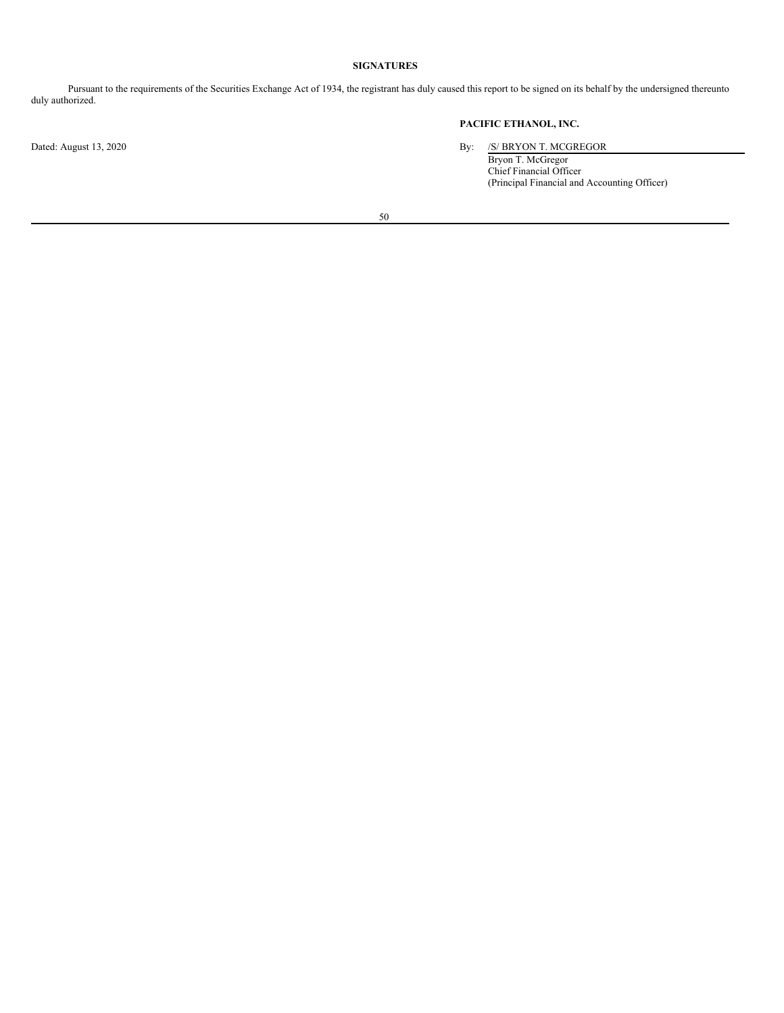# <span id="page-51-0"></span>**SIGNATURES**

Pursuant to the requirements of the Securities Exchange Act of 1934, the registrant has duly caused this report to be signed on its behalf by the undersigned thereunto duly authorized.

# **PACIFIC ETHANOL, INC.**

Dated: August 13, 2020 By: /S/ BRYON T. MCGREGOR

Bryon T. McGregor Chief Financial Officer (Principal Financial and Accounting Officer)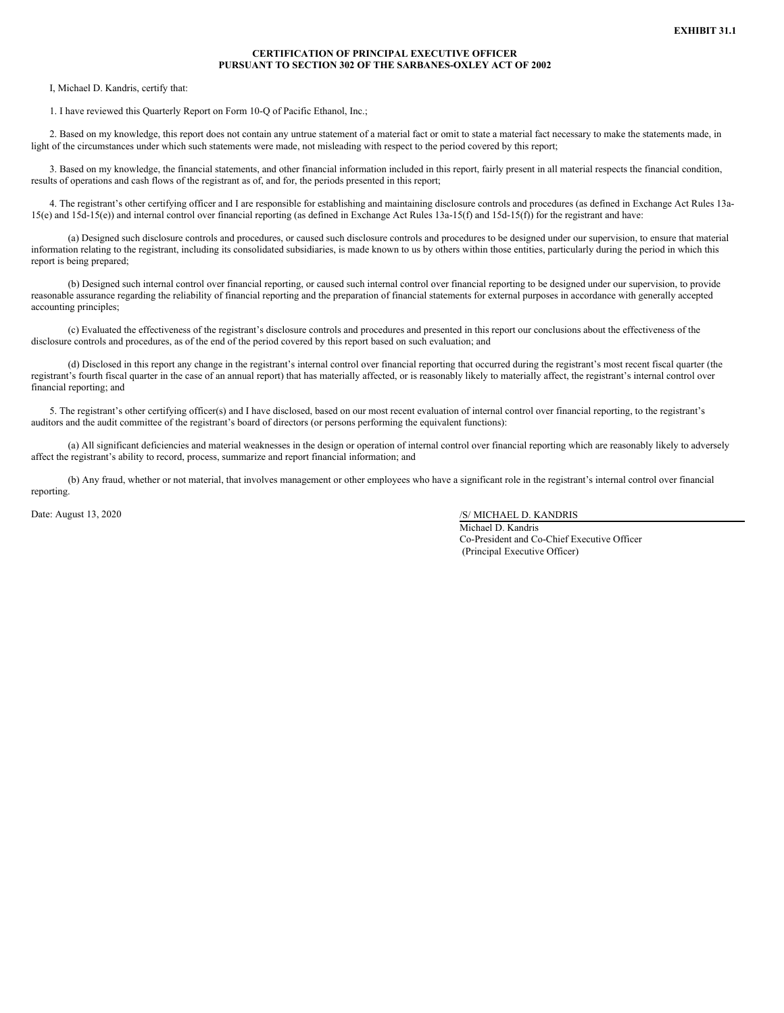## **CERTIFICATION OF PRINCIPAL EXECUTIVE OFFICER PURSUANT TO SECTION 302 OF THE SARBANES-OXLEY ACT OF 2002**

<span id="page-52-0"></span>I, Michael D. Kandris, certify that:

1. I have reviewed this Quarterly Report on Form 10-Q of Pacific Ethanol, Inc.;

2. Based on my knowledge, this report does not contain any untrue statement of a material fact or omit to state a material fact necessary to make the statements made, in light of the circumstances under which such statements were made, not misleading with respect to the period covered by this report;

3. Based on my knowledge, the financial statements, and other financial information included in this report, fairly present in all material respects the financial condition, results of operations and cash flows of the registrant as of, and for, the periods presented in this report;

4. The registrant's other certifying officer and I are responsible for establishing and maintaining disclosure controls and procedures (as defined in Exchange Act Rules 13a-15(e) and 15d-15(e)) and internal control over financial reporting (as defined in Exchange Act Rules 13a-15(f) and 15d-15(f)) for the registrant and have:

(a) Designed such disclosure controls and procedures, or caused such disclosure controls and procedures to be designed under our supervision, to ensure that material information relating to the registrant, including its consolidated subsidiaries, is made known to us by others within those entities, particularly during the period in which this report is being prepared;

(b) Designed such internal control over financial reporting, or caused such internal control over financial reporting to be designed under our supervision, to provide reasonable assurance regarding the reliability of financial reporting and the preparation of financial statements for external purposes in accordance with generally accepted accounting principles;

(c) Evaluated the effectiveness of the registrant's disclosure controls and procedures and presented in this report our conclusions about the effectiveness of the disclosure controls and procedures, as of the end of the period covered by this report based on such evaluation; and

(d) Disclosed in this report any change in the registrant's internal control over financial reporting that occurred during the registrant's most recent fiscal quarter (the registrant's fourth fiscal quarter in the case of an annual report) that has materially affected, or is reasonably likely to materially affect, the registrant's internal control over financial reporting; and

5. The registrant's other certifying officer(s) and I have disclosed, based on our most recent evaluation of internal control over financial reporting, to the registrant's auditors and the audit committee of the registrant's board of directors (or persons performing the equivalent functions):

(a) All significant deficiencies and material weaknesses in the design or operation of internal control over financial reporting which are reasonably likely to adversely affect the registrant's ability to record, process, summarize and report financial information; and

(b) Any fraud, whether or not material, that involves management or other employees who have a significant role in the registrant's internal control over financial reporting.

Date: August 13, 2020 /S/ MICHAEL D. KANDRIS

Michael D. Kandris Co-President and Co-Chief Executive Officer (Principal Executive Officer)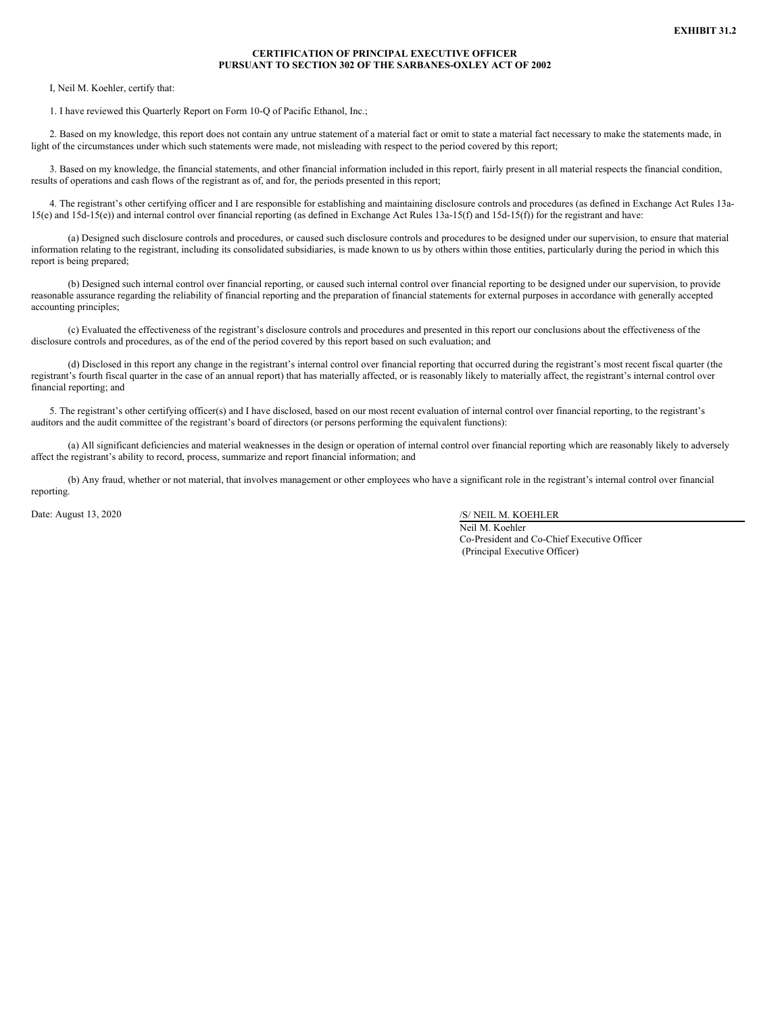## **CERTIFICATION OF PRINCIPAL EXECUTIVE OFFICER PURSUANT TO SECTION 302 OF THE SARBANES-OXLEY ACT OF 2002**

<span id="page-53-0"></span>I, Neil M. Koehler, certify that:

1. I have reviewed this Quarterly Report on Form 10-Q of Pacific Ethanol, Inc.;

2. Based on my knowledge, this report does not contain any untrue statement of a material fact or omit to state a material fact necessary to make the statements made, in light of the circumstances under which such statements were made, not misleading with respect to the period covered by this report;

3. Based on my knowledge, the financial statements, and other financial information included in this report, fairly present in all material respects the financial condition, results of operations and cash flows of the registrant as of, and for, the periods presented in this report;

4. The registrant's other certifying officer and I are responsible for establishing and maintaining disclosure controls and procedures (as defined in Exchange Act Rules 13a-15(e) and 15d-15(e)) and internal control over financial reporting (as defined in Exchange Act Rules 13a-15(f) and 15d-15(f)) for the registrant and have:

(a) Designed such disclosure controls and procedures, or caused such disclosure controls and procedures to be designed under our supervision, to ensure that material information relating to the registrant, including its consolidated subsidiaries, is made known to us by others within those entities, particularly during the period in which this report is being prepared;

(b) Designed such internal control over financial reporting, or caused such internal control over financial reporting to be designed under our supervision, to provide reasonable assurance regarding the reliability of financial reporting and the preparation of financial statements for external purposes in accordance with generally accepted accounting principles;

(c) Evaluated the effectiveness of the registrant's disclosure controls and procedures and presented in this report our conclusions about the effectiveness of the disclosure controls and procedures, as of the end of the period covered by this report based on such evaluation; and

(d) Disclosed in this report any change in the registrant's internal control over financial reporting that occurred during the registrant's most recent fiscal quarter (the registrant's fourth fiscal quarter in the case of an annual report) that has materially affected, or is reasonably likely to materially affect, the registrant's internal control over financial reporting; and

5. The registrant's other certifying officer(s) and I have disclosed, based on our most recent evaluation of internal control over financial reporting, to the registrant's auditors and the audit committee of the registrant's board of directors (or persons performing the equivalent functions):

(a) All significant deficiencies and material weaknesses in the design or operation of internal control over financial reporting which are reasonably likely to adversely affect the registrant's ability to record, process, summarize and report financial information; and

(b) Any fraud, whether or not material, that involves management or other employees who have a significant role in the registrant's internal control over financial reporting.

Date: August 13, 2020 /S/ NEIL M. KOEHLER

Neil M. Koehler Co-President and Co-Chief Executive Officer (Principal Executive Officer)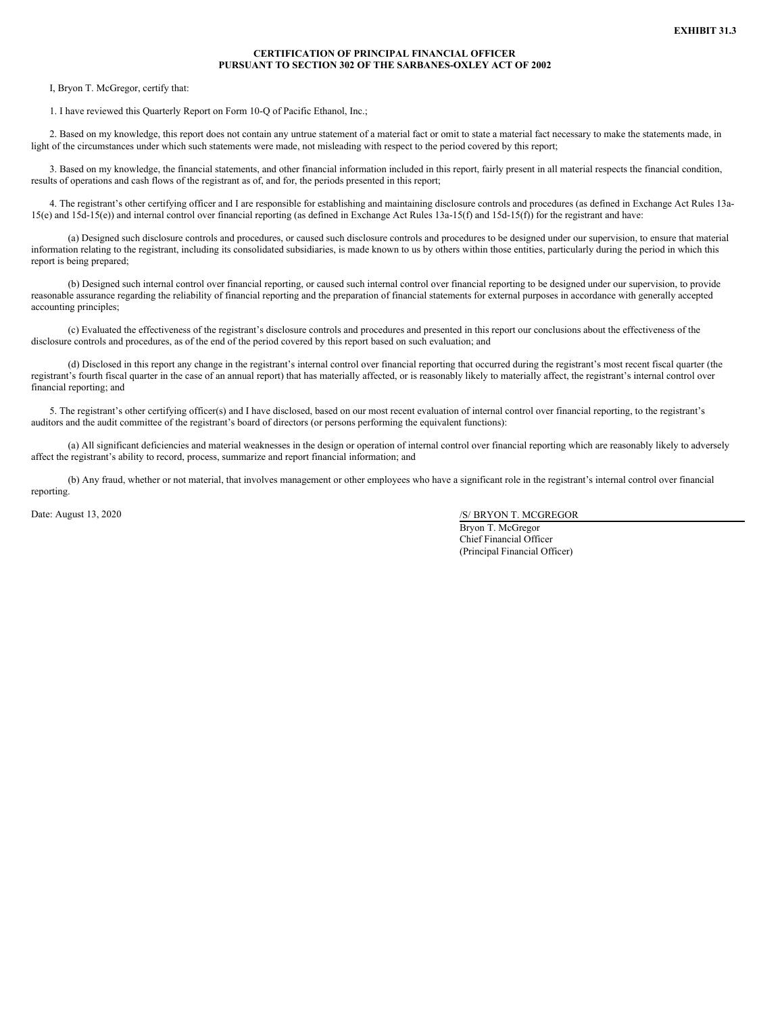## **CERTIFICATION OF PRINCIPAL FINANCIAL OFFICER PURSUANT TO SECTION 302 OF THE SARBANES-OXLEY ACT OF 2002**

<span id="page-54-0"></span>I, Bryon T. McGregor, certify that:

1. I have reviewed this Quarterly Report on Form 10-Q of Pacific Ethanol, Inc.;

2. Based on my knowledge, this report does not contain any untrue statement of a material fact or omit to state a material fact necessary to make the statements made, in light of the circumstances under which such statements were made, not misleading with respect to the period covered by this report;

3. Based on my knowledge, the financial statements, and other financial information included in this report, fairly present in all material respects the financial condition, results of operations and cash flows of the registrant as of, and for, the periods presented in this report;

4. The registrant's other certifying officer and I are responsible for establishing and maintaining disclosure controls and procedures (as defined in Exchange Act Rules 13a-15(e) and 15d-15(e)) and internal control over financial reporting (as defined in Exchange Act Rules 13a-15(f) and 15d-15(f)) for the registrant and have:

(a) Designed such disclosure controls and procedures, or caused such disclosure controls and procedures to be designed under our supervision, to ensure that material information relating to the registrant, including its consolidated subsidiaries, is made known to us by others within those entities, particularly during the period in which this report is being prepared;

(b) Designed such internal control over financial reporting, or caused such internal control over financial reporting to be designed under our supervision, to provide reasonable assurance regarding the reliability of financial reporting and the preparation of financial statements for external purposes in accordance with generally accepted accounting principles;

(c) Evaluated the effectiveness of the registrant's disclosure controls and procedures and presented in this report our conclusions about the effectiveness of the disclosure controls and procedures, as of the end of the period covered by this report based on such evaluation; and

(d) Disclosed in this report any change in the registrant's internal control over financial reporting that occurred during the registrant's most recent fiscal quarter (the registrant's fourth fiscal quarter in the case of an annual report) that has materially affected, or is reasonably likely to materially affect, the registrant's internal control over financial reporting; and

5. The registrant's other certifying officer(s) and I have disclosed, based on our most recent evaluation of internal control over financial reporting, to the registrant's auditors and the audit committee of the registrant's board of directors (or persons performing the equivalent functions):

(a) All significant deficiencies and material weaknesses in the design or operation of internal control over financial reporting which are reasonably likely to adversely affect the registrant's ability to record, process, summarize and report financial information; and

(b) Any fraud, whether or not material, that involves management or other employees who have a significant role in the registrant's internal control over financial reporting.

Date: August 13, 2020 /S/ BRYON T. MCGREGOR

Bryon T. McGregor Chief Financial Officer (Principal Financial Officer)